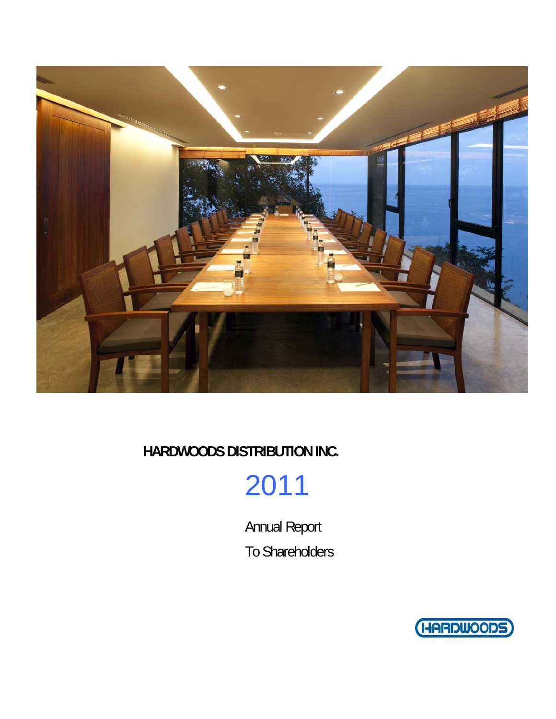

**HARDWOODS DISTRIBUTION INC.** 

# 2011

Annual Report To Shareholders

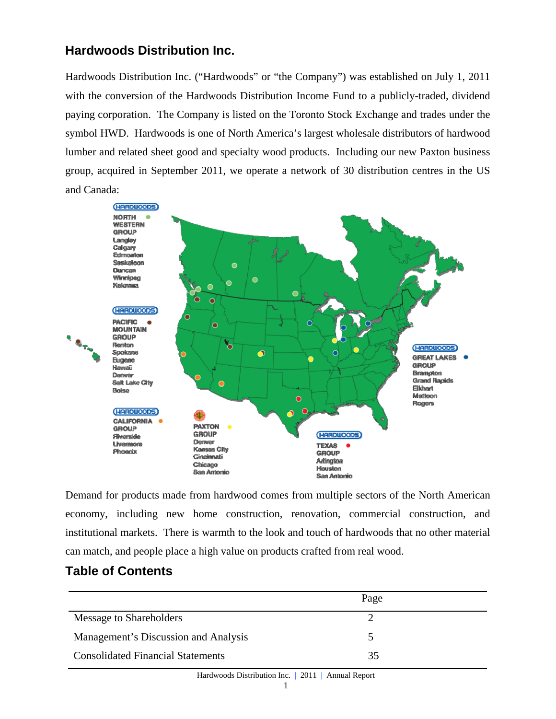# **Hardwoods Distribution Inc.**

Hardwoods Distribution Inc. ("Hardwoods" or "the Company") was established on July 1, 2011 with the conversion of the Hardwoods Distribution Income Fund to a publicly-traded, dividend paying corporation. The Company is listed on the Toronto Stock Exchange and trades under the symbol HWD. Hardwoods is one of North America's largest wholesale distributors of hardwood lumber and related sheet good and specialty wood products. Including our new Paxton business group, acquired in September 2011, we operate a network of 30 distribution centres in the US and Canada:



Demand for products made from hardwood comes from multiple sectors of the North American economy, including new home construction, renovation, commercial construction, and institutional markets. There is warmth to the look and touch of hardwoods that no other material can match, and people place a high value on products crafted from real wood.

# **Table of Contents**

|                                          | Page |  |
|------------------------------------------|------|--|
| Message to Shareholders                  |      |  |
| Management's Discussion and Analysis     |      |  |
| <b>Consolidated Financial Statements</b> | 35   |  |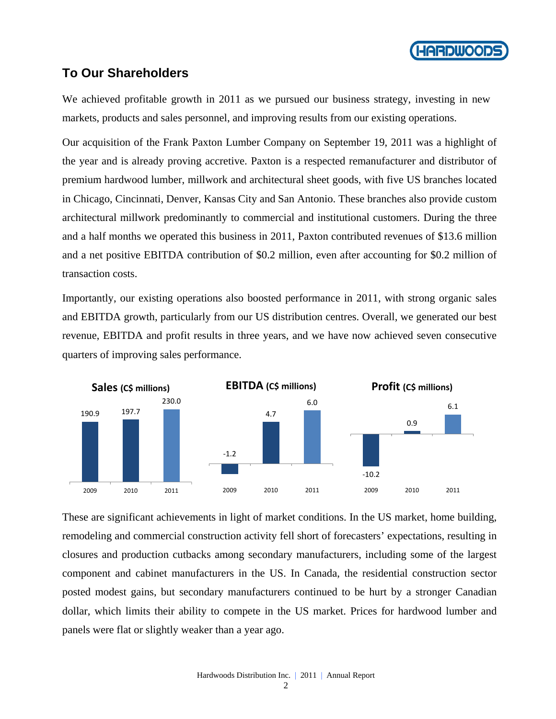

# **To Our Shareholders**

We achieved profitable growth in 2011 as we pursued our business strategy, investing in new markets, products and sales personnel, and improving results from our existing operations.

Our acquisition of the Frank Paxton Lumber Company on September 19, 2011 was a highlight of the year and is already proving accretive. Paxton is a respected remanufacturer and distributor of premium hardwood lumber, millwork and architectural sheet goods, with five US branches located in Chicago, Cincinnati, Denver, Kansas City and San Antonio. These branches also provide custom architectural millwork predominantly to commercial and institutional customers. During the three and a half months we operated this business in 2011, Paxton contributed revenues of \$13.6 million and a net positive EBITDA contribution of \$0.2 million, even after accounting for \$0.2 million of transaction costs.

Importantly, our existing operations also boosted performance in 2011, with strong organic sales and EBITDA growth, particularly from our US distribution centres. Overall, we generated our best revenue, EBITDA and profit results in three years, and we have now achieved seven consecutive quarters of improving sales performance.



These are significant achievements in light of market conditions. In the US market, home building, remodeling and commercial construction activity fell short of forecasters' expectations, resulting in closures and production cutbacks among secondary manufacturers, including some of the largest component and cabinet manufacturers in the US. In Canada, the residential construction sector posted modest gains, but secondary manufacturers continued to be hurt by a stronger Canadian dollar, which limits their ability to compete in the US market. Prices for hardwood lumber and panels were flat or slightly weaker than a year ago.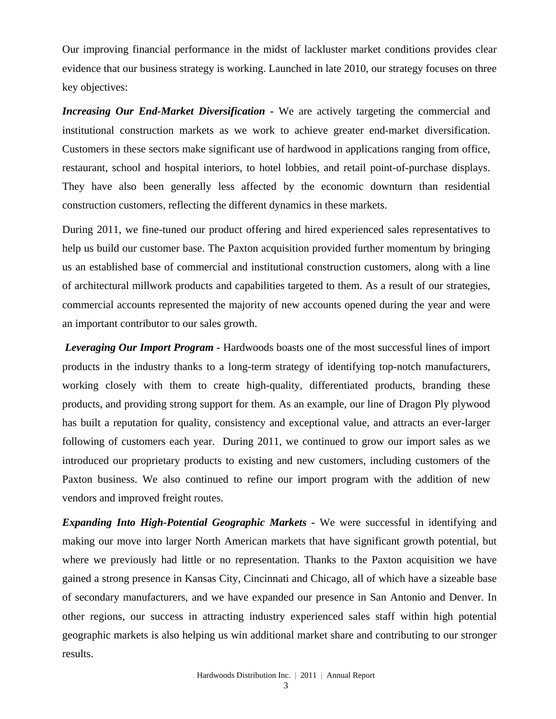Our improving financial performance in the midst of lackluster market conditions provides clear evidence that our business strategy is working. Launched in late 2010, our strategy focuses on three key objectives:

*Increasing Our End-Market Diversification -* We are actively targeting the commercial and institutional construction markets as we work to achieve greater end-market diversification. Customers in these sectors make significant use of hardwood in applications ranging from office, restaurant, school and hospital interiors, to hotel lobbies, and retail point-of-purchase displays. They have also been generally less affected by the economic downturn than residential construction customers, reflecting the different dynamics in these markets.

During 2011, we fine-tuned our product offering and hired experienced sales representatives to help us build our customer base. The Paxton acquisition provided further momentum by bringing us an established base of commercial and institutional construction customers, along with a line of architectural millwork products and capabilities targeted to them. As a result of our strategies, commercial accounts represented the majority of new accounts opened during the year and were an important contributor to our sales growth.

*Leveraging Our Import Program -* Hardwoods boasts one of the most successful lines of import products in the industry thanks to a long-term strategy of identifying top-notch manufacturers, working closely with them to create high-quality, differentiated products, branding these products, and providing strong support for them. As an example, our line of Dragon Ply plywood has built a reputation for quality, consistency and exceptional value, and attracts an ever-larger following of customers each year. During 2011, we continued to grow our import sales as we introduced our proprietary products to existing and new customers, including customers of the Paxton business. We also continued to refine our import program with the addition of new vendors and improved freight routes.

*Expanding Into High-Potential Geographic Markets -* We were successful in identifying and making our move into larger North American markets that have significant growth potential, but where we previously had little or no representation. Thanks to the Paxton acquisition we have gained a strong presence in Kansas City, Cincinnati and Chicago, all of which have a sizeable base of secondary manufacturers, and we have expanded our presence in San Antonio and Denver. In other regions, our success in attracting industry experienced sales staff within high potential geographic markets is also helping us win additional market share and contributing to our stronger results.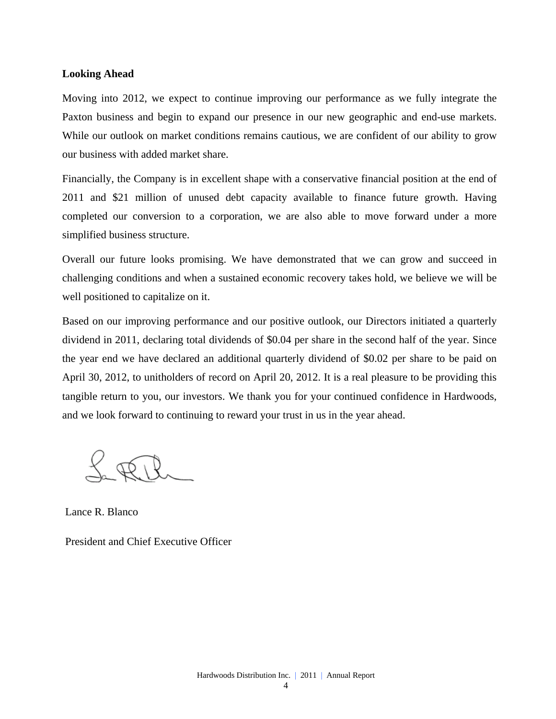#### **Looking Ahead**

Moving into 2012, we expect to continue improving our performance as we fully integrate the Paxton business and begin to expand our presence in our new geographic and end-use markets. While our outlook on market conditions remains cautious, we are confident of our ability to grow our business with added market share.

Financially, the Company is in excellent shape with a conservative financial position at the end of 2011 and \$21 million of unused debt capacity available to finance future growth. Having completed our conversion to a corporation, we are also able to move forward under a more simplified business structure.

Overall our future looks promising. We have demonstrated that we can grow and succeed in challenging conditions and when a sustained economic recovery takes hold, we believe we will be well positioned to capitalize on it.

Based on our improving performance and our positive outlook, our Directors initiated a quarterly dividend in 2011, declaring total dividends of \$0.04 per share in the second half of the year. Since the year end we have declared an additional quarterly dividend of \$0.02 per share to be paid on April 30, 2012, to unitholders of record on April 20, 2012. It is a real pleasure to be providing this tangible return to you, our investors. We thank you for your continued confidence in Hardwoods, and we look forward to continuing to reward your trust in us in the year ahead.

Lance R. Blanco

President and Chief Executive Officer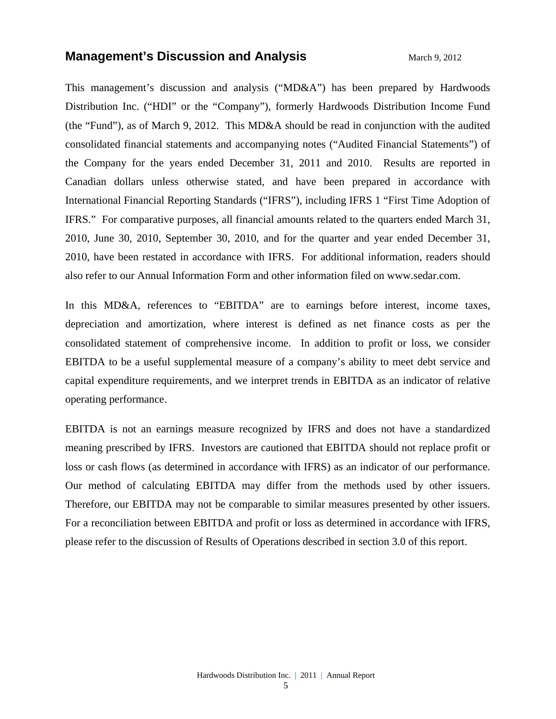### **Management's Discussion and Analysis** Management's Discussion and Analysis

This management's discussion and analysis ("MD&A") has been prepared by Hardwoods Distribution Inc. ("HDI" or the "Company"), formerly Hardwoods Distribution Income Fund (the "Fund"), as of March 9, 2012. This MD&A should be read in conjunction with the audited consolidated financial statements and accompanying notes ("Audited Financial Statements") of the Company for the years ended December 31, 2011 and 2010. Results are reported in Canadian dollars unless otherwise stated, and have been prepared in accordance with International Financial Reporting Standards ("IFRS"), including IFRS 1 "First Time Adoption of IFRS." For comparative purposes, all financial amounts related to the quarters ended March 31, 2010, June 30, 2010, September 30, 2010, and for the quarter and year ended December 31, 2010, have been restated in accordance with IFRS. For additional information, readers should also refer to our Annual Information Form and other information filed on www.sedar.com.

In this MD&A, references to "EBITDA" are to earnings before interest, income taxes, depreciation and amortization, where interest is defined as net finance costs as per the consolidated statement of comprehensive income. In addition to profit or loss, we consider EBITDA to be a useful supplemental measure of a company's ability to meet debt service and capital expenditure requirements, and we interpret trends in EBITDA as an indicator of relative operating performance.

EBITDA is not an earnings measure recognized by IFRS and does not have a standardized meaning prescribed by IFRS. Investors are cautioned that EBITDA should not replace profit or loss or cash flows (as determined in accordance with IFRS) as an indicator of our performance. Our method of calculating EBITDA may differ from the methods used by other issuers. Therefore, our EBITDA may not be comparable to similar measures presented by other issuers. For a reconciliation between EBITDA and profit or loss as determined in accordance with IFRS, please refer to the discussion of Results of Operations described in section 3.0 of this report.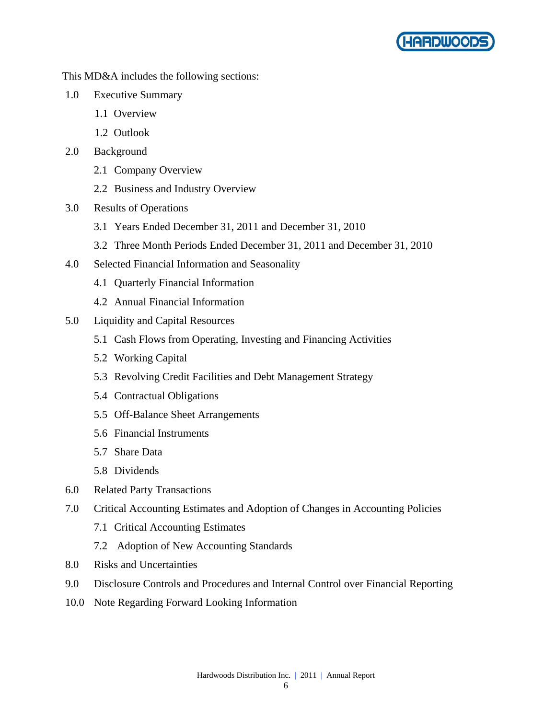

This MD&A includes the following sections:

- 1.0 Executive Summary
	- 1.1 Overview
	- 1.2 Outlook
- 2.0 Background
	- 2.1 Company Overview
	- 2.2 Business and Industry Overview
- 3.0 Results of Operations
	- 3.1 Years Ended December 31, 2011 and December 31, 2010
	- 3.2 Three Month Periods Ended December 31, 2011 and December 31, 2010
- 4.0 Selected Financial Information and Seasonality
	- 4.1 Quarterly Financial Information
	- 4.2 Annual Financial Information
- 5.0 Liquidity and Capital Resources
	- 5.1 Cash Flows from Operating, Investing and Financing Activities
	- 5.2 Working Capital
	- 5.3 Revolving Credit Facilities and Debt Management Strategy
	- 5.4 Contractual Obligations
	- 5.5 Off-Balance Sheet Arrangements
	- 5.6 Financial Instruments
	- 5.7 Share Data
	- 5.8 Dividends
- 6.0 Related Party Transactions
- 7.0 Critical Accounting Estimates and Adoption of Changes in Accounting Policies
	- 7.1 Critical Accounting Estimates
	- 7.2 Adoption of New Accounting Standards
- 8.0 Risks and Uncertainties
- 9.0 Disclosure Controls and Procedures and Internal Control over Financial Reporting
- 10.0 Note Regarding Forward Looking Information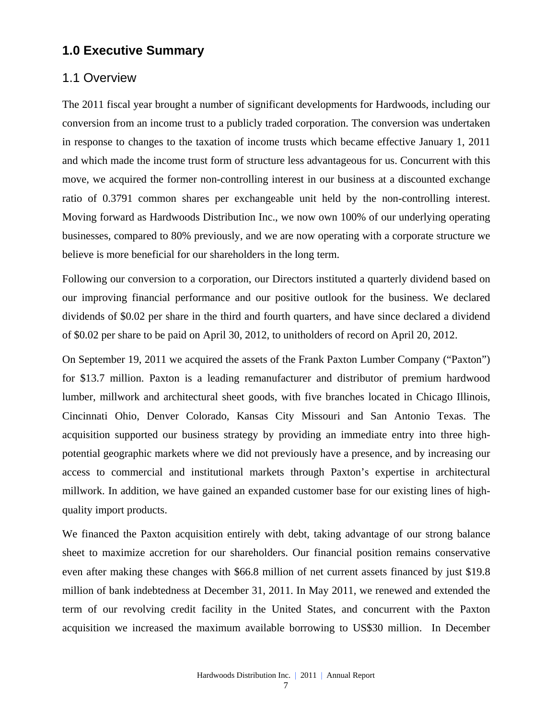# **1.0 Executive Summary**

### 1.1 Overview

The 2011 fiscal year brought a number of significant developments for Hardwoods, including our conversion from an income trust to a publicly traded corporation. The conversion was undertaken in response to changes to the taxation of income trusts which became effective January 1, 2011 and which made the income trust form of structure less advantageous for us. Concurrent with this move, we acquired the former non-controlling interest in our business at a discounted exchange ratio of 0.3791 common shares per exchangeable unit held by the non-controlling interest. Moving forward as Hardwoods Distribution Inc., we now own 100% of our underlying operating businesses, compared to 80% previously, and we are now operating with a corporate structure we believe is more beneficial for our shareholders in the long term.

Following our conversion to a corporation, our Directors instituted a quarterly dividend based on our improving financial performance and our positive outlook for the business. We declared dividends of \$0.02 per share in the third and fourth quarters, and have since declared a dividend of \$0.02 per share to be paid on April 30, 2012, to unitholders of record on April 20, 2012.

On September 19, 2011 we acquired the assets of the Frank Paxton Lumber Company ("Paxton") for \$13.7 million. Paxton is a leading remanufacturer and distributor of premium hardwood lumber, millwork and architectural sheet goods, with five branches located in Chicago Illinois, Cincinnati Ohio, Denver Colorado, Kansas City Missouri and San Antonio Texas. The acquisition supported our business strategy by providing an immediate entry into three highpotential geographic markets where we did not previously have a presence, and by increasing our access to commercial and institutional markets through Paxton's expertise in architectural millwork. In addition, we have gained an expanded customer base for our existing lines of highquality import products.

We financed the Paxton acquisition entirely with debt, taking advantage of our strong balance sheet to maximize accretion for our shareholders. Our financial position remains conservative even after making these changes with \$66.8 million of net current assets financed by just \$19.8 million of bank indebtedness at December 31, 2011. In May 2011, we renewed and extended the term of our revolving credit facility in the United States, and concurrent with the Paxton acquisition we increased the maximum available borrowing to US\$30 million. In December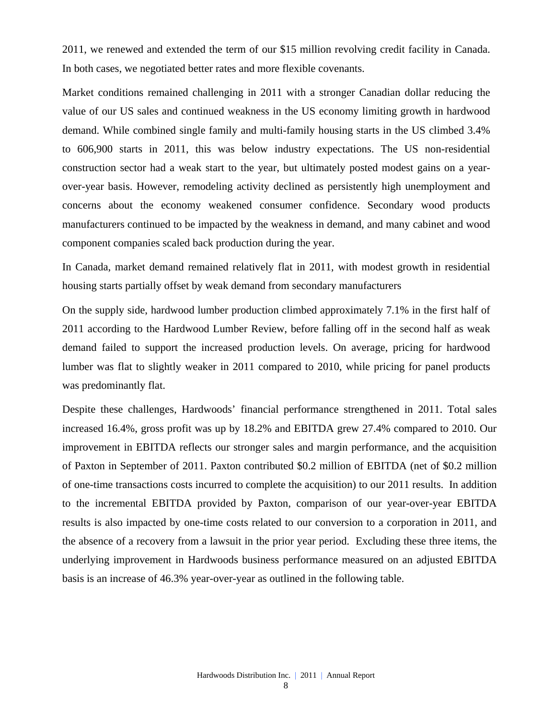2011, we renewed and extended the term of our \$15 million revolving credit facility in Canada. In both cases, we negotiated better rates and more flexible covenants.

Market conditions remained challenging in 2011 with a stronger Canadian dollar reducing the value of our US sales and continued weakness in the US economy limiting growth in hardwood demand. While combined single family and multi-family housing starts in the US climbed 3.4% to 606,900 starts in 2011, this was below industry expectations. The US non-residential construction sector had a weak start to the year, but ultimately posted modest gains on a yearover-year basis. However, remodeling activity declined as persistently high unemployment and concerns about the economy weakened consumer confidence. Secondary wood products manufacturers continued to be impacted by the weakness in demand, and many cabinet and wood component companies scaled back production during the year.

In Canada, market demand remained relatively flat in 2011, with modest growth in residential housing starts partially offset by weak demand from secondary manufacturers

On the supply side, hardwood lumber production climbed approximately 7.1% in the first half of 2011 according to the Hardwood Lumber Review, before falling off in the second half as weak demand failed to support the increased production levels. On average, pricing for hardwood lumber was flat to slightly weaker in 2011 compared to 2010, while pricing for panel products was predominantly flat.

Despite these challenges, Hardwoods' financial performance strengthened in 2011. Total sales increased 16.4%, gross profit was up by 18.2% and EBITDA grew 27.4% compared to 2010. Our improvement in EBITDA reflects our stronger sales and margin performance, and the acquisition of Paxton in September of 2011. Paxton contributed \$0.2 million of EBITDA (net of \$0.2 million of one-time transactions costs incurred to complete the acquisition) to our 2011 results. In addition to the incremental EBITDA provided by Paxton, comparison of our year-over-year EBITDA results is also impacted by one-time costs related to our conversion to a corporation in 2011, and the absence of a recovery from a lawsuit in the prior year period. Excluding these three items, the underlying improvement in Hardwoods business performance measured on an adjusted EBITDA basis is an increase of 46.3% year-over-year as outlined in the following table.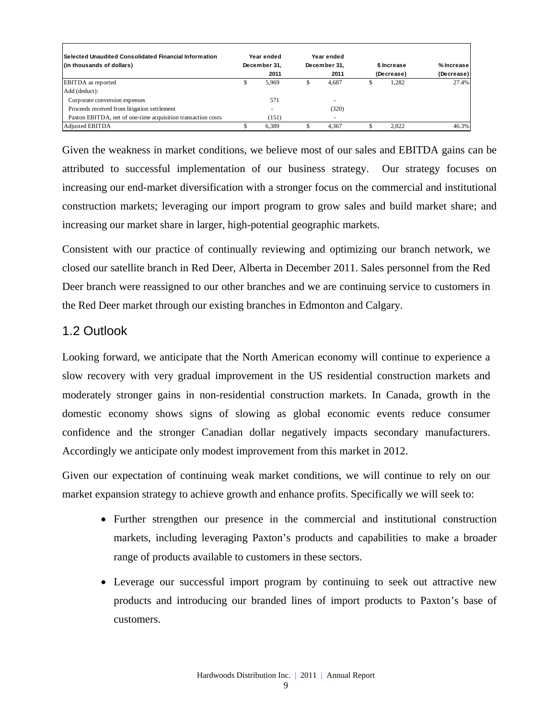| <b>Selected Unaudited Consolidated Financial Information</b><br>(in thousands of dollars) |    | Year ended<br>December 31,<br>2011 | Year ended<br>December 31.<br>2011 |   | \$ Increase<br>(Decrease) | $%$ Increase I<br>(Decrease) |
|-------------------------------------------------------------------------------------------|----|------------------------------------|------------------------------------|---|---------------------------|------------------------------|
| <b>EBITDA</b> as reported                                                                 | ה. | 5,969                              | 4.687                              | ъ | 1,282                     | 27.4%                        |
| Add (deduct):                                                                             |    |                                    |                                    |   |                           |                              |
| Corporate conversion expenses                                                             |    | 571                                |                                    |   |                           |                              |
| Proceeds received from litigation settlement                                              |    | $\overline{\phantom{a}}$           | (320)                              |   |                           |                              |
| Paxton EBITDA, net of one-time acquisition transaction costs                              |    | (151)                              |                                    |   |                           |                              |
| <b>Adjusted EBITDA</b>                                                                    |    | 6,389                              | 4.367                              |   | 2.022                     | 46.3%                        |

Given the weakness in market conditions, we believe most of our sales and EBITDA gains can be attributed to successful implementation of our business strategy. Our strategy focuses on increasing our end-market diversification with a stronger focus on the commercial and institutional construction markets; leveraging our import program to grow sales and build market share; and increasing our market share in larger, high-potential geographic markets.

Consistent with our practice of continually reviewing and optimizing our branch network, we closed our satellite branch in Red Deer, Alberta in December 2011. Sales personnel from the Red Deer branch were reassigned to our other branches and we are continuing service to customers in the Red Deer market through our existing branches in Edmonton and Calgary.

# 1.2 Outlook

Looking forward, we anticipate that the North American economy will continue to experience a slow recovery with very gradual improvement in the US residential construction markets and moderately stronger gains in non-residential construction markets. In Canada, growth in the domestic economy shows signs of slowing as global economic events reduce consumer confidence and the stronger Canadian dollar negatively impacts secondary manufacturers. Accordingly we anticipate only modest improvement from this market in 2012.

Given our expectation of continuing weak market conditions, we will continue to rely on our market expansion strategy to achieve growth and enhance profits. Specifically we will seek to:

- Further strengthen our presence in the commercial and institutional construction markets, including leveraging Paxton's products and capabilities to make a broader range of products available to customers in these sectors.
- Leverage our successful import program by continuing to seek out attractive new products and introducing our branded lines of import products to Paxton's base of customers.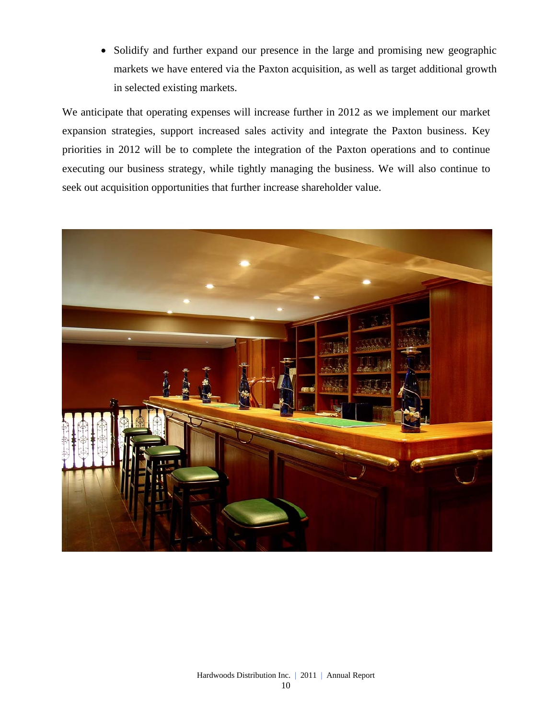• Solidify and further expand our presence in the large and promising new geographic markets we have entered via the Paxton acquisition, as well as target additional growth in selected existing markets.

We anticipate that operating expenses will increase further in 2012 as we implement our market expansion strategies, support increased sales activity and integrate the Paxton business. Key priorities in 2012 will be to complete the integration of the Paxton operations and to continue executing our business strategy, while tightly managing the business. We will also continue to seek out acquisition opportunities that further increase shareholder value.

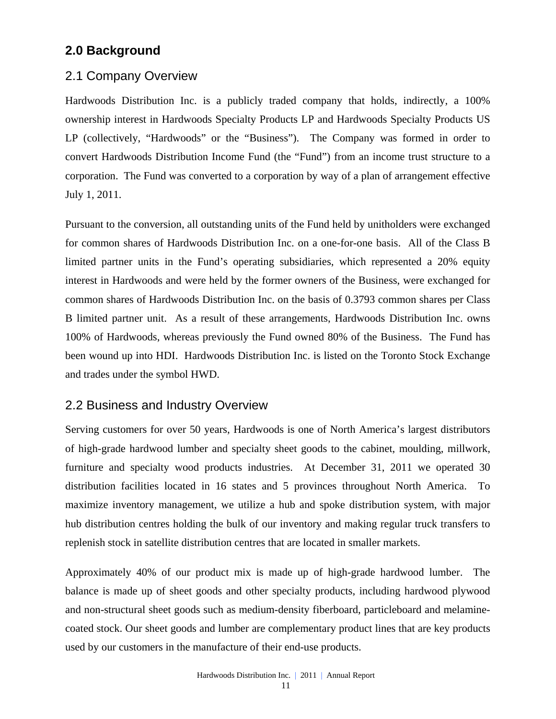# **2.0 Background**

# 2.1 Company Overview

Hardwoods Distribution Inc. is a publicly traded company that holds, indirectly, a 100% ownership interest in Hardwoods Specialty Products LP and Hardwoods Specialty Products US LP (collectively, "Hardwoods" or the "Business"). The Company was formed in order to convert Hardwoods Distribution Income Fund (the "Fund") from an income trust structure to a corporation. The Fund was converted to a corporation by way of a plan of arrangement effective July 1, 2011.

Pursuant to the conversion, all outstanding units of the Fund held by unitholders were exchanged for common shares of Hardwoods Distribution Inc. on a one-for-one basis. All of the Class B limited partner units in the Fund's operating subsidiaries, which represented a 20% equity interest in Hardwoods and were held by the former owners of the Business, were exchanged for common shares of Hardwoods Distribution Inc. on the basis of 0.3793 common shares per Class B limited partner unit. As a result of these arrangements, Hardwoods Distribution Inc. owns 100% of Hardwoods, whereas previously the Fund owned 80% of the Business. The Fund has been wound up into HDI. Hardwoods Distribution Inc. is listed on the Toronto Stock Exchange and trades under the symbol HWD.

# 2.2 Business and Industry Overview

Serving customers for over 50 years, Hardwoods is one of North America's largest distributors of high-grade hardwood lumber and specialty sheet goods to the cabinet, moulding, millwork, furniture and specialty wood products industries. At December 31, 2011 we operated 30 distribution facilities located in 16 states and 5 provinces throughout North America. To maximize inventory management, we utilize a hub and spoke distribution system, with major hub distribution centres holding the bulk of our inventory and making regular truck transfers to replenish stock in satellite distribution centres that are located in smaller markets.

Approximately 40% of our product mix is made up of high-grade hardwood lumber. The balance is made up of sheet goods and other specialty products, including hardwood plywood and non-structural sheet goods such as medium-density fiberboard, particleboard and melaminecoated stock. Our sheet goods and lumber are complementary product lines that are key products used by our customers in the manufacture of their end-use products.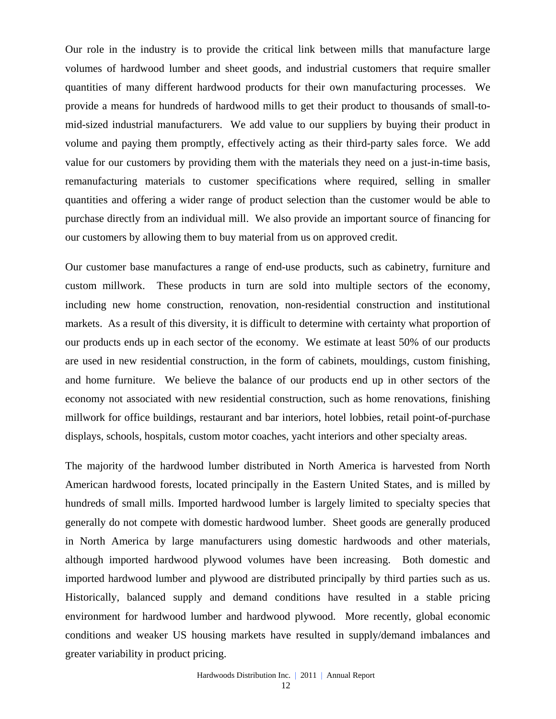Our role in the industry is to provide the critical link between mills that manufacture large volumes of hardwood lumber and sheet goods, and industrial customers that require smaller quantities of many different hardwood products for their own manufacturing processes. We provide a means for hundreds of hardwood mills to get their product to thousands of small-tomid-sized industrial manufacturers. We add value to our suppliers by buying their product in volume and paying them promptly, effectively acting as their third-party sales force. We add value for our customers by providing them with the materials they need on a just-in-time basis, remanufacturing materials to customer specifications where required, selling in smaller quantities and offering a wider range of product selection than the customer would be able to purchase directly from an individual mill. We also provide an important source of financing for our customers by allowing them to buy material from us on approved credit.

Our customer base manufactures a range of end-use products, such as cabinetry, furniture and custom millwork. These products in turn are sold into multiple sectors of the economy, including new home construction, renovation, non-residential construction and institutional markets. As a result of this diversity, it is difficult to determine with certainty what proportion of our products ends up in each sector of the economy. We estimate at least 50% of our products are used in new residential construction, in the form of cabinets, mouldings, custom finishing, and home furniture. We believe the balance of our products end up in other sectors of the economy not associated with new residential construction, such as home renovations, finishing millwork for office buildings, restaurant and bar interiors, hotel lobbies, retail point-of-purchase displays, schools, hospitals, custom motor coaches, yacht interiors and other specialty areas.

The majority of the hardwood lumber distributed in North America is harvested from North American hardwood forests, located principally in the Eastern United States, and is milled by hundreds of small mills. Imported hardwood lumber is largely limited to specialty species that generally do not compete with domestic hardwood lumber. Sheet goods are generally produced in North America by large manufacturers using domestic hardwoods and other materials, although imported hardwood plywood volumes have been increasing. Both domestic and imported hardwood lumber and plywood are distributed principally by third parties such as us. Historically, balanced supply and demand conditions have resulted in a stable pricing environment for hardwood lumber and hardwood plywood. More recently, global economic conditions and weaker US housing markets have resulted in supply/demand imbalances and greater variability in product pricing.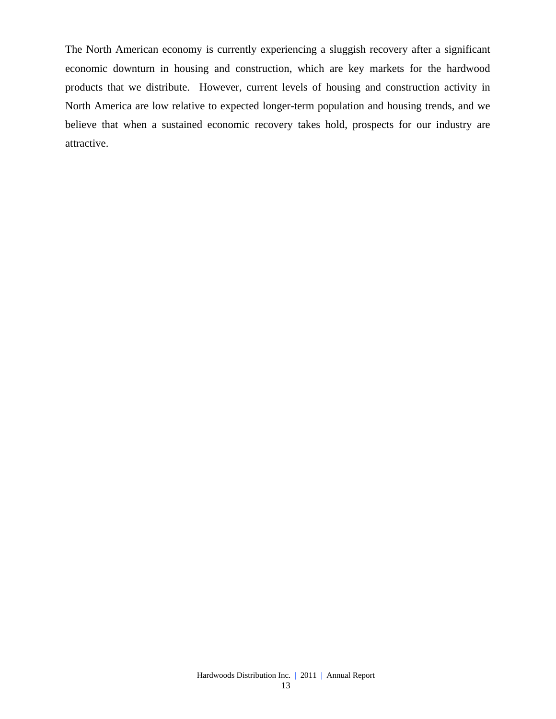The North American economy is currently experiencing a sluggish recovery after a significant economic downturn in housing and construction, which are key markets for the hardwood products that we distribute. However, current levels of housing and construction activity in North America are low relative to expected longer-term population and housing trends, and we believe that when a sustained economic recovery takes hold, prospects for our industry are attractive.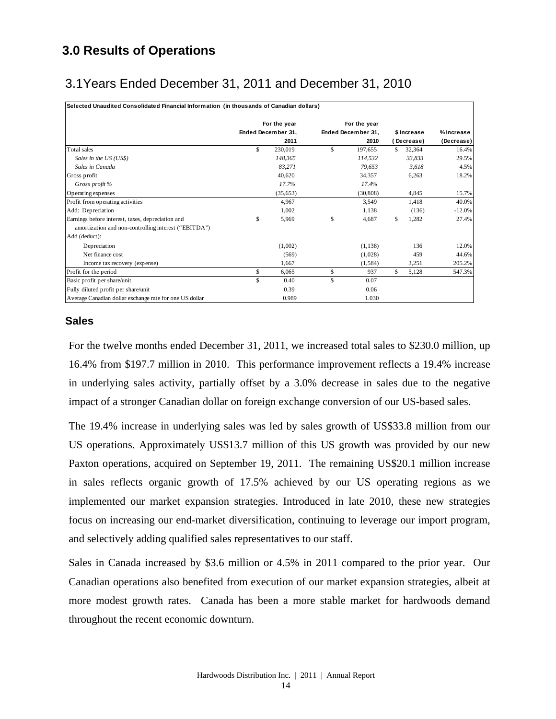# **3.0 Results of Operations**

# 3.1Years Ended December 31, 2011 and December 31, 2010

| Selected Unaudited Consolidated Financial Information (in thousands of Canadian dollars) |                    |                    |   |             |            |
|------------------------------------------------------------------------------------------|--------------------|--------------------|---|-------------|------------|
|                                                                                          | For the year       | For the year       |   |             |            |
|                                                                                          | Ended December 31. | Ended December 31, |   | \$ Increase | % Increase |
|                                                                                          | 2011               | 2010               |   | (Decrease)  | (Decrease) |
| Total sales                                                                              | \$<br>230,019      | \$<br>197,655      | S | 32,364      | 16.4%      |
| Sales in the US (US\$)                                                                   | 148,365            | 114,532            |   | 33,833      | 29.5%      |
| Sales in Canada                                                                          | 83,271             | 79,653             |   | 3,618       | 4.5%       |
| Gross profit                                                                             | 40,620             | 34,357             |   | 6,263       | 18.2%      |
| Gross profit %                                                                           | 17.7%              | 17.4%              |   |             |            |
| Operating expenses                                                                       | (35,653)           | (30, 808)          |   | 4,845       | 15.7%      |
| Profit from operating activities                                                         | 4,967              | 3,549              |   | 1,418       | 40.0%      |
| Add: Depreciation                                                                        | 1,002              | 1,138              |   | (136)       | $-12.0%$   |
| Earnings before interest, taxes, depreciation and                                        | \$<br>5,969        | \$<br>4,687        | S | 1,282       | 27.4%      |
| amortization and non-controlling interest ("EBITDA")                                     |                    |                    |   |             |            |
| Add (deduct):                                                                            |                    |                    |   |             |            |
| Depreciation                                                                             | (1,002)            | (1, 138)           |   | 136         | 12.0%      |
| Net finance cost                                                                         | (569)              | (1,028)            |   | 459         | 44.6%      |
| Income tax recovery (expense)                                                            | 1,667              | (1, 584)           |   | 3,251       | 205.2%     |
| Profit for the period                                                                    | \$<br>6,065        | \$<br>937          | S | 5,128       | 547.3%     |
| Basic profit per share/unit                                                              | \$<br>0.40         | \$<br>0.07         |   |             |            |
| Fully diluted profit per share/unit                                                      | 0.39               | 0.06               |   |             |            |
| Average Canadian dollar exchange rate for one US dollar                                  | 0.989              | 1.030              |   |             |            |

### **Sales**

For the twelve months ended December 31, 2011, we increased total sales to \$230.0 million, up 16.4% from \$197.7 million in 2010. This performance improvement reflects a 19.4% increase in underlying sales activity, partially offset by a 3.0% decrease in sales due to the negative impact of a stronger Canadian dollar on foreign exchange conversion of our US-based sales.

The 19.4% increase in underlying sales was led by sales growth of US\$33.8 million from our US operations. Approximately US\$13.7 million of this US growth was provided by our new Paxton operations, acquired on September 19, 2011. The remaining US\$20.1 million increase in sales reflects organic growth of 17.5% achieved by our US operating regions as we implemented our market expansion strategies. Introduced in late 2010, these new strategies focus on increasing our end-market diversification, continuing to leverage our import program, and selectively adding qualified sales representatives to our staff.

Sales in Canada increased by \$3.6 million or 4.5% in 2011 compared to the prior year. Our Canadian operations also benefited from execution of our market expansion strategies, albeit at more modest growth rates. Canada has been a more stable market for hardwoods demand throughout the recent economic downturn.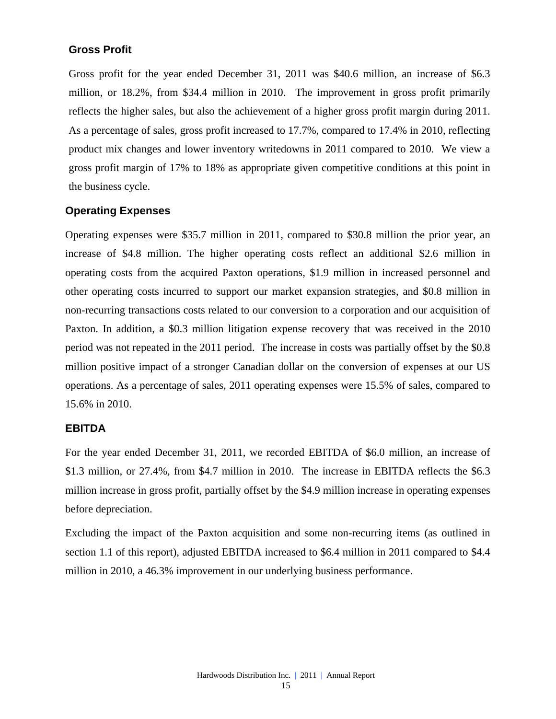### **Gross Profit**

Gross profit for the year ended December 31, 2011 was \$40.6 million, an increase of \$6.3 million, or 18.2%, from \$34.4 million in 2010. The improvement in gross profit primarily reflects the higher sales, but also the achievement of a higher gross profit margin during 2011. As a percentage of sales, gross profit increased to 17.7%, compared to 17.4% in 2010, reflecting product mix changes and lower inventory writedowns in 2011 compared to 2010. We view a gross profit margin of 17% to 18% as appropriate given competitive conditions at this point in the business cycle.

### **Operating Expenses**

Operating expenses were \$35.7 million in 2011, compared to \$30.8 million the prior year, an increase of \$4.8 million. The higher operating costs reflect an additional \$2.6 million in operating costs from the acquired Paxton operations, \$1.9 million in increased personnel and other operating costs incurred to support our market expansion strategies, and \$0.8 million in non-recurring transactions costs related to our conversion to a corporation and our acquisition of Paxton. In addition, a \$0.3 million litigation expense recovery that was received in the 2010 period was not repeated in the 2011 period. The increase in costs was partially offset by the \$0.8 million positive impact of a stronger Canadian dollar on the conversion of expenses at our US operations. As a percentage of sales, 2011 operating expenses were 15.5% of sales, compared to 15.6% in 2010.

#### **EBITDA**

For the year ended December 31, 2011, we recorded EBITDA of \$6.0 million, an increase of \$1.3 million, or 27.4%, from \$4.7 million in 2010. The increase in EBITDA reflects the \$6.3 million increase in gross profit, partially offset by the \$4.9 million increase in operating expenses before depreciation.

Excluding the impact of the Paxton acquisition and some non-recurring items (as outlined in section 1.1 of this report), adjusted EBITDA increased to \$6.4 million in 2011 compared to \$4.4 million in 2010, a 46.3% improvement in our underlying business performance.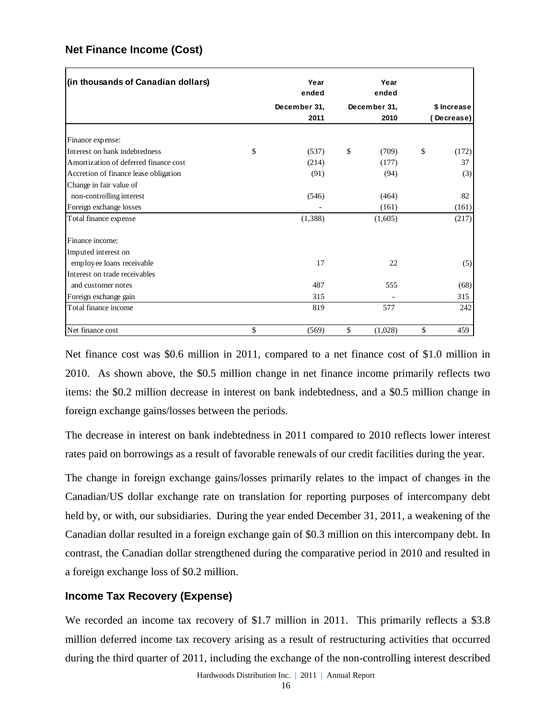### **Net Finance Income (Cost)**

| (in thousands of Canadian dollars)                | Year<br>ended | Year<br>ended |             |
|---------------------------------------------------|---------------|---------------|-------------|
|                                                   | December 31,  | December 31,  | \$ Increase |
|                                                   | 2011          | 2010          | Decrease)   |
|                                                   |               |               |             |
| Finance expense:<br>Interest on bank indebtedness | \$            |               | \$          |
|                                                   | (537)         | \$<br>(709)   | (172)       |
| Amortization of deferred finance cost             | (214)         | (177)         | 37          |
| Accretion of finance lease obligation             | (91)          | (94)          | (3)         |
| Change in fair value of                           |               |               |             |
| non-controlling interest                          | (546)         | (464)         | 82          |
| Foreign exchange losses                           |               | (161)         | (161)       |
| Total finance expense                             | (1,388)       | (1,605)       | (217)       |
| Finance income:                                   |               |               |             |
| Imputed interest on                               |               |               |             |
| employee loans receivable                         | 17            | 22            | (5)         |
| Interest on trade receivables                     |               |               |             |
| and customer notes                                | 487           | 555           | (68)        |
| Foreign exchange gain                             | 315           |               | 315         |
| Total finance income                              | 819           | 577           | 242         |
| Net finance cost                                  | \$<br>(569)   | \$<br>(1,028) | \$<br>459   |

Net finance cost was \$0.6 million in 2011, compared to a net finance cost of \$1.0 million in 2010. As shown above, the \$0.5 million change in net finance income primarily reflects two items: the \$0.2 million decrease in interest on bank indebtedness, and a \$0.5 million change in foreign exchange gains/losses between the periods.

The decrease in interest on bank indebtedness in 2011 compared to 2010 reflects lower interest rates paid on borrowings as a result of favorable renewals of our credit facilities during the year.

The change in foreign exchange gains/losses primarily relates to the impact of changes in the Canadian/US dollar exchange rate on translation for reporting purposes of intercompany debt held by, or with, our subsidiaries. During the year ended December 31, 2011, a weakening of the Canadian dollar resulted in a foreign exchange gain of \$0.3 million on this intercompany debt. In contrast, the Canadian dollar strengthened during the comparative period in 2010 and resulted in a foreign exchange loss of \$0.2 million.

### **Income Tax Recovery (Expense)**

We recorded an income tax recovery of \$1.7 million in 2011. This primarily reflects a \$3.8 million deferred income tax recovery arising as a result of restructuring activities that occurred during the third quarter of 2011, including the exchange of the non-controlling interest described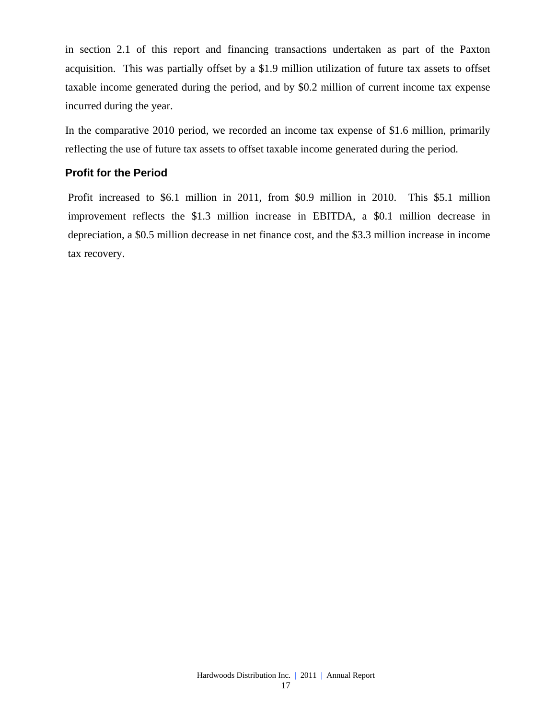in section 2.1 of this report and financing transactions undertaken as part of the Paxton acquisition. This was partially offset by a \$1.9 million utilization of future tax assets to offset taxable income generated during the period, and by \$0.2 million of current income tax expense incurred during the year.

In the comparative 2010 period, we recorded an income tax expense of \$1.6 million, primarily reflecting the use of future tax assets to offset taxable income generated during the period.

### **Profit for the Period**

Profit increased to \$6.1 million in 2011, from \$0.9 million in 2010. This \$5.1 million improvement reflects the \$1.3 million increase in EBITDA, a \$0.1 million decrease in depreciation, a \$0.5 million decrease in net finance cost, and the \$3.3 million increase in income tax recovery.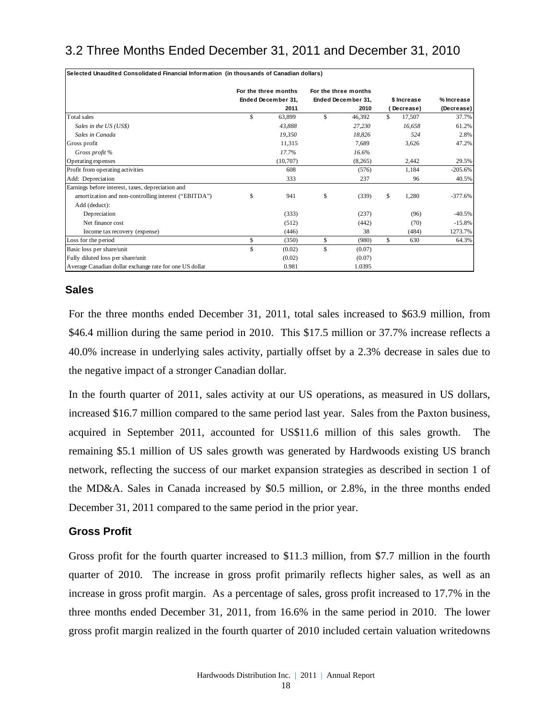# 3.2 Three Months Ended December 31, 2011 and December 31, 2010

| Selected Unaudited Consolidated Financial Information (in thousands of Canadian dollars) |                      |                      |     |             |            |
|------------------------------------------------------------------------------------------|----------------------|----------------------|-----|-------------|------------|
|                                                                                          | For the three months | For the three months |     |             |            |
|                                                                                          | Ended December 31.   | Ended December 31,   |     | \$ Increase | % Increase |
|                                                                                          | 2011                 | 2010                 |     | Decrease)   | (Decrease) |
| Total sales                                                                              | \$<br>63,899         | \$<br>46.392         | \$. | 17,507      | 37.7%      |
| Sales in the US (US\$)                                                                   | 43,888               | 27,230               |     | 16,658      | 61.2%      |
| Sales in Canada                                                                          | 19.350               | 18,826               |     | 524         | 2.8%       |
| Gross profit                                                                             | 11,315               | 7.689                |     | 3.626       | 47.2%      |
| Gross profit %                                                                           | 17.7%                | 16.6%                |     |             |            |
| Operating expenses                                                                       | (10,707)             | (8,265)              |     | 2,442       | 29.5%      |
| Profit from operating activities                                                         | 608                  | (576)                |     | 1,184       | $-205.6%$  |
| Add: Depreciation                                                                        | 333                  | 237                  |     | 96          | 40.5%      |
| Earnings before interest, taxes, depreciation and                                        |                      |                      |     |             |            |
| amortization and non-controlling interest ("EBITDA")                                     | \$<br>941            | \$<br>(339)          | \$  | 1,280       | $-377.6%$  |
| Add (deduct):                                                                            |                      |                      |     |             |            |
| Depreciation                                                                             | (333)                | (237)                |     | (96)        | $-40.5%$   |
| Net finance cost                                                                         | (512)                | (442)                |     | (70)        | $-15.8\%$  |
| Income tax recovery (expense)                                                            | (446)                | 38                   |     | (484)       | 1273.7%    |
| Loss for the period                                                                      | \$<br>(350)          | \$<br>(980)          | \$  | 630         | 64.3%      |
| Basic loss per share/unit                                                                | \$<br>(0.02)         | \$<br>(0.07)         |     |             |            |
| Fully diluted loss per share/unit                                                        | (0.02)               | (0.07)               |     |             |            |
| Average Canadian dollar exchange rate for one US dollar                                  | 0.981                | 1.0395               |     |             |            |

### **Sales**

For the three months ended December 31, 2011, total sales increased to \$63.9 million, from \$46.4 million during the same period in 2010. This \$17.5 million or 37.7% increase reflects a 40.0% increase in underlying sales activity, partially offset by a 2.3% decrease in sales due to the negative impact of a stronger Canadian dollar.

In the fourth quarter of 2011, sales activity at our US operations, as measured in US dollars, increased \$16.7 million compared to the same period last year. Sales from the Paxton business, acquired in September 2011, accounted for US\$11.6 million of this sales growth. The remaining \$5.1 million of US sales growth was generated by Hardwoods existing US branch network, reflecting the success of our market expansion strategies as described in section 1 of the MD&A. Sales in Canada increased by \$0.5 million, or 2.8%, in the three months ended December 31, 2011 compared to the same period in the prior year.

### **Gross Profit**

Gross profit for the fourth quarter increased to \$11.3 million, from \$7.7 million in the fourth quarter of 2010. The increase in gross profit primarily reflects higher sales, as well as an increase in gross profit margin. As a percentage of sales, gross profit increased to 17.7% in the three months ended December 31, 2011, from 16.6% in the same period in 2010. The lower gross profit margin realized in the fourth quarter of 2010 included certain valuation writedowns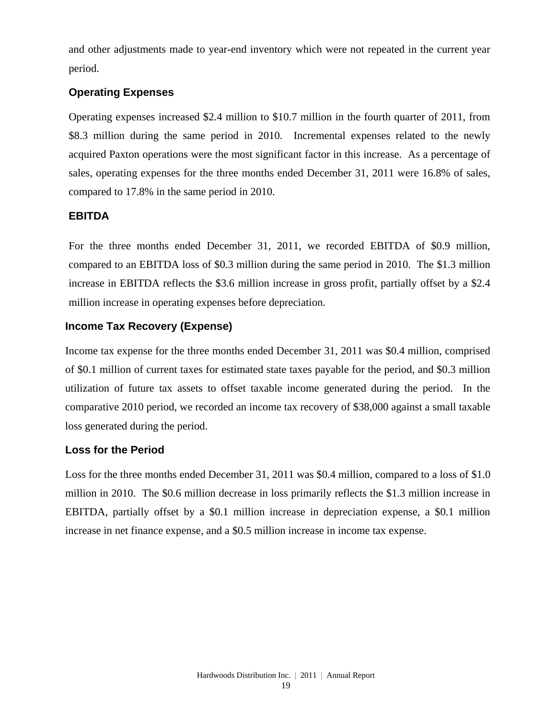and other adjustments made to year-end inventory which were not repeated in the current year period.

### **Operating Expenses**

Operating expenses increased \$2.4 million to \$10.7 million in the fourth quarter of 2011, from \$8.3 million during the same period in 2010. Incremental expenses related to the newly acquired Paxton operations were the most significant factor in this increase. As a percentage of sales, operating expenses for the three months ended December 31, 2011 were 16.8% of sales, compared to 17.8% in the same period in 2010.

### **EBITDA**

For the three months ended December 31, 2011, we recorded EBITDA of \$0.9 million, compared to an EBITDA loss of \$0.3 million during the same period in 2010. The \$1.3 million increase in EBITDA reflects the \$3.6 million increase in gross profit, partially offset by a \$2.4 million increase in operating expenses before depreciation.

### **Income Tax Recovery (Expense)**

Income tax expense for the three months ended December 31, 2011 was \$0.4 million, comprised of \$0.1 million of current taxes for estimated state taxes payable for the period, and \$0.3 million utilization of future tax assets to offset taxable income generated during the period. In the comparative 2010 period, we recorded an income tax recovery of \$38,000 against a small taxable loss generated during the period.

### **Loss for the Period**

Loss for the three months ended December 31, 2011 was \$0.4 million, compared to a loss of \$1.0 million in 2010. The \$0.6 million decrease in loss primarily reflects the \$1.3 million increase in EBITDA, partially offset by a \$0.1 million increase in depreciation expense, a \$0.1 million increase in net finance expense, and a \$0.5 million increase in income tax expense.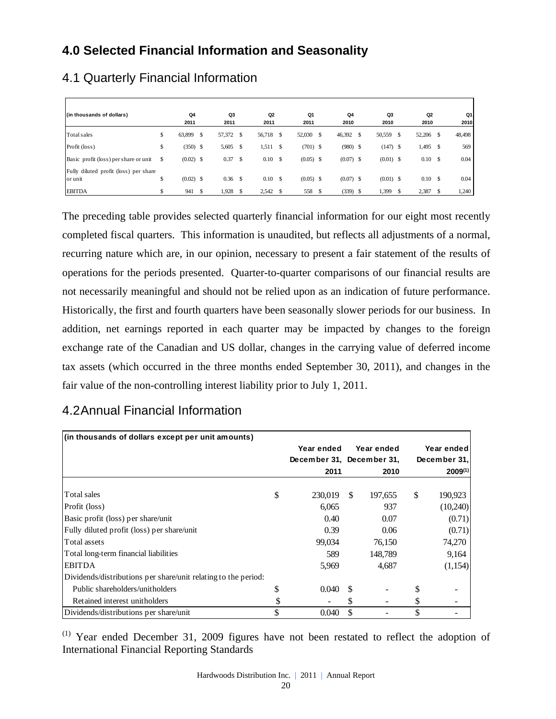# **4.0 Selected Financial Information and Seasonality**

| (in thousands of dollars)                        |    | Q4<br>2011  | Q <sub>3</sub><br>2011 |      | Q2<br>2011 |      | Q1<br>2011  | Q4<br>2010  | Q3<br>2010  | Q <sub>2</sub><br>2010 |    | Q1<br>2010 |
|--------------------------------------------------|----|-------------|------------------------|------|------------|------|-------------|-------------|-------------|------------------------|----|------------|
| Total sales                                      | \$ | 63,899      | \$<br>57,372 \$        |      | 56,718 \$  |      | 52,030 \$   | 46,392      | 50,559      | \$<br>52,206           | -S | 48,498     |
| Profit (loss)                                    | \$ | $(350)$ \$  | 5,605                  | -S   | 1,511      | - \$ | $(701)$ \$  | $(980)$ \$  | $(147)$ \$  | 1,495                  | -S | 569        |
| Basic profit (loss) per share or unit            | S  | $(0.02)$ \$ | 0.37                   | - \$ | 0.10S      |      | $(0.05)$ \$ | $(0.07)$ \$ | $(0.01)$ \$ | $0.10\,$ \$            |    | 0.04       |
| Fully diluted profit (loss) per share<br>or unit | \$ | $(0.02)$ \$ | $0.36$ \$              |      | 0.10S      |      | $(0.05)$ \$ | $(0.07)$ \$ | $(0.01)$ \$ | 0.10S                  |    | 0.04       |
| <b>EBITDA</b>                                    |    | 941         | \$<br>1,928            |      | $2,542$ \$ |      | 558 \$      | $(339)$ \$  | 1,399       | 2,387                  | -S | 1,240      |

# 4.1 Quarterly Financial Information

The preceding table provides selected quarterly financial information for our eight most recently completed fiscal quarters. This information is unaudited, but reflects all adjustments of a normal, recurring nature which are, in our opinion, necessary to present a fair statement of the results of operations for the periods presented. Quarter-to-quarter comparisons of our financial results are not necessarily meaningful and should not be relied upon as an indication of future performance. Historically, the first and fourth quarters have been seasonally slower periods for our business. In addition, net earnings reported in each quarter may be impacted by changes to the foreign exchange rate of the Canadian and US dollar, changes in the carrying value of deferred income tax assets (which occurred in the three months ended September 30, 2011), and changes in the fair value of the non-controlling interest liability prior to July 1, 2011.

| (in thousands of dollars except per unit amounts)              |                           |    |            |               |
|----------------------------------------------------------------|---------------------------|----|------------|---------------|
|                                                                | Year ended                |    | Year ended | Year ended    |
|                                                                | December 31, December 31, |    |            | December 31,  |
|                                                                | 2011                      |    | 2010       | 2009(1)       |
|                                                                |                           |    |            |               |
| Total sales                                                    | \$<br>230,019             | -S | 197,655    | \$<br>190,923 |
| Profit (loss)                                                  | 6,065                     |    | 937        | (10,240)      |
| Basic profit (loss) per share/unit                             | 0.40                      |    | 0.07       | (0.71)        |
| Fully diluted profit (loss) per share/unit                     | 0.39                      |    | 0.06       | (0.71)        |
| Total assets                                                   | 99,034                    |    | 76,150     | 74,270        |
| Total long-term financial liabilities                          | 589                       |    | 148,789    | 9,164         |
| <b>EBITDA</b>                                                  | 5,969                     |    | 4,687      | (1,154)       |
| Dividends/distributions per share/unit relating to the period: |                           |    |            |               |
| Public shareholders/unitholders                                | \$<br>0.040               |    |            |               |
| Retained interest unitholders                                  | \$                        | S  |            | \$            |
| Dividends/distributions per share/unit                         | \$<br>0.040               | \$ |            | \$            |

# 4.2 Annual Financial Information

(1) Year ended December 31, 2009 figures have not been restated to reflect the adoption of International Financial Reporting Standards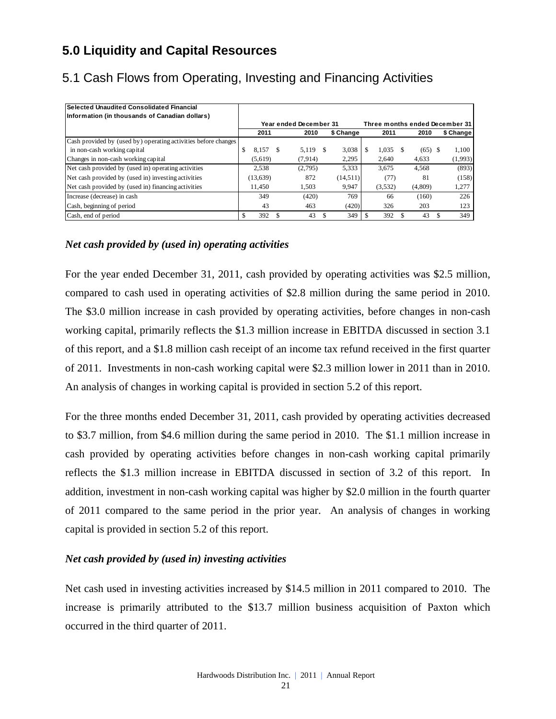# **5.0 Liquidity and Capital Resources**

| Selected Unaudited Consolidated Financial                      |    |           |    |                        |      |           |         |           |                                |
|----------------------------------------------------------------|----|-----------|----|------------------------|------|-----------|---------|-----------|--------------------------------|
| Information (in thousands of Canadian dollars)                 |    |           |    |                        |      |           |         |           |                                |
|                                                                |    |           |    | Year ended December 31 |      |           |         |           | Three months ended December 31 |
|                                                                |    | 2011      |    | 2010                   |      | \$ Change | 2011    | 2010      | \$ Change                      |
| Cash provided by (used by) operating activities before changes |    |           |    |                        |      |           |         |           |                                |
| in non-cash working capital                                    | \$ | 8.157     | -S | 5.119                  | - \$ | 3,038     | 1,035   | $(65)$ \$ | 1.100                          |
| Changes in non-cash working capital                            |    | (5.619)   |    | (7.914)                |      | 2.295     | 2.640   | 4.633     | (1,993)                        |
| Net cash provided by (used in) operating activities            |    | 2.538     |    | (2,795)                |      | 5,333     | 3.675   | 4,568     | (893)                          |
| Net cash provided by (used in) investing activities            |    | (13, 639) |    | 872                    |      | (14,511)  | (77)    | 81        | (158)                          |
| Net cash provided by (used in) financing activities            |    | 11.450    |    | 1.503                  |      | 9.947     | (3,532) | (4,809)   | 1,277                          |
| Increase (decrease) in cash                                    |    | 349       |    | (420)                  |      | 769       | 66      | (160)     | 226                            |
| Cash, beginning of period                                      |    | 43        |    | 463                    |      | (420)     | 326     | 203       | 123                            |
| Cash, end of period                                            | S  | 392       |    | 43                     |      | 349       | 392     | 43        | 349                            |

# 5.1 Cash Flows from Operating, Investing and Financing Activities

### *Net cash provided by (used in) operating activities*

For the year ended December 31, 2011, cash provided by operating activities was \$2.5 million, compared to cash used in operating activities of \$2.8 million during the same period in 2010. The \$3.0 million increase in cash provided by operating activities, before changes in non-cash working capital, primarily reflects the \$1.3 million increase in EBITDA discussed in section 3.1 of this report, and a \$1.8 million cash receipt of an income tax refund received in the first quarter of 2011. Investments in non-cash working capital were \$2.3 million lower in 2011 than in 2010. An analysis of changes in working capital is provided in section 5.2 of this report.

For the three months ended December 31, 2011, cash provided by operating activities decreased to \$3.7 million, from \$4.6 million during the same period in 2010. The \$1.1 million increase in cash provided by operating activities before changes in non-cash working capital primarily reflects the \$1.3 million increase in EBITDA discussed in section of 3.2 of this report. In addition, investment in non-cash working capital was higher by \$2.0 million in the fourth quarter of 2011 compared to the same period in the prior year. An analysis of changes in working capital is provided in section 5.2 of this report.

### *Net cash provided by (used in) investing activities*

Net cash used in investing activities increased by \$14.5 million in 2011 compared to 2010. The increase is primarily attributed to the \$13.7 million business acquisition of Paxton which occurred in the third quarter of 2011.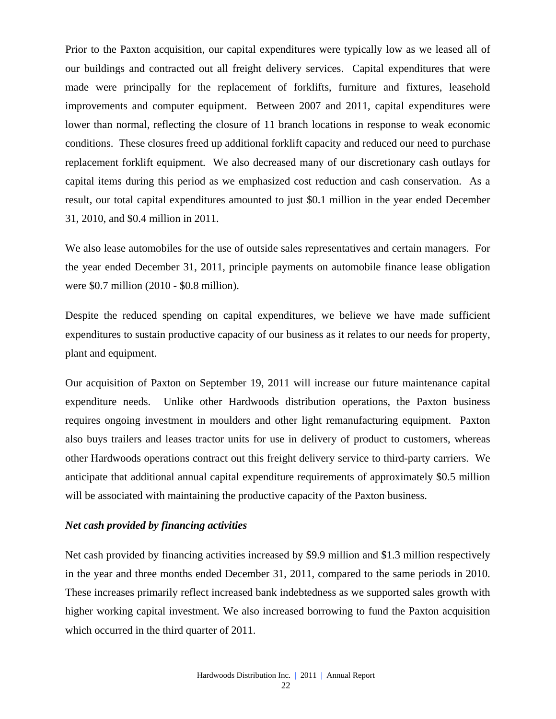Prior to the Paxton acquisition, our capital expenditures were typically low as we leased all of our buildings and contracted out all freight delivery services. Capital expenditures that were made were principally for the replacement of forklifts, furniture and fixtures, leasehold improvements and computer equipment. Between 2007 and 2011, capital expenditures were lower than normal, reflecting the closure of 11 branch locations in response to weak economic conditions. These closures freed up additional forklift capacity and reduced our need to purchase replacement forklift equipment. We also decreased many of our discretionary cash outlays for capital items during this period as we emphasized cost reduction and cash conservation. As a result, our total capital expenditures amounted to just \$0.1 million in the year ended December 31, 2010, and \$0.4 million in 2011.

We also lease automobiles for the use of outside sales representatives and certain managers. For the year ended December 31, 2011, principle payments on automobile finance lease obligation were \$0.7 million (2010 - \$0.8 million).

Despite the reduced spending on capital expenditures, we believe we have made sufficient expenditures to sustain productive capacity of our business as it relates to our needs for property, plant and equipment.

Our acquisition of Paxton on September 19, 2011 will increase our future maintenance capital expenditure needs. Unlike other Hardwoods distribution operations, the Paxton business requires ongoing investment in moulders and other light remanufacturing equipment. Paxton also buys trailers and leases tractor units for use in delivery of product to customers, whereas other Hardwoods operations contract out this freight delivery service to third-party carriers. We anticipate that additional annual capital expenditure requirements of approximately \$0.5 million will be associated with maintaining the productive capacity of the Paxton business.

#### *Net cash provided by financing activities*

Net cash provided by financing activities increased by \$9.9 million and \$1.3 million respectively in the year and three months ended December 31, 2011, compared to the same periods in 2010. These increases primarily reflect increased bank indebtedness as we supported sales growth with higher working capital investment. We also increased borrowing to fund the Paxton acquisition which occurred in the third quarter of 2011.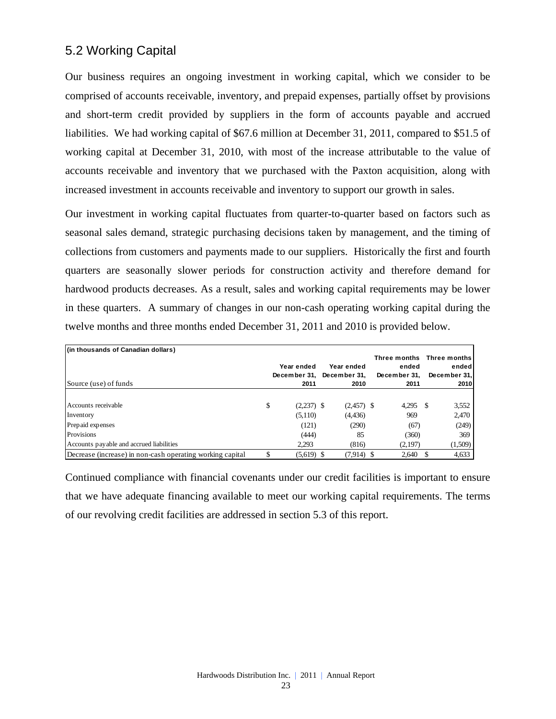# 5.2 Working Capital

Our business requires an ongoing investment in working capital, which we consider to be comprised of accounts receivable, inventory, and prepaid expenses, partially offset by provisions and short-term credit provided by suppliers in the form of accounts payable and accrued liabilities. We had working capital of \$67.6 million at December 31, 2011, compared to \$51.5 of working capital at December 31, 2010, with most of the increase attributable to the value of accounts receivable and inventory that we purchased with the Paxton acquisition, along with increased investment in accounts receivable and inventory to support our growth in sales.

Our investment in working capital fluctuates from quarter-to-quarter based on factors such as seasonal sales demand, strategic purchasing decisions taken by management, and the timing of collections from customers and payments made to our suppliers. Historically the first and fourth quarters are seasonally slower periods for construction activity and therefore demand for hardwood products decreases. As a result, sales and working capital requirements may be lower in these quarters. A summary of changes in our non-cash operating working capital during the twelve months and three months ended December 31, 2011 and 2010 is provided below.

| (in thousands of Canadian dollars)                        | Year ended<br>December 31, December 31, | Year ended   | Three months Three months<br>ended<br>December 31. | ended<br>December 31, |
|-----------------------------------------------------------|-----------------------------------------|--------------|----------------------------------------------------|-----------------------|
| Source (use) of funds                                     | 2011                                    | 2010         | 2011                                               | 2010                  |
|                                                           |                                         |              |                                                    |                       |
| Accounts receivable                                       | \$<br>$(2,237)$ \$                      | $(2,457)$ \$ | $4.295$ \$                                         | 3,552                 |
| Inventory                                                 | (5,110)                                 | (4, 436)     | 969                                                | 2,470                 |
| Prepaid expenses                                          | (121)                                   | (290)        | (67)                                               | (249)                 |
| Provisions                                                | (444)                                   | 85           | (360)                                              | 369                   |
| Accounts payable and accrued liabilities                  | 2.293                                   | (816)        | (2,197)                                            | (1,509)               |
| Decrease (increase) in non-cash operating working capital | $(5,619)$ \$                            | $(7,914)$ \$ | 2,640 \$                                           | 4,633                 |

Continued compliance with financial covenants under our credit facilities is important to ensure that we have adequate financing available to meet our working capital requirements. The terms of our revolving credit facilities are addressed in section 5.3 of this report.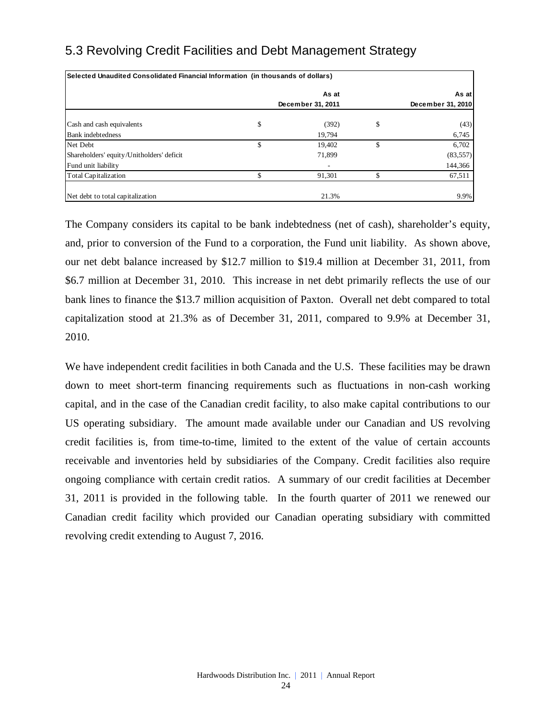# 5.3 Revolving Credit Facilities and Debt Management Strategy

| Selected Unaudited Consolidated Financial Information (in thousands of dollars) |                   |                   |
|---------------------------------------------------------------------------------|-------------------|-------------------|
|                                                                                 | As at             | As at             |
|                                                                                 | December 31, 2011 | December 31, 2010 |
| Cash and cash equivalents                                                       | \$<br>(392)       | \$<br>(43)        |
| <b>Bank</b> indebtedness                                                        | 19,794            | 6,745             |
| Net Debt                                                                        | \$<br>19.402      | \$<br>6,702       |
| Shareholders' equity/Unitholders' deficit                                       | 71.899            | (83, 557)         |
| Fund unit liability                                                             |                   | 144,366           |
| <b>Total Capitalization</b>                                                     | 91,301            | 67,511            |
| Net debt to total capitalization                                                | 21.3%             | 9.9%              |

The Company considers its capital to be bank indebtedness (net of cash), shareholder's equity, and, prior to conversion of the Fund to a corporation, the Fund unit liability. As shown above, our net debt balance increased by \$12.7 million to \$19.4 million at December 31, 2011, from \$6.7 million at December 31, 2010. This increase in net debt primarily reflects the use of our bank lines to finance the \$13.7 million acquisition of Paxton. Overall net debt compared to total capitalization stood at 21.3% as of December 31, 2011, compared to 9.9% at December 31, 2010.

We have independent credit facilities in both Canada and the U.S. These facilities may be drawn down to meet short-term financing requirements such as fluctuations in non-cash working capital, and in the case of the Canadian credit facility, to also make capital contributions to our US operating subsidiary. The amount made available under our Canadian and US revolving credit facilities is, from time-to-time, limited to the extent of the value of certain accounts receivable and inventories held by subsidiaries of the Company. Credit facilities also require ongoing compliance with certain credit ratios. A summary of our credit facilities at December 31, 2011 is provided in the following table. In the fourth quarter of 2011 we renewed our Canadian credit facility which provided our Canadian operating subsidiary with committed revolving credit extending to August 7, 2016.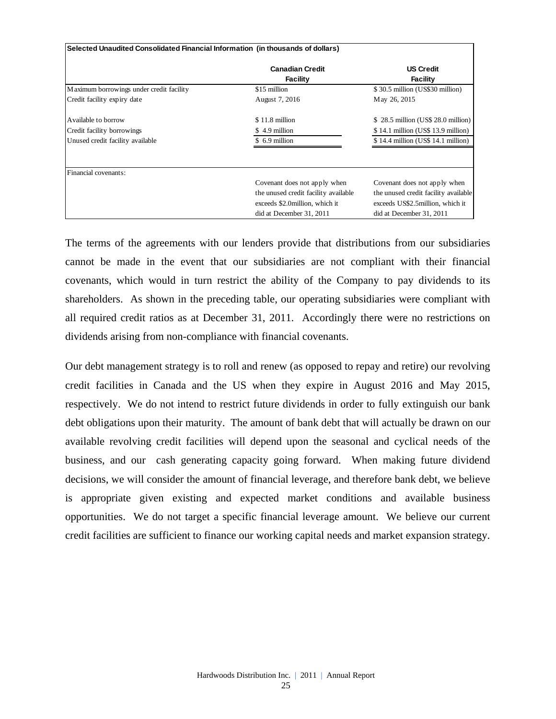| Selected Unaudited Consolidated Financial Information (in thousands of dollars) |                                           |                                      |
|---------------------------------------------------------------------------------|-------------------------------------------|--------------------------------------|
|                                                                                 | <b>Canadian Credit</b><br><b>Facility</b> | <b>US Credit</b><br><b>Facility</b>  |
| M aximum borrowings under credit facility                                       | \$15 million                              | \$30.5 million (US\$30 million)      |
| Credit facility expiry date                                                     | August 7, 2016                            | May 26, 2015                         |
| Available to borrow                                                             | \$11.8 million                            | \$28.5 million (US\$28.0 million)    |
| Credit facility borrowings                                                      | \$4.9 million                             | \$14.1 million (US\$13.9 million)    |
| Unused credit facility available                                                | \$ 6.9 million                            | $$14.4$ million (US\$ 14.1 million)  |
|                                                                                 |                                           |                                      |
| Financial covenants:                                                            |                                           |                                      |
|                                                                                 | Covenant does not apply when              | Covenant does not apply when         |
|                                                                                 | the unused credit facility available      | the unused credit facility available |
|                                                                                 | exceeds \$2.0 million, which it           | exceeds US\$2.5 million, which it    |
|                                                                                 | did at December 31, 2011                  | did at December 31, 2011             |

The terms of the agreements with our lenders provide that distributions from our subsidiaries cannot be made in the event that our subsidiaries are not compliant with their financial covenants, which would in turn restrict the ability of the Company to pay dividends to its shareholders. As shown in the preceding table, our operating subsidiaries were compliant with all required credit ratios as at December 31, 2011. Accordingly there were no restrictions on dividends arising from non-compliance with financial covenants.

Our debt management strategy is to roll and renew (as opposed to repay and retire) our revolving credit facilities in Canada and the US when they expire in August 2016 and May 2015, respectively. We do not intend to restrict future dividends in order to fully extinguish our bank debt obligations upon their maturity. The amount of bank debt that will actually be drawn on our available revolving credit facilities will depend upon the seasonal and cyclical needs of the business, and our cash generating capacity going forward. When making future dividend decisions, we will consider the amount of financial leverage, and therefore bank debt, we believe is appropriate given existing and expected market conditions and available business opportunities. We do not target a specific financial leverage amount. We believe our current credit facilities are sufficient to finance our working capital needs and market expansion strategy.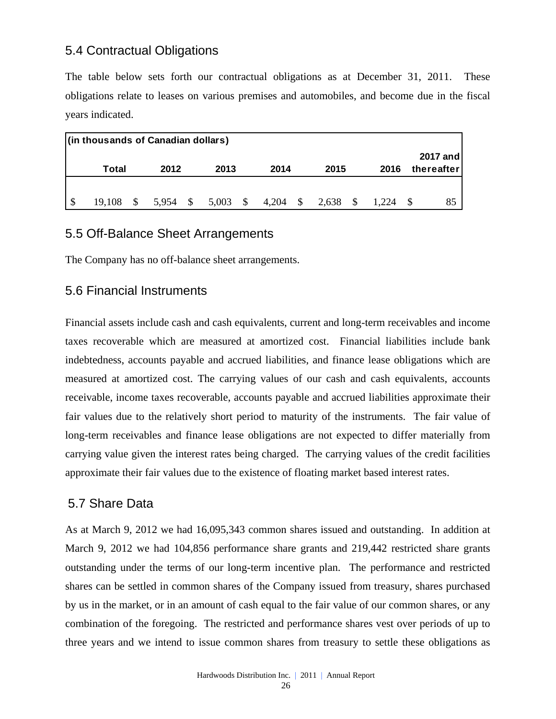# 5.4 Contractual Obligations

The table below sets forth our contractual obligations as at December 31, 2011. These obligations relate to leases on various premises and automobiles, and become due in the fiscal years indicated.

|    | (in thousands of Canadian dollars) |          |          |            |       |      |       |       |                               |
|----|------------------------------------|----------|----------|------------|-------|------|-------|-------|-------------------------------|
|    | Total                              |          | 2012     | 2013       | 2014  |      | 2015  | 2016  | <b>2017 and</b><br>thereafter |
|    |                                    |          |          |            |       |      |       |       |                               |
| -S | 19,108                             | <b>S</b> | 5,954 \$ | $5,003$ \$ | 4,204 | - \$ | 2,638 | 1.224 | 85                            |

### 5.5 Off-Balance Sheet Arrangements

The Company has no off-balance sheet arrangements.

### 5.6 Financial Instruments

Financial assets include cash and cash equivalents, current and long-term receivables and income taxes recoverable which are measured at amortized cost. Financial liabilities include bank indebtedness, accounts payable and accrued liabilities, and finance lease obligations which are measured at amortized cost. The carrying values of our cash and cash equivalents, accounts receivable, income taxes recoverable, accounts payable and accrued liabilities approximate their fair values due to the relatively short period to maturity of the instruments. The fair value of long-term receivables and finance lease obligations are not expected to differ materially from carrying value given the interest rates being charged. The carrying values of the credit facilities approximate their fair values due to the existence of floating market based interest rates.

### 5.7 Share Data

As at March 9, 2012 we had 16,095,343 common shares issued and outstanding. In addition at March 9, 2012 we had 104,856 performance share grants and 219,442 restricted share grants outstanding under the terms of our long-term incentive plan. The performance and restricted shares can be settled in common shares of the Company issued from treasury, shares purchased by us in the market, or in an amount of cash equal to the fair value of our common shares, or any combination of the foregoing. The restricted and performance shares vest over periods of up to three years and we intend to issue common shares from treasury to settle these obligations as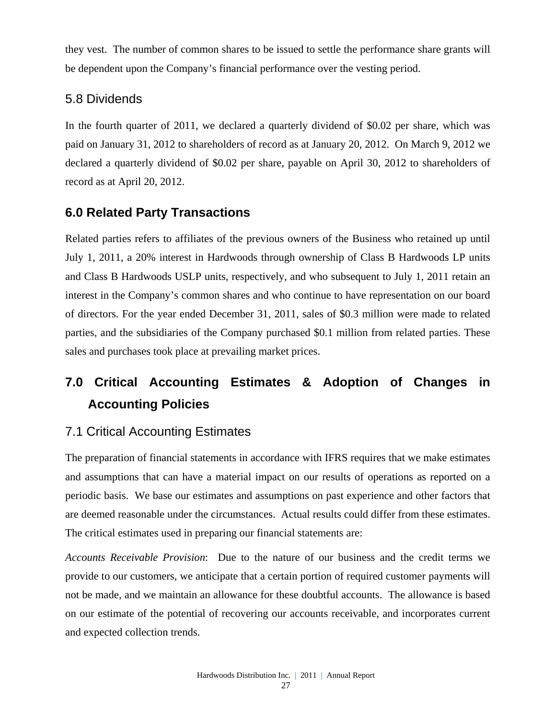they vest. The number of common shares to be issued to settle the performance share grants will be dependent upon the Company's financial performance over the vesting period.

# 5.8 Dividends

In the fourth quarter of 2011, we declared a quarterly dividend of \$0.02 per share, which was paid on January 31, 2012 to shareholders of record as at January 20, 2012. On March 9, 2012 we declared a quarterly dividend of \$0.02 per share, payable on April 30, 2012 to shareholders of record as at April 20, 2012.

# **6.0 Related Party Transactions**

Related parties refers to affiliates of the previous owners of the Business who retained up until July 1, 2011, a 20% interest in Hardwoods through ownership of Class B Hardwoods LP units and Class B Hardwoods USLP units, respectively, and who subsequent to July 1, 2011 retain an interest in the Company's common shares and who continue to have representation on our board of directors. For the year ended December 31, 2011, sales of \$0.3 million were made to related parties, and the subsidiaries of the Company purchased \$0.1 million from related parties. These sales and purchases took place at prevailing market prices.

# **7.0 Critical Accounting Estimates & Adoption of Changes in Accounting Policies**

# 7.1 Critical Accounting Estimates

The preparation of financial statements in accordance with IFRS requires that we make estimates and assumptions that can have a material impact on our results of operations as reported on a periodic basis. We base our estimates and assumptions on past experience and other factors that are deemed reasonable under the circumstances. Actual results could differ from these estimates. The critical estimates used in preparing our financial statements are:

*Accounts Receivable Provision*: Due to the nature of our business and the credit terms we provide to our customers, we anticipate that a certain portion of required customer payments will not be made, and we maintain an allowance for these doubtful accounts. The allowance is based on our estimate of the potential of recovering our accounts receivable, and incorporates current and expected collection trends.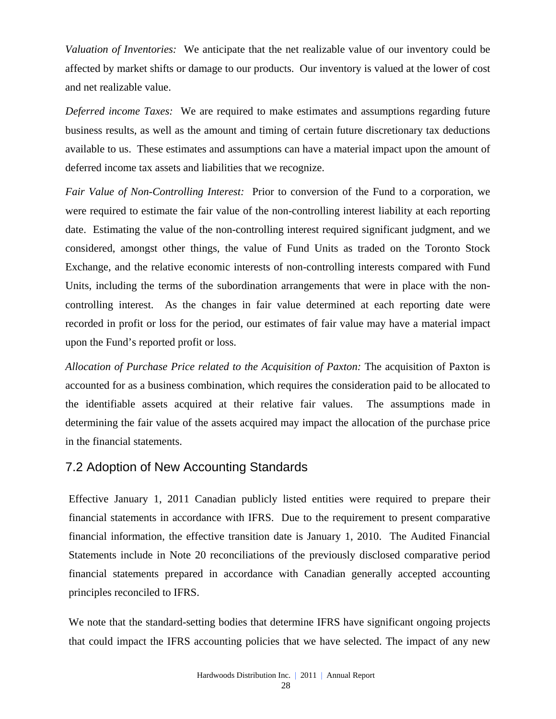*Valuation of Inventories:* We anticipate that the net realizable value of our inventory could be affected by market shifts or damage to our products. Our inventory is valued at the lower of cost and net realizable value.

*Deferred income Taxes:* We are required to make estimates and assumptions regarding future business results, as well as the amount and timing of certain future discretionary tax deductions available to us. These estimates and assumptions can have a material impact upon the amount of deferred income tax assets and liabilities that we recognize.

*Fair Value of Non-Controlling Interest:* Prior to conversion of the Fund to a corporation, we were required to estimate the fair value of the non-controlling interest liability at each reporting date. Estimating the value of the non-controlling interest required significant judgment, and we considered, amongst other things, the value of Fund Units as traded on the Toronto Stock Exchange, and the relative economic interests of non-controlling interests compared with Fund Units, including the terms of the subordination arrangements that were in place with the noncontrolling interest. As the changes in fair value determined at each reporting date were recorded in profit or loss for the period, our estimates of fair value may have a material impact upon the Fund's reported profit or loss.

*Allocation of Purchase Price related to the Acquisition of Paxton:* The acquisition of Paxton is accounted for as a business combination, which requires the consideration paid to be allocated to the identifiable assets acquired at their relative fair values. The assumptions made in determining the fair value of the assets acquired may impact the allocation of the purchase price in the financial statements.

# 7.2 Adoption of New Accounting Standards

Effective January 1, 2011 Canadian publicly listed entities were required to prepare their financial statements in accordance with IFRS. Due to the requirement to present comparative financial information, the effective transition date is January 1, 2010. The Audited Financial Statements include in Note 20 reconciliations of the previously disclosed comparative period financial statements prepared in accordance with Canadian generally accepted accounting principles reconciled to IFRS.

We note that the standard-setting bodies that determine IFRS have significant ongoing projects that could impact the IFRS accounting policies that we have selected. The impact of any new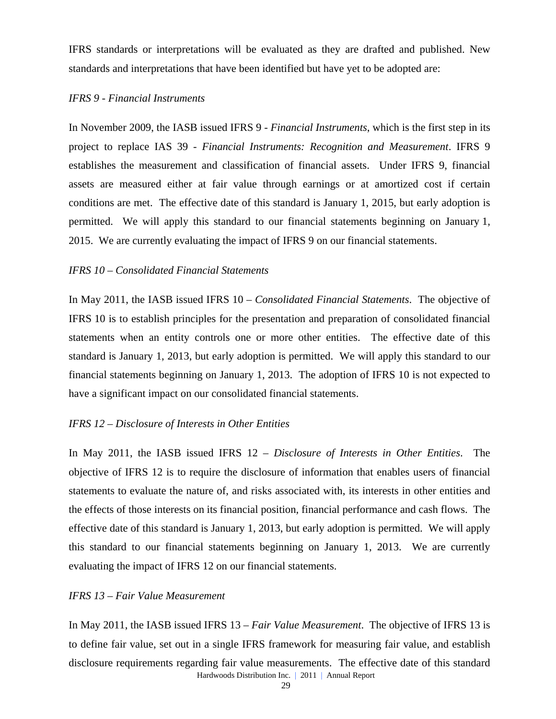IFRS standards or interpretations will be evaluated as they are drafted and published. New standards and interpretations that have been identified but have yet to be adopted are:

#### *IFRS 9 - Financial Instruments*

In November 2009, the IASB issued IFRS 9 - *Financial Instruments*, which is the first step in its project to replace IAS 39 - *Financial Instruments: Recognition and Measurement*. IFRS 9 establishes the measurement and classification of financial assets. Under IFRS 9, financial assets are measured either at fair value through earnings or at amortized cost if certain conditions are met. The effective date of this standard is January 1, 2015, but early adoption is permitted. We will apply this standard to our financial statements beginning on January 1, 2015. We are currently evaluating the impact of IFRS 9 on our financial statements.

#### *IFRS 10 – Consolidated Financial Statements*

In May 2011, the IASB issued IFRS 10 – *Consolidated Financial Statements*. The objective of IFRS 10 is to establish principles for the presentation and preparation of consolidated financial statements when an entity controls one or more other entities. The effective date of this standard is January 1, 2013, but early adoption is permitted. We will apply this standard to our financial statements beginning on January 1, 2013. The adoption of IFRS 10 is not expected to have a significant impact on our consolidated financial statements.

### *IFRS 12 – Disclosure of Interests in Other Entities*

In May 2011, the IASB issued IFRS 12 – *Disclosure of Interests in Other Entities*. The objective of IFRS 12 is to require the disclosure of information that enables users of financial statements to evaluate the nature of, and risks associated with, its interests in other entities and the effects of those interests on its financial position, financial performance and cash flows. The effective date of this standard is January 1, 2013, but early adoption is permitted. We will apply this standard to our financial statements beginning on January 1, 2013. We are currently evaluating the impact of IFRS 12 on our financial statements.

### *IFRS 13 – Fair Value Measurement*

Hardwoods Distribution Inc. | 2011 | Annual Report In May 2011, the IASB issued IFRS 13 – *Fair Value Measurement*. The objective of IFRS 13 is to define fair value, set out in a single IFRS framework for measuring fair value, and establish disclosure requirements regarding fair value measurements. The effective date of this standard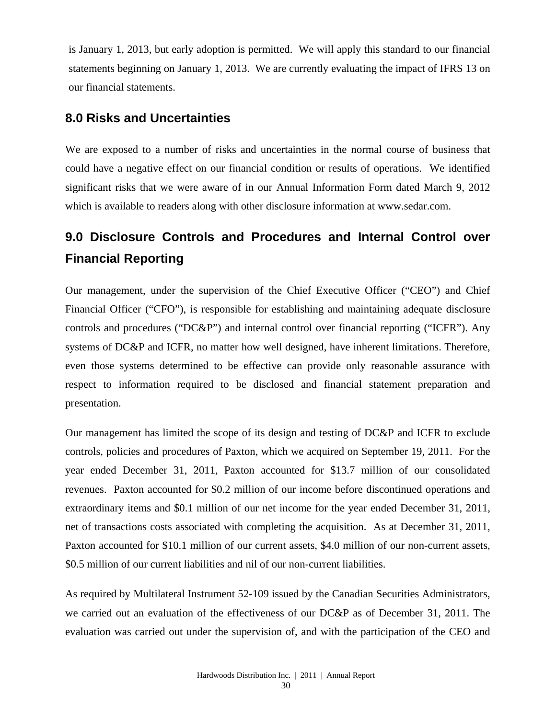is January 1, 2013, but early adoption is permitted. We will apply this standard to our financial statements beginning on January 1, 2013. We are currently evaluating the impact of IFRS 13 on our financial statements.

# **8.0 Risks and Uncertainties**

We are exposed to a number of risks and uncertainties in the normal course of business that could have a negative effect on our financial condition or results of operations. We identified significant risks that we were aware of in our Annual Information Form dated March 9, 2012 which is available to readers along with other disclosure information at www.sedar.com.

# **9.0 Disclosure Controls and Procedures and Internal Control over Financial Reporting**

Our management, under the supervision of the Chief Executive Officer ("CEO") and Chief Financial Officer ("CFO"), is responsible for establishing and maintaining adequate disclosure controls and procedures ("DC&P") and internal control over financial reporting ("ICFR"). Any systems of DC&P and ICFR, no matter how well designed, have inherent limitations. Therefore, even those systems determined to be effective can provide only reasonable assurance with respect to information required to be disclosed and financial statement preparation and presentation.

Our management has limited the scope of its design and testing of DC&P and ICFR to exclude controls, policies and procedures of Paxton, which we acquired on September 19, 2011. For the year ended December 31, 2011, Paxton accounted for \$13.7 million of our consolidated revenues. Paxton accounted for \$0.2 million of our income before discontinued operations and extraordinary items and \$0.1 million of our net income for the year ended December 31, 2011, net of transactions costs associated with completing the acquisition. As at December 31, 2011, Paxton accounted for \$10.1 million of our current assets, \$4.0 million of our non-current assets, \$0.5 million of our current liabilities and nil of our non-current liabilities.

As required by Multilateral Instrument 52-109 issued by the Canadian Securities Administrators, we carried out an evaluation of the effectiveness of our DC&P as of December 31, 2011. The evaluation was carried out under the supervision of, and with the participation of the CEO and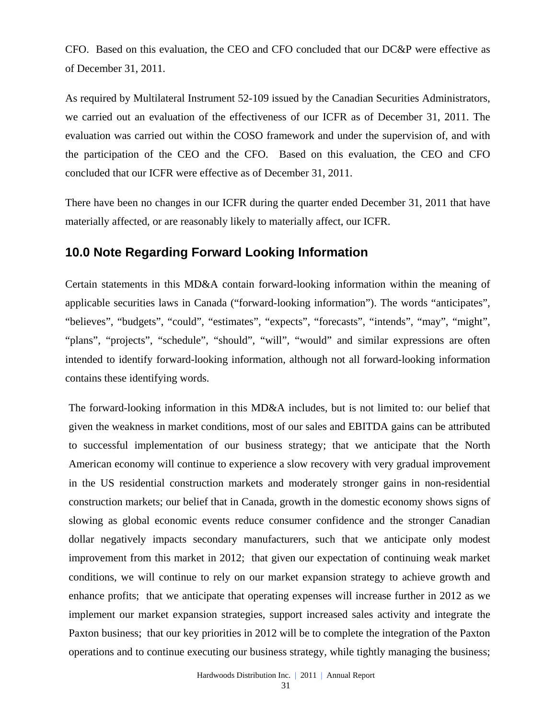CFO. Based on this evaluation, the CEO and CFO concluded that our DC&P were effective as of December 31, 2011.

As required by Multilateral Instrument 52-109 issued by the Canadian Securities Administrators, we carried out an evaluation of the effectiveness of our ICFR as of December 31, 2011. The evaluation was carried out within the COSO framework and under the supervision of, and with the participation of the CEO and the CFO. Based on this evaluation, the CEO and CFO concluded that our ICFR were effective as of December 31, 2011.

There have been no changes in our ICFR during the quarter ended December 31, 2011 that have materially affected, or are reasonably likely to materially affect, our ICFR.

### **10.0 Note Regarding Forward Looking Information**

Certain statements in this MD&A contain forward-looking information within the meaning of applicable securities laws in Canada ("forward-looking information"). The words "anticipates", "believes", "budgets", "could", "estimates", "expects", "forecasts", "intends", "may", "might", "plans", "projects", "schedule", "should", "will", "would" and similar expressions are often intended to identify forward-looking information, although not all forward-looking information contains these identifying words.

The forward-looking information in this MD&A includes, but is not limited to: our belief that given the weakness in market conditions, most of our sales and EBITDA gains can be attributed to successful implementation of our business strategy; that we anticipate that the North American economy will continue to experience a slow recovery with very gradual improvement in the US residential construction markets and moderately stronger gains in non-residential construction markets; our belief that in Canada, growth in the domestic economy shows signs of slowing as global economic events reduce consumer confidence and the stronger Canadian dollar negatively impacts secondary manufacturers, such that we anticipate only modest improvement from this market in 2012; that given our expectation of continuing weak market conditions, we will continue to rely on our market expansion strategy to achieve growth and enhance profits; that we anticipate that operating expenses will increase further in 2012 as we implement our market expansion strategies, support increased sales activity and integrate the Paxton business; that our key priorities in 2012 will be to complete the integration of the Paxton operations and to continue executing our business strategy, while tightly managing the business;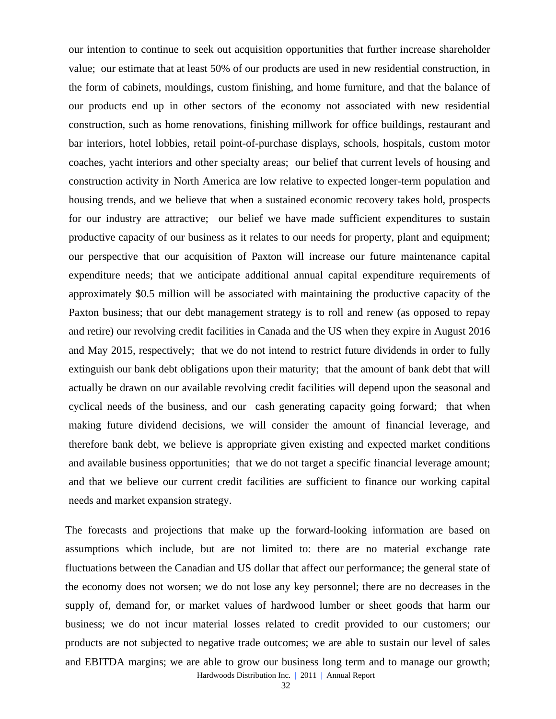our intention to continue to seek out acquisition opportunities that further increase shareholder value; our estimate that at least 50% of our products are used in new residential construction, in the form of cabinets, mouldings, custom finishing, and home furniture, and that the balance of our products end up in other sectors of the economy not associated with new residential construction, such as home renovations, finishing millwork for office buildings, restaurant and bar interiors, hotel lobbies, retail point-of-purchase displays, schools, hospitals, custom motor coaches, yacht interiors and other specialty areas; our belief that current levels of housing and construction activity in North America are low relative to expected longer-term population and housing trends, and we believe that when a sustained economic recovery takes hold, prospects for our industry are attractive; our belief we have made sufficient expenditures to sustain productive capacity of our business as it relates to our needs for property, plant and equipment; our perspective that our acquisition of Paxton will increase our future maintenance capital expenditure needs; that we anticipate additional annual capital expenditure requirements of approximately \$0.5 million will be associated with maintaining the productive capacity of the Paxton business; that our debt management strategy is to roll and renew (as opposed to repay and retire) our revolving credit facilities in Canada and the US when they expire in August 2016 and May 2015, respectively; that we do not intend to restrict future dividends in order to fully extinguish our bank debt obligations upon their maturity; that the amount of bank debt that will actually be drawn on our available revolving credit facilities will depend upon the seasonal and cyclical needs of the business, and our cash generating capacity going forward; that when making future dividend decisions, we will consider the amount of financial leverage, and therefore bank debt, we believe is appropriate given existing and expected market conditions and available business opportunities; that we do not target a specific financial leverage amount; and that we believe our current credit facilities are sufficient to finance our working capital needs and market expansion strategy.

The forecasts and projections that make up the forward-looking information are based on assumptions which include, but are not limited to: there are no material exchange rate fluctuations between the Canadian and US dollar that affect our performance; the general state of the economy does not worsen; we do not lose any key personnel; there are no decreases in the supply of, demand for, or market values of hardwood lumber or sheet goods that harm our business; we do not incur material losses related to credit provided to our customers; our products are not subjected to negative trade outcomes; we are able to sustain our level of sales and EBITDA margins; we are able to grow our business long term and to manage our growth;

Hardwoods Distribution Inc. | 2011 | Annual Report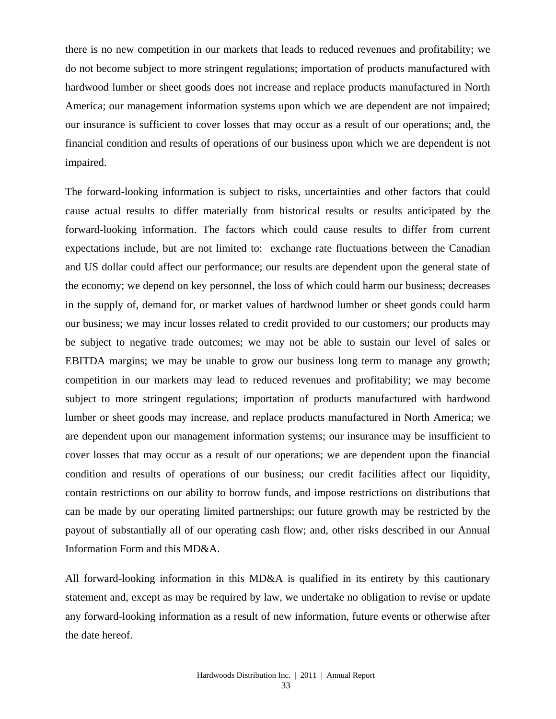there is no new competition in our markets that leads to reduced revenues and profitability; we do not become subject to more stringent regulations; importation of products manufactured with hardwood lumber or sheet goods does not increase and replace products manufactured in North America; our management information systems upon which we are dependent are not impaired; our insurance is sufficient to cover losses that may occur as a result of our operations; and, the financial condition and results of operations of our business upon which we are dependent is not impaired.

The forward-looking information is subject to risks, uncertainties and other factors that could cause actual results to differ materially from historical results or results anticipated by the forward-looking information. The factors which could cause results to differ from current expectations include, but are not limited to: exchange rate fluctuations between the Canadian and US dollar could affect our performance; our results are dependent upon the general state of the economy; we depend on key personnel, the loss of which could harm our business; decreases in the supply of, demand for, or market values of hardwood lumber or sheet goods could harm our business; we may incur losses related to credit provided to our customers; our products may be subject to negative trade outcomes; we may not be able to sustain our level of sales or EBITDA margins; we may be unable to grow our business long term to manage any growth; competition in our markets may lead to reduced revenues and profitability; we may become subject to more stringent regulations; importation of products manufactured with hardwood lumber or sheet goods may increase, and replace products manufactured in North America; we are dependent upon our management information systems; our insurance may be insufficient to cover losses that may occur as a result of our operations; we are dependent upon the financial condition and results of operations of our business; our credit facilities affect our liquidity, contain restrictions on our ability to borrow funds, and impose restrictions on distributions that can be made by our operating limited partnerships; our future growth may be restricted by the payout of substantially all of our operating cash flow; and, other risks described in our Annual Information Form and this MD&A.

All forward-looking information in this MD&A is qualified in its entirety by this cautionary statement and, except as may be required by law, we undertake no obligation to revise or update any forward-looking information as a result of new information, future events or otherwise after the date hereof.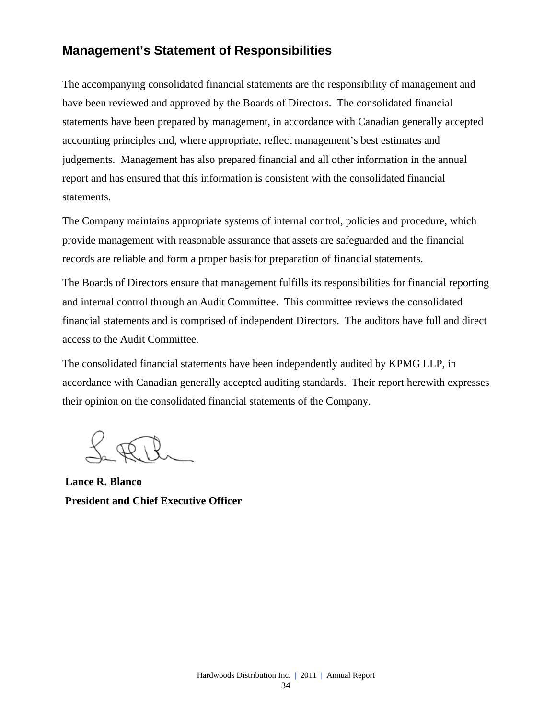# **Management's Statement of Responsibilities**

The accompanying consolidated financial statements are the responsibility of management and have been reviewed and approved by the Boards of Directors. The consolidated financial statements have been prepared by management, in accordance with Canadian generally accepted accounting principles and, where appropriate, reflect management's best estimates and judgements. Management has also prepared financial and all other information in the annual report and has ensured that this information is consistent with the consolidated financial statements.

The Company maintains appropriate systems of internal control, policies and procedure, which provide management with reasonable assurance that assets are safeguarded and the financial records are reliable and form a proper basis for preparation of financial statements.

The Boards of Directors ensure that management fulfills its responsibilities for financial reporting and internal control through an Audit Committee. This committee reviews the consolidated financial statements and is comprised of independent Directors. The auditors have full and direct access to the Audit Committee.

The consolidated financial statements have been independently audited by KPMG LLP, in accordance with Canadian generally accepted auditing standards. Their report herewith expresses their opinion on the consolidated financial statements of the Company.

**Lance R. Blanco President and Chief Executive Officer**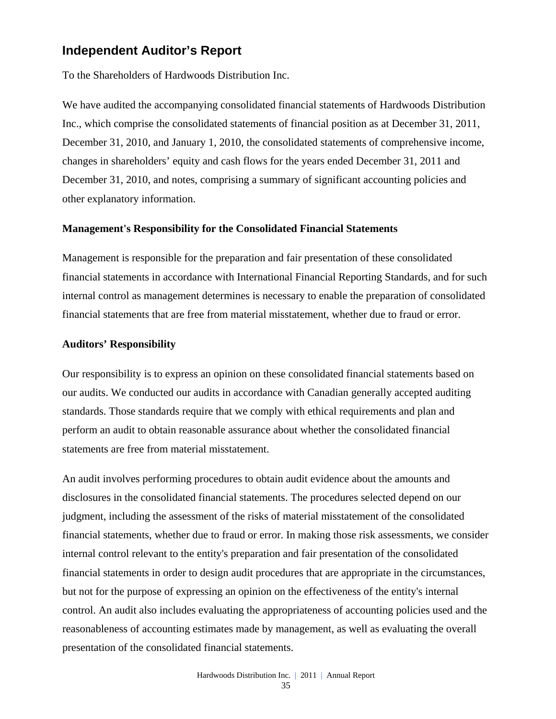# **Independent Auditor's Report**

To the Shareholders of Hardwoods Distribution Inc.

We have audited the accompanying consolidated financial statements of Hardwoods Distribution Inc., which comprise the consolidated statements of financial position as at December 31, 2011, December 31, 2010, and January 1, 2010, the consolidated statements of comprehensive income, changes in shareholders' equity and cash flows for the years ended December 31, 2011 and December 31, 2010, and notes, comprising a summary of significant accounting policies and other explanatory information.

#### **Management's Responsibility for the Consolidated Financial Statements**

Management is responsible for the preparation and fair presentation of these consolidated financial statements in accordance with International Financial Reporting Standards, and for such internal control as management determines is necessary to enable the preparation of consolidated financial statements that are free from material misstatement, whether due to fraud or error.

#### **Auditors' Responsibility**

Our responsibility is to express an opinion on these consolidated financial statements based on our audits. We conducted our audits in accordance with Canadian generally accepted auditing standards. Those standards require that we comply with ethical requirements and plan and perform an audit to obtain reasonable assurance about whether the consolidated financial statements are free from material misstatement.

An audit involves performing procedures to obtain audit evidence about the amounts and disclosures in the consolidated financial statements. The procedures selected depend on our judgment, including the assessment of the risks of material misstatement of the consolidated financial statements, whether due to fraud or error. In making those risk assessments, we consider internal control relevant to the entity's preparation and fair presentation of the consolidated financial statements in order to design audit procedures that are appropriate in the circumstances, but not for the purpose of expressing an opinion on the effectiveness of the entity's internal control. An audit also includes evaluating the appropriateness of accounting policies used and the reasonableness of accounting estimates made by management, as well as evaluating the overall presentation of the consolidated financial statements.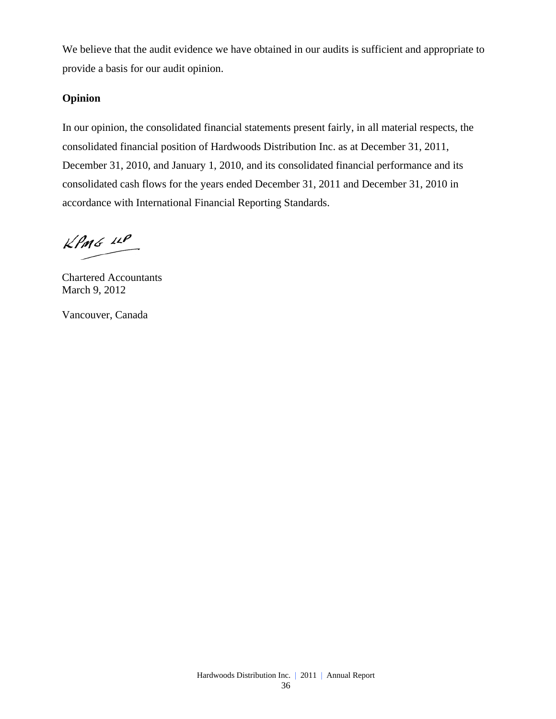We believe that the audit evidence we have obtained in our audits is sufficient and appropriate to provide a basis for our audit opinion.

### **Opinion**

In our opinion, the consolidated financial statements present fairly, in all material respects, the consolidated financial position of Hardwoods Distribution Inc. as at December 31, 2011, December 31, 2010, and January 1, 2010, and its consolidated financial performance and its consolidated cash flows for the years ended December 31, 2011 and December 31, 2010 in accordance with International Financial Reporting Standards.

 $k$ *PmG*  $44$ 

Chartered Accountants March 9, 2012

Vancouver, Canada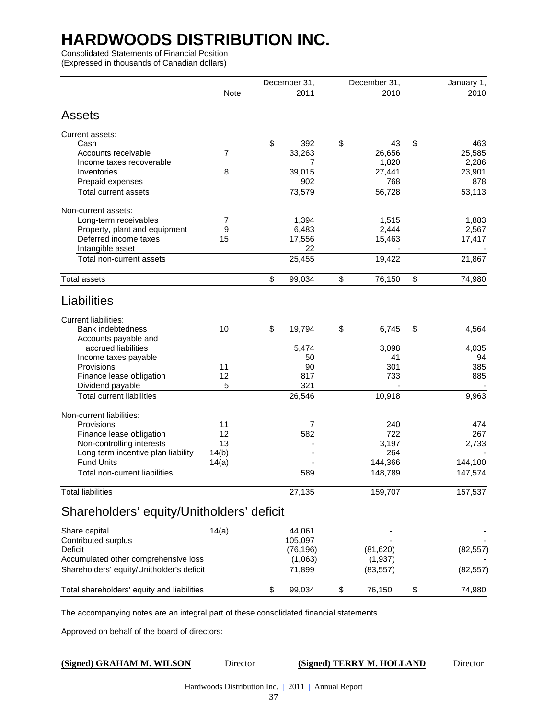Consolidated Statements of Financial Position

(Expressed in thousands of Canadian dollars)

|                                            |             |    | December 31, | December 31, |           |    | January 1, |
|--------------------------------------------|-------------|----|--------------|--------------|-----------|----|------------|
|                                            | <b>Note</b> |    | 2011         |              | 2010      |    | 2010       |
| <b>Assets</b>                              |             |    |              |              |           |    |            |
|                                            |             |    |              |              |           |    |            |
| Current assets:                            |             |    |              |              |           |    |            |
| Cash                                       |             | \$ | 392          | \$           | 43        | \$ | 463        |
| Accounts receivable                        | 7           |    | 33,263       |              | 26,656    |    | 25,585     |
| Income taxes recoverable                   |             |    | 7            |              | 1,820     |    | 2,286      |
| Inventories                                | 8           |    | 39,015       |              | 27,441    |    | 23,901     |
| Prepaid expenses                           |             |    | 902          |              | 768       |    | 878        |
| Total current assets                       |             |    | 73,579       |              | 56,728    |    | 53,113     |
| Non-current assets:                        |             |    |              |              |           |    |            |
| Long-term receivables                      | 7           |    | 1,394        |              | 1,515     |    | 1,883      |
| Property, plant and equipment              | 9           |    | 6,483        |              | 2,444     |    | 2,567      |
| Deferred income taxes                      | 15          |    | 17,556       |              | 15,463    |    | 17,417     |
| Intangible asset                           |             |    | 22           |              |           |    |            |
| Total non-current assets                   |             |    | 25,455       |              | 19,422    |    | 21,867     |
| <b>Total assets</b>                        |             | \$ | 99,034       | \$           | 76,150    | \$ | 74,980     |
| Liabilities                                |             |    |              |              |           |    |            |
| <b>Current liabilities:</b>                |             |    |              |              |           |    |            |
| <b>Bank indebtedness</b>                   | 10          | \$ | 19,794       | \$           | 6,745     | \$ | 4,564      |
| Accounts payable and                       |             |    |              |              |           |    |            |
| accrued liabilities                        |             |    | 5,474        |              | 3,098     |    | 4,035      |
| Income taxes payable                       |             |    | 50           |              | 41        |    | 94         |
| Provisions                                 | 11          |    | 90           |              | 301       |    | 385        |
| Finance lease obligation                   | 12          |    | 817          |              | 733       |    | 885        |
| Dividend payable                           | 5           |    | 321          |              |           |    |            |
| <b>Total current liabilities</b>           |             |    | 26,546       |              | 10,918    |    | 9,963      |
| Non-current liabilities:                   |             |    |              |              |           |    |            |
| Provisions                                 | 11          |    | 7            |              | 240       |    | 474        |
| Finance lease obligation                   | 12          |    | 582          |              | 722       |    | 267        |
| Non-controlling interests                  | 13          |    |              |              | 3,197     |    | 2,733      |
| Long term incentive plan liability         | 14(b)       |    |              |              | 264       |    |            |
| <b>Fund Units</b>                          | 14(a)       |    |              |              | 144,366   |    | 144,100    |
| Total non-current liabilities              |             |    | 589          |              | 148,789   |    | 147,574    |
| <b>Total liabilities</b>                   |             |    | 27,135       |              | 159,707   |    | 157,537    |
| Shareholders' equity/Unitholders' deficit  |             |    |              |              |           |    |            |
| Share capital                              | 14(a)       |    | 44,061       |              |           |    |            |
| Contributed surplus                        |             |    | 105,097      |              |           |    |            |
| Deficit                                    |             |    | (76, 196)    |              | (81, 620) |    | (82, 557)  |
| Accumulated other comprehensive loss       |             |    | (1,063)      |              | (1,937)   |    |            |
| Shareholders' equity/Unitholder's deficit  |             |    | 71,899       |              | (83, 557) |    | (82, 557)  |
| Total shareholders' equity and liabilities |             | \$ | 99,034       | \$           | 76,150    | \$ | 74,980     |
|                                            |             |    |              |              |           |    |            |

The accompanying notes are an integral part of these consolidated financial statements.

Approved on behalf of the board of directors:

### **(Signed) GRAHAM M. WILSON** Director **(Signed) TERRY M. HOLLAND** Director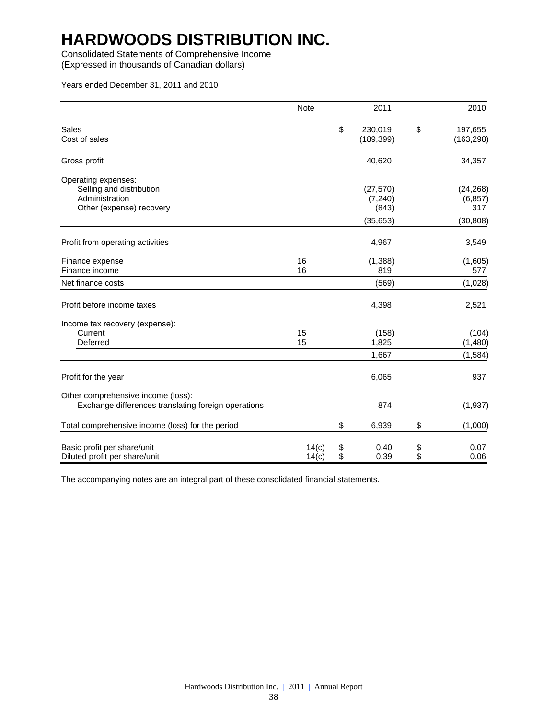Consolidated Statements of Comprehensive Income

(Expressed in thousands of Canadian dollars)

Years ended December 31, 2011 and 2010

|                                                                                           | <b>Note</b>    |          | 2011                    |          | 2010                        |
|-------------------------------------------------------------------------------------------|----------------|----------|-------------------------|----------|-----------------------------|
| Sales<br>Cost of sales                                                                    |                | \$       | 230,019<br>(189, 399)   | \$       | 197,655<br>(163, 298)       |
| Gross profit                                                                              |                |          | 40,620                  |          | 34,357                      |
| Operating expenses:<br>Selling and distribution<br>Administration                         |                |          | (27, 570)<br>(7,240)    |          | (24, 268)<br>(6, 857)       |
| Other (expense) recovery                                                                  |                |          | (843)<br>(35, 653)      |          | 317<br>(30, 808)            |
| Profit from operating activities                                                          |                |          | 4,967                   |          | 3,549                       |
| Finance expense<br>Finance income                                                         | 16<br>16       |          | (1, 388)<br>819         |          | (1,605)<br>577              |
| Net finance costs                                                                         |                |          | (569)                   |          | (1,028)                     |
| Profit before income taxes                                                                |                |          | 4,398                   |          | 2,521                       |
| Income tax recovery (expense):<br>Current<br>Deferred                                     | 15<br>15       |          | (158)<br>1,825<br>1,667 |          | (104)<br>(1,480)<br>(1,584) |
| Profit for the year                                                                       |                |          | 6,065                   |          | 937                         |
| Other comprehensive income (loss):<br>Exchange differences translating foreign operations |                |          | 874                     |          | (1, 937)                    |
| Total comprehensive income (loss) for the period                                          |                | \$       | 6,939                   | \$       | (1,000)                     |
| Basic profit per share/unit<br>Diluted profit per share/unit                              | 14(c)<br>14(c) | \$<br>\$ | 0.40<br>0.39            | \$<br>\$ | 0.07<br>0.06                |

The accompanying notes are an integral part of these consolidated financial statements.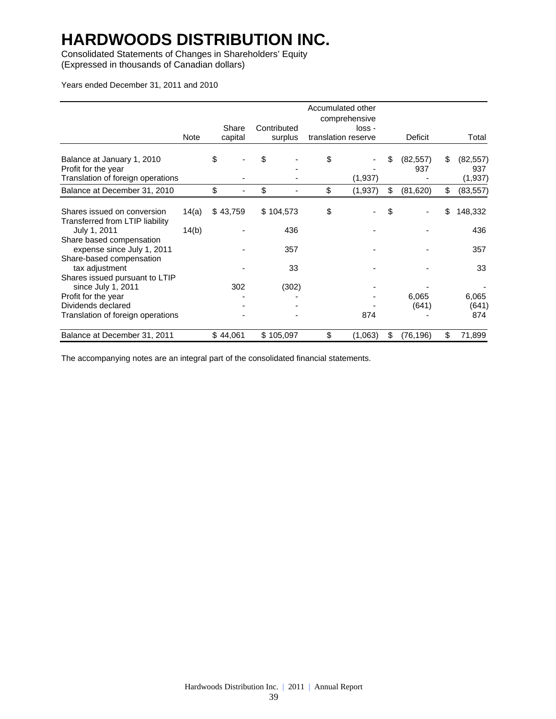Consolidated Statements of Changes in Shareholders' Equity (Expressed in thousands of Canadian dollars)

Years ended December 31, 2011 and 2010

|                                                                |             |                  |                        | Accumulated other<br>comprehensive |                        |    |                  |
|----------------------------------------------------------------|-------------|------------------|------------------------|------------------------------------|------------------------|----|------------------|
|                                                                | <b>Note</b> | Share<br>capital | Contributed<br>surplus | loss -<br>translation reserve      | Deficit                |    | Total            |
|                                                                |             |                  |                        |                                    |                        |    |                  |
| Balance at January 1, 2010<br>Profit for the year              |             | \$               | \$                     | \$                                 | \$<br>(82, 557)<br>937 | S  | (82, 557)<br>937 |
| Translation of foreign operations                              |             |                  |                        | (1,937)                            |                        |    | (1,937)          |
| Balance at December 31, 2010                                   |             | \$               | \$                     | \$<br>(1, 937)                     | \$<br>(81, 620)        | \$ | (83, 557)        |
| Shares issued on conversion<br>Transferred from LTIP liability | 14(a)       | \$43,759         | \$104,573              | \$                                 | \$                     | \$ | 148,332          |
| July 1, 2011<br>Share based compensation                       | 14(b)       |                  | 436                    |                                    |                        |    | 436              |
| expense since July 1, 2011<br>Share-based compensation         |             |                  | 357                    |                                    |                        |    | 357              |
| tax adjustment<br>Shares issued pursuant to LTIP               |             |                  | 33                     |                                    |                        |    | 33               |
| since July 1, 2011                                             |             | 302              | (302)                  |                                    |                        |    |                  |
| Profit for the year<br>Dividends declared                      |             |                  |                        |                                    | 6,065<br>(641)         |    | 6,065<br>(641)   |
| Translation of foreign operations                              |             |                  |                        | 874                                |                        |    | 874              |
| Balance at December 31, 2011                                   |             | \$44,061         | \$105,097              | \$<br>(1,063)                      | \$<br>(76, 196)        | \$ | 71,899           |

The accompanying notes are an integral part of the consolidated financial statements.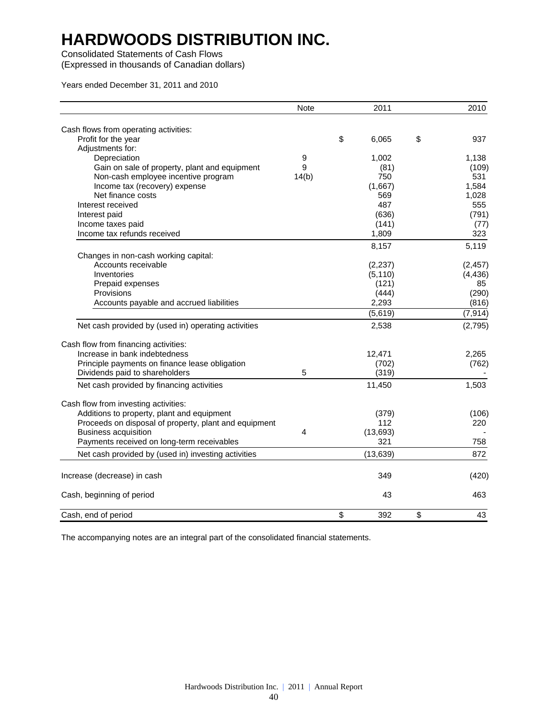Consolidated Statements of Cash Flows

(Expressed in thousands of Canadian dollars)

Years ended December 31, 2011 and 2010

|                                                       | <b>Note</b>    | 2011        | 2010      |
|-------------------------------------------------------|----------------|-------------|-----------|
| Cash flows from operating activities:                 |                |             |           |
| Profit for the year                                   |                | \$<br>6,065 | \$<br>937 |
| Adjustments for:                                      |                |             |           |
| Depreciation                                          | 9              | 1,002       | 1,138     |
| Gain on sale of property, plant and equipment         | 9              | (81)        | (109)     |
| Non-cash employee incentive program                   | 14(b)          | 750         | 531       |
| Income tax (recovery) expense                         |                | (1,667)     | 1,584     |
| Net finance costs                                     |                | 569         | 1,028     |
| Interest received                                     |                | 487         | 555       |
| Interest paid                                         |                | (636)       | (791)     |
| Income taxes paid                                     |                | (141)       | (77)      |
| Income tax refunds received                           |                | 1,809       | 323       |
|                                                       |                | 8,157       | 5,119     |
| Changes in non-cash working capital:                  |                |             |           |
| Accounts receivable                                   |                | (2,237)     | (2, 457)  |
| Inventories                                           |                | (5, 110)    | (4, 436)  |
| Prepaid expenses                                      |                | (121)       | 85        |
| Provisions                                            |                | (444)       | (290)     |
| Accounts payable and accrued liabilities              |                | 2,293       | (816)     |
|                                                       |                | (5,619)     | (7, 914)  |
| Net cash provided by (used in) operating activities   |                | 2,538       | (2,795)   |
| Cash flow from financing activities:                  |                |             |           |
| Increase in bank indebtedness                         |                | 12,471      | 2,265     |
| Principle payments on finance lease obligation        |                | (702)       | (762)     |
| Dividends paid to shareholders                        | 5              | (319)       |           |
| Net cash provided by financing activities             |                | 11,450      | 1,503     |
| Cash flow from investing activities:                  |                |             |           |
| Additions to property, plant and equipment            |                | (379)       | (106)     |
| Proceeds on disposal of property, plant and equipment |                | 112         | 220       |
| <b>Business acquisition</b>                           | $\overline{4}$ | (13, 693)   |           |
| Payments received on long-term receivables            |                | 321         | 758       |
| Net cash provided by (used in) investing activities   |                | (13, 639)   | 872       |
|                                                       |                |             |           |
| Increase (decrease) in cash                           |                | 349         | (420)     |
| Cash, beginning of period                             |                | 43          | 463       |
| Cash, end of period                                   |                | \$<br>392   | \$<br>43  |

The accompanying notes are an integral part of the consolidated financial statements.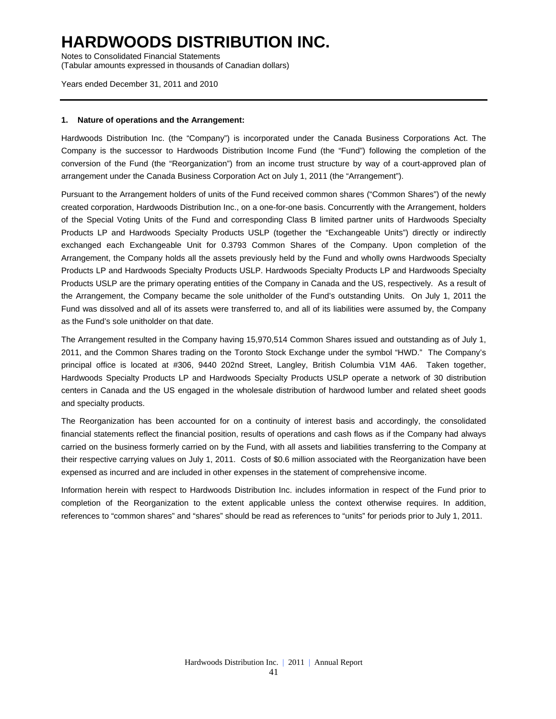Notes to Consolidated Financial Statements (Tabular amounts expressed in thousands of Canadian dollars)

Years ended December 31, 2011 and 2010

### **1. Nature of operations and the Arrangement:**

Hardwoods Distribution Inc. (the "Company") is incorporated under the Canada Business Corporations Act. The Company is the successor to Hardwoods Distribution Income Fund (the "Fund") following the completion of the conversion of the Fund (the "Reorganization") from an income trust structure by way of a court-approved plan of arrangement under the Canada Business Corporation Act on July 1, 2011 (the "Arrangement").

Pursuant to the Arrangement holders of units of the Fund received common shares ("Common Shares") of the newly created corporation, Hardwoods Distribution Inc., on a one-for-one basis. Concurrently with the Arrangement, holders of the Special Voting Units of the Fund and corresponding Class B limited partner units of Hardwoods Specialty Products LP and Hardwoods Specialty Products USLP (together the "Exchangeable Units") directly or indirectly exchanged each Exchangeable Unit for 0.3793 Common Shares of the Company. Upon completion of the Arrangement, the Company holds all the assets previously held by the Fund and wholly owns Hardwoods Specialty Products LP and Hardwoods Specialty Products USLP. Hardwoods Specialty Products LP and Hardwoods Specialty Products USLP are the primary operating entities of the Company in Canada and the US, respectively. As a result of the Arrangement, the Company became the sole unitholder of the Fund's outstanding Units. On July 1, 2011 the Fund was dissolved and all of its assets were transferred to, and all of its liabilities were assumed by, the Company as the Fund's sole unitholder on that date.

The Arrangement resulted in the Company having 15,970,514 Common Shares issued and outstanding as of July 1, 2011, and the Common Shares trading on the Toronto Stock Exchange under the symbol "HWD." The Company's principal office is located at #306, 9440 202nd Street, Langley, British Columbia V1M 4A6. Taken together, Hardwoods Specialty Products LP and Hardwoods Specialty Products USLP operate a network of 30 distribution centers in Canada and the US engaged in the wholesale distribution of hardwood lumber and related sheet goods and specialty products.

The Reorganization has been accounted for on a continuity of interest basis and accordingly, the consolidated financial statements reflect the financial position, results of operations and cash flows as if the Company had always carried on the business formerly carried on by the Fund, with all assets and liabilities transferring to the Company at their respective carrying values on July 1, 2011. Costs of \$0.6 million associated with the Reorganization have been expensed as incurred and are included in other expenses in the statement of comprehensive income.

Information herein with respect to Hardwoods Distribution Inc. includes information in respect of the Fund prior to completion of the Reorganization to the extent applicable unless the context otherwise requires. In addition, references to "common shares" and "shares" should be read as references to "units" for periods prior to July 1, 2011.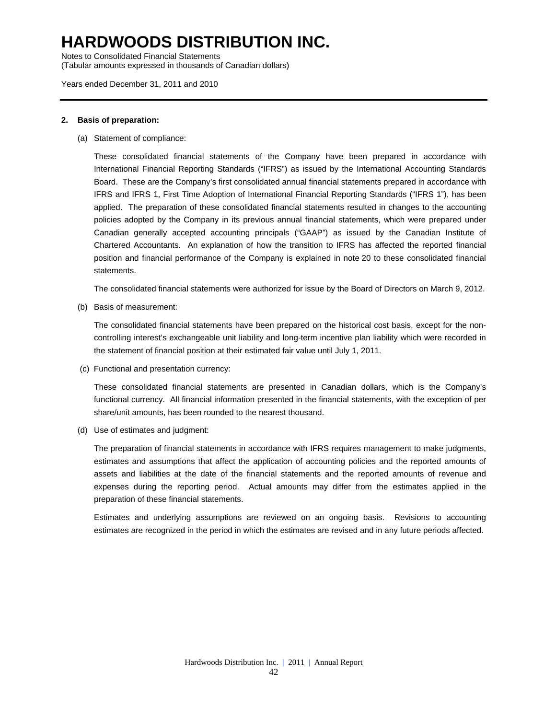Notes to Consolidated Financial Statements (Tabular amounts expressed in thousands of Canadian dollars)

Years ended December 31, 2011 and 2010

### **2. Basis of preparation:**

(a) Statement of compliance:

These consolidated financial statements of the Company have been prepared in accordance with International Financial Reporting Standards ("IFRS") as issued by the International Accounting Standards Board. These are the Company's first consolidated annual financial statements prepared in accordance with IFRS and IFRS 1, First Time Adoption of International Financial Reporting Standards ("IFRS 1"), has been applied. The preparation of these consolidated financial statements resulted in changes to the accounting policies adopted by the Company in its previous annual financial statements, which were prepared under Canadian generally accepted accounting principals ("GAAP") as issued by the Canadian Institute of Chartered Accountants. An explanation of how the transition to IFRS has affected the reported financial position and financial performance of the Company is explained in note 20 to these consolidated financial statements.

The consolidated financial statements were authorized for issue by the Board of Directors on March 9, 2012.

(b) Basis of measurement:

The consolidated financial statements have been prepared on the historical cost basis, except for the noncontrolling interest's exchangeable unit liability and long-term incentive plan liability which were recorded in the statement of financial position at their estimated fair value until July 1, 2011.

(c) Functional and presentation currency:

These consolidated financial statements are presented in Canadian dollars, which is the Company's functional currency. All financial information presented in the financial statements, with the exception of per share/unit amounts, has been rounded to the nearest thousand.

(d) Use of estimates and judgment:

The preparation of financial statements in accordance with IFRS requires management to make judgments, estimates and assumptions that affect the application of accounting policies and the reported amounts of assets and liabilities at the date of the financial statements and the reported amounts of revenue and expenses during the reporting period. Actual amounts may differ from the estimates applied in the preparation of these financial statements.

Estimates and underlying assumptions are reviewed on an ongoing basis. Revisions to accounting estimates are recognized in the period in which the estimates are revised and in any future periods affected.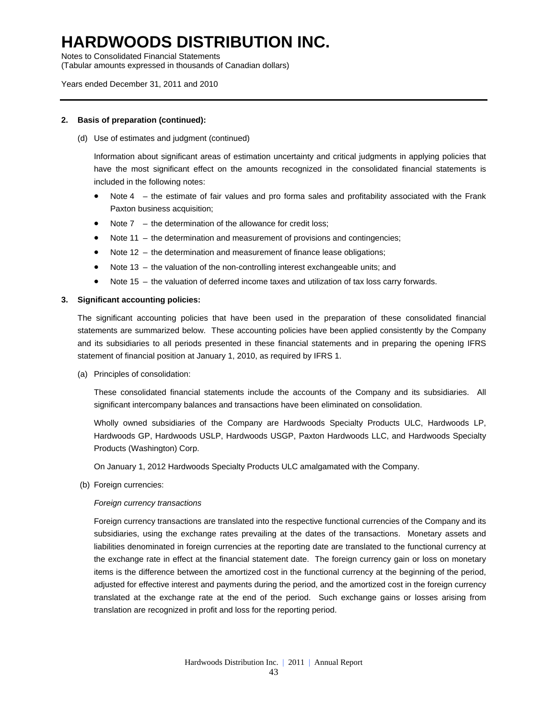Notes to Consolidated Financial Statements

(Tabular amounts expressed in thousands of Canadian dollars)

### Years ended December 31, 2011 and 2010

### **2. Basis of preparation (continued):**

(d) Use of estimates and judgment (continued)

Information about significant areas of estimation uncertainty and critical judgments in applying policies that have the most significant effect on the amounts recognized in the consolidated financial statements is included in the following notes:

- Note 4 the estimate of fair values and pro forma sales and profitability associated with the Frank Paxton business acquisition;
- Note 7 the determination of the allowance for credit loss;
- Note 11 the determination and measurement of provisions and contingencies;
- Note 12 the determination and measurement of finance lease obligations;
- Note 13 the valuation of the non-controlling interest exchangeable units; and
- Note 15 the valuation of deferred income taxes and utilization of tax loss carry forwards.

#### **3. Significant accounting policies:**

The significant accounting policies that have been used in the preparation of these consolidated financial statements are summarized below. These accounting policies have been applied consistently by the Company and its subsidiaries to all periods presented in these financial statements and in preparing the opening IFRS statement of financial position at January 1, 2010, as required by IFRS 1.

(a) Principles of consolidation:

These consolidated financial statements include the accounts of the Company and its subsidiaries. All significant intercompany balances and transactions have been eliminated on consolidation.

Wholly owned subsidiaries of the Company are Hardwoods Specialty Products ULC, Hardwoods LP, Hardwoods GP, Hardwoods USLP, Hardwoods USGP, Paxton Hardwoods LLC, and Hardwoods Specialty Products (Washington) Corp.

On January 1, 2012 Hardwoods Specialty Products ULC amalgamated with the Company.

(b) Foreign currencies:

#### *Foreign currency transactions*

Foreign currency transactions are translated into the respective functional currencies of the Company and its subsidiaries, using the exchange rates prevailing at the dates of the transactions. Monetary assets and liabilities denominated in foreign currencies at the reporting date are translated to the functional currency at the exchange rate in effect at the financial statement date. The foreign currency gain or loss on monetary items is the difference between the amortized cost in the functional currency at the beginning of the period, adjusted for effective interest and payments during the period, and the amortized cost in the foreign currency translated at the exchange rate at the end of the period. Such exchange gains or losses arising from translation are recognized in profit and loss for the reporting period.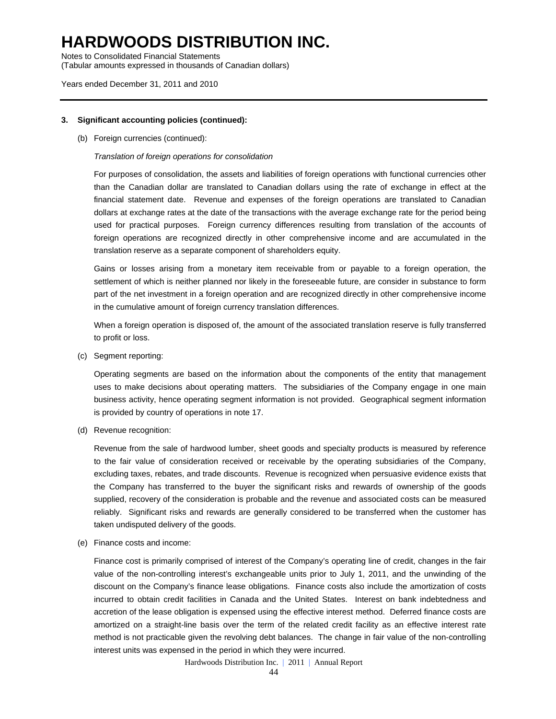Notes to Consolidated Financial Statements (Tabular amounts expressed in thousands of Canadian dollars)

#### Years ended December 31, 2011 and 2010

#### **3. Significant accounting policies (continued):**

(b) Foreign currencies (continued):

### *Translation of foreign operations for consolidation*

For purposes of consolidation, the assets and liabilities of foreign operations with functional currencies other than the Canadian dollar are translated to Canadian dollars using the rate of exchange in effect at the financial statement date. Revenue and expenses of the foreign operations are translated to Canadian dollars at exchange rates at the date of the transactions with the average exchange rate for the period being used for practical purposes. Foreign currency differences resulting from translation of the accounts of foreign operations are recognized directly in other comprehensive income and are accumulated in the translation reserve as a separate component of shareholders equity.

Gains or losses arising from a monetary item receivable from or payable to a foreign operation, the settlement of which is neither planned nor likely in the foreseeable future, are consider in substance to form part of the net investment in a foreign operation and are recognized directly in other comprehensive income in the cumulative amount of foreign currency translation differences.

When a foreign operation is disposed of, the amount of the associated translation reserve is fully transferred to profit or loss.

(c) Segment reporting:

Operating segments are based on the information about the components of the entity that management uses to make decisions about operating matters. The subsidiaries of the Company engage in one main business activity, hence operating segment information is not provided. Geographical segment information is provided by country of operations in note 17.

(d) Revenue recognition:

Revenue from the sale of hardwood lumber, sheet goods and specialty products is measured by reference to the fair value of consideration received or receivable by the operating subsidiaries of the Company, excluding taxes, rebates, and trade discounts. Revenue is recognized when persuasive evidence exists that the Company has transferred to the buyer the significant risks and rewards of ownership of the goods supplied, recovery of the consideration is probable and the revenue and associated costs can be measured reliably. Significant risks and rewards are generally considered to be transferred when the customer has taken undisputed delivery of the goods.

(e) Finance costs and income:

Finance cost is primarily comprised of interest of the Company's operating line of credit, changes in the fair value of the non-controlling interest's exchangeable units prior to July 1, 2011, and the unwinding of the discount on the Company's finance lease obligations. Finance costs also include the amortization of costs incurred to obtain credit facilities in Canada and the United States. Interest on bank indebtedness and accretion of the lease obligation is expensed using the effective interest method. Deferred finance costs are amortized on a straight-line basis over the term of the related credit facility as an effective interest rate method is not practicable given the revolving debt balances. The change in fair value of the non-controlling interest units was expensed in the period in which they were incurred.

Hardwoods Distribution Inc. | 2011 | Annual Report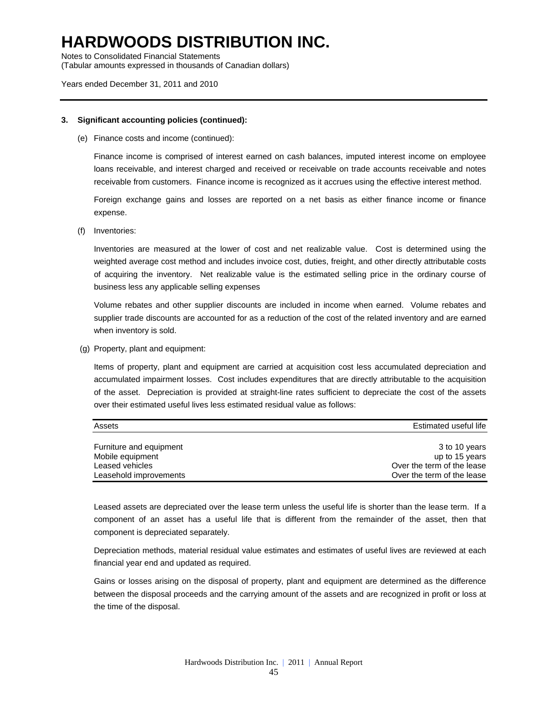Notes to Consolidated Financial Statements

(Tabular amounts expressed in thousands of Canadian dollars)

#### Years ended December 31, 2011 and 2010

#### **3. Significant accounting policies (continued):**

(e) Finance costs and income (continued):

Finance income is comprised of interest earned on cash balances, imputed interest income on employee loans receivable, and interest charged and received or receivable on trade accounts receivable and notes receivable from customers. Finance income is recognized as it accrues using the effective interest method.

Foreign exchange gains and losses are reported on a net basis as either finance income or finance expense.

(f) Inventories:

Inventories are measured at the lower of cost and net realizable value. Cost is determined using the weighted average cost method and includes invoice cost, duties, freight, and other directly attributable costs of acquiring the inventory. Net realizable value is the estimated selling price in the ordinary course of business less any applicable selling expenses

Volume rebates and other supplier discounts are included in income when earned. Volume rebates and supplier trade discounts are accounted for as a reduction of the cost of the related inventory and are earned when inventory is sold.

(g) Property, plant and equipment:

Items of property, plant and equipment are carried at acquisition cost less accumulated depreciation and accumulated impairment losses. Cost includes expenditures that are directly attributable to the acquisition of the asset. Depreciation is provided at straight-line rates sufficient to depreciate the cost of the assets over their estimated useful lives less estimated residual value as follows:

| Assets                  | Estimated useful life      |
|-------------------------|----------------------------|
|                         |                            |
| Furniture and equipment | 3 to 10 years              |
| Mobile equipment        | up to 15 years             |
| Leased vehicles         | Over the term of the lease |
| Leasehold improvements  | Over the term of the lease |

Leased assets are depreciated over the lease term unless the useful life is shorter than the lease term. If a component of an asset has a useful life that is different from the remainder of the asset, then that component is depreciated separately.

Depreciation methods, material residual value estimates and estimates of useful lives are reviewed at each financial year end and updated as required.

Gains or losses arising on the disposal of property, plant and equipment are determined as the difference between the disposal proceeds and the carrying amount of the assets and are recognized in profit or loss at the time of the disposal.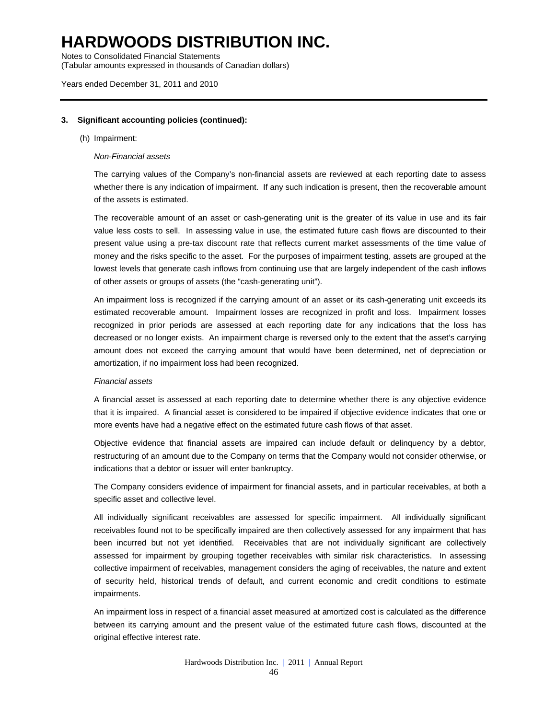Notes to Consolidated Financial Statements (Tabular amounts expressed in thousands of Canadian dollars)

#### Years ended December 31, 2011 and 2010

### **3. Significant accounting policies (continued):**

#### (h) Impairment:

#### *Non-Financial assets*

The carrying values of the Company's non-financial assets are reviewed at each reporting date to assess whether there is any indication of impairment. If any such indication is present, then the recoverable amount of the assets is estimated.

The recoverable amount of an asset or cash-generating unit is the greater of its value in use and its fair value less costs to sell. In assessing value in use, the estimated future cash flows are discounted to their present value using a pre-tax discount rate that reflects current market assessments of the time value of money and the risks specific to the asset. For the purposes of impairment testing, assets are grouped at the lowest levels that generate cash inflows from continuing use that are largely independent of the cash inflows of other assets or groups of assets (the "cash-generating unit").

An impairment loss is recognized if the carrying amount of an asset or its cash-generating unit exceeds its estimated recoverable amount. Impairment losses are recognized in profit and loss. Impairment losses recognized in prior periods are assessed at each reporting date for any indications that the loss has decreased or no longer exists. An impairment charge is reversed only to the extent that the asset's carrying amount does not exceed the carrying amount that would have been determined, net of depreciation or amortization, if no impairment loss had been recognized.

#### *Financial assets*

A financial asset is assessed at each reporting date to determine whether there is any objective evidence that it is impaired. A financial asset is considered to be impaired if objective evidence indicates that one or more events have had a negative effect on the estimated future cash flows of that asset.

Objective evidence that financial assets are impaired can include default or delinquency by a debtor, restructuring of an amount due to the Company on terms that the Company would not consider otherwise, or indications that a debtor or issuer will enter bankruptcy.

The Company considers evidence of impairment for financial assets, and in particular receivables, at both a specific asset and collective level.

All individually significant receivables are assessed for specific impairment. All individually significant receivables found not to be specifically impaired are then collectively assessed for any impairment that has been incurred but not yet identified. Receivables that are not individually significant are collectively assessed for impairment by grouping together receivables with similar risk characteristics. In assessing collective impairment of receivables, management considers the aging of receivables, the nature and extent of security held, historical trends of default, and current economic and credit conditions to estimate impairments.

An impairment loss in respect of a financial asset measured at amortized cost is calculated as the difference between its carrying amount and the present value of the estimated future cash flows, discounted at the original effective interest rate.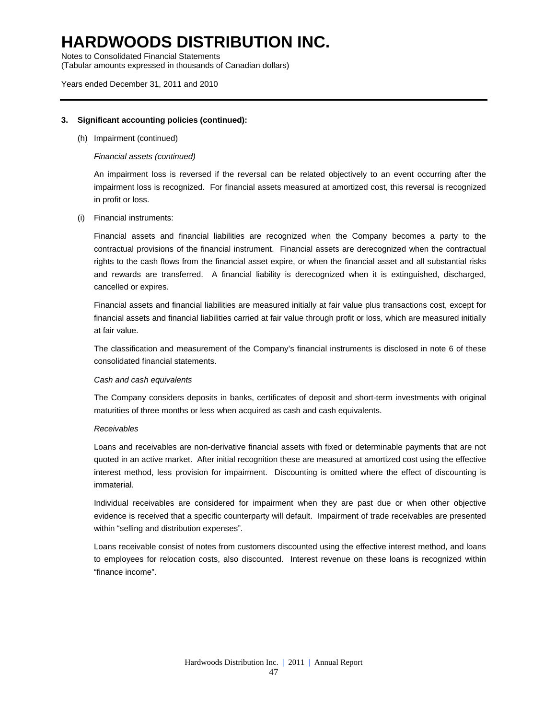Notes to Consolidated Financial Statements (Tabular amounts expressed in thousands of Canadian dollars)

Years ended December 31, 2011 and 2010

### **3. Significant accounting policies (continued):**

(h) Impairment (continued)

### *Financial assets (continued)*

An impairment loss is reversed if the reversal can be related objectively to an event occurring after the impairment loss is recognized. For financial assets measured at amortized cost, this reversal is recognized in profit or loss.

(i) Financial instruments:

Financial assets and financial liabilities are recognized when the Company becomes a party to the contractual provisions of the financial instrument. Financial assets are derecognized when the contractual rights to the cash flows from the financial asset expire, or when the financial asset and all substantial risks and rewards are transferred. A financial liability is derecognized when it is extinguished, discharged, cancelled or expires.

Financial assets and financial liabilities are measured initially at fair value plus transactions cost, except for financial assets and financial liabilities carried at fair value through profit or loss, which are measured initially at fair value.

The classification and measurement of the Company's financial instruments is disclosed in note 6 of these consolidated financial statements.

#### *Cash and cash equivalents*

The Company considers deposits in banks, certificates of deposit and short-term investments with original maturities of three months or less when acquired as cash and cash equivalents.

#### *Receivables*

Loans and receivables are non-derivative financial assets with fixed or determinable payments that are not quoted in an active market. After initial recognition these are measured at amortized cost using the effective interest method, less provision for impairment. Discounting is omitted where the effect of discounting is immaterial.

Individual receivables are considered for impairment when they are past due or when other objective evidence is received that a specific counterparty will default. Impairment of trade receivables are presented within "selling and distribution expenses".

Loans receivable consist of notes from customers discounted using the effective interest method, and loans to employees for relocation costs, also discounted. Interest revenue on these loans is recognized within "finance income".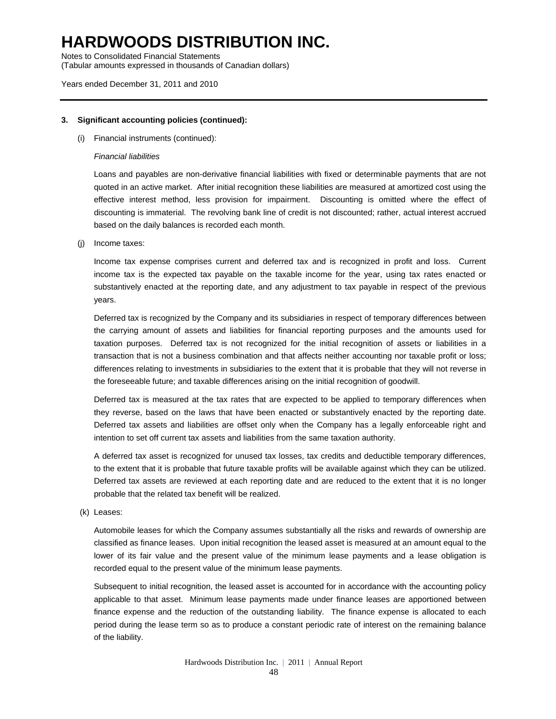Notes to Consolidated Financial Statements (Tabular amounts expressed in thousands of Canadian dollars)

### Years ended December 31, 2011 and 2010

### **3. Significant accounting policies (continued):**

(i) Financial instruments (continued):

### *Financial liabilities*

Loans and payables are non-derivative financial liabilities with fixed or determinable payments that are not quoted in an active market. After initial recognition these liabilities are measured at amortized cost using the effective interest method, less provision for impairment. Discounting is omitted where the effect of discounting is immaterial. The revolving bank line of credit is not discounted; rather, actual interest accrued based on the daily balances is recorded each month.

(j) Income taxes:

Income tax expense comprises current and deferred tax and is recognized in profit and loss. Current income tax is the expected tax payable on the taxable income for the year, using tax rates enacted or substantively enacted at the reporting date, and any adjustment to tax payable in respect of the previous years.

Deferred tax is recognized by the Company and its subsidiaries in respect of temporary differences between the carrying amount of assets and liabilities for financial reporting purposes and the amounts used for taxation purposes. Deferred tax is not recognized for the initial recognition of assets or liabilities in a transaction that is not a business combination and that affects neither accounting nor taxable profit or loss; differences relating to investments in subsidiaries to the extent that it is probable that they will not reverse in the foreseeable future; and taxable differences arising on the initial recognition of goodwill.

Deferred tax is measured at the tax rates that are expected to be applied to temporary differences when they reverse, based on the laws that have been enacted or substantively enacted by the reporting date. Deferred tax assets and liabilities are offset only when the Company has a legally enforceable right and intention to set off current tax assets and liabilities from the same taxation authority.

A deferred tax asset is recognized for unused tax losses, tax credits and deductible temporary differences, to the extent that it is probable that future taxable profits will be available against which they can be utilized. Deferred tax assets are reviewed at each reporting date and are reduced to the extent that it is no longer probable that the related tax benefit will be realized.

(k) Leases:

Automobile leases for which the Company assumes substantially all the risks and rewards of ownership are classified as finance leases. Upon initial recognition the leased asset is measured at an amount equal to the lower of its fair value and the present value of the minimum lease payments and a lease obligation is recorded equal to the present value of the minimum lease payments.

Subsequent to initial recognition, the leased asset is accounted for in accordance with the accounting policy applicable to that asset. Minimum lease payments made under finance leases are apportioned between finance expense and the reduction of the outstanding liability. The finance expense is allocated to each period during the lease term so as to produce a constant periodic rate of interest on the remaining balance of the liability.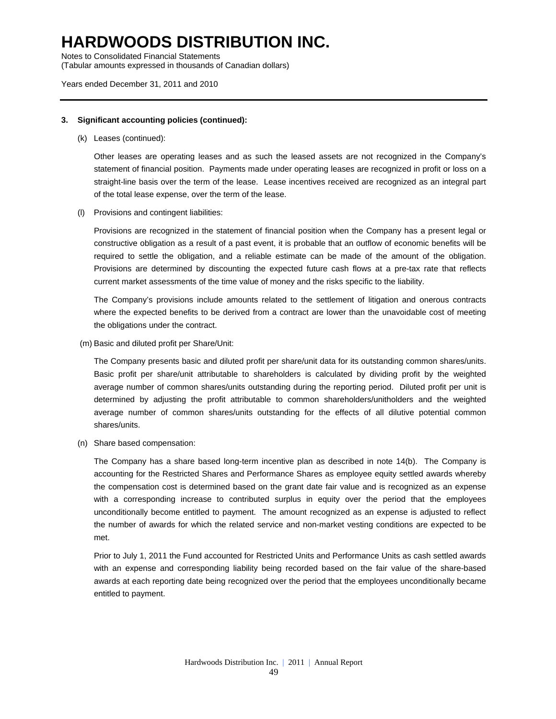Notes to Consolidated Financial Statements (Tabular amounts expressed in thousands of Canadian dollars)

#### Years ended December 31, 2011 and 2010

#### **3. Significant accounting policies (continued):**

(k) Leases (continued):

Other leases are operating leases and as such the leased assets are not recognized in the Company's statement of financial position. Payments made under operating leases are recognized in profit or loss on a straight-line basis over the term of the lease. Lease incentives received are recognized as an integral part of the total lease expense, over the term of the lease.

(l) Provisions and contingent liabilities:

Provisions are recognized in the statement of financial position when the Company has a present legal or constructive obligation as a result of a past event, it is probable that an outflow of economic benefits will be required to settle the obligation, and a reliable estimate can be made of the amount of the obligation. Provisions are determined by discounting the expected future cash flows at a pre-tax rate that reflects current market assessments of the time value of money and the risks specific to the liability.

The Company's provisions include amounts related to the settlement of litigation and onerous contracts where the expected benefits to be derived from a contract are lower than the unavoidable cost of meeting the obligations under the contract.

(m) Basic and diluted profit per Share/Unit:

The Company presents basic and diluted profit per share/unit data for its outstanding common shares/units. Basic profit per share/unit attributable to shareholders is calculated by dividing profit by the weighted average number of common shares/units outstanding during the reporting period. Diluted profit per unit is determined by adjusting the profit attributable to common shareholders/unitholders and the weighted average number of common shares/units outstanding for the effects of all dilutive potential common shares/units.

(n) Share based compensation:

The Company has a share based long-term incentive plan as described in note 14(b). The Company is accounting for the Restricted Shares and Performance Shares as employee equity settled awards whereby the compensation cost is determined based on the grant date fair value and is recognized as an expense with a corresponding increase to contributed surplus in equity over the period that the employees unconditionally become entitled to payment. The amount recognized as an expense is adjusted to reflect the number of awards for which the related service and non-market vesting conditions are expected to be met.

Prior to July 1, 2011 the Fund accounted for Restricted Units and Performance Units as cash settled awards with an expense and corresponding liability being recorded based on the fair value of the share-based awards at each reporting date being recognized over the period that the employees unconditionally became entitled to payment.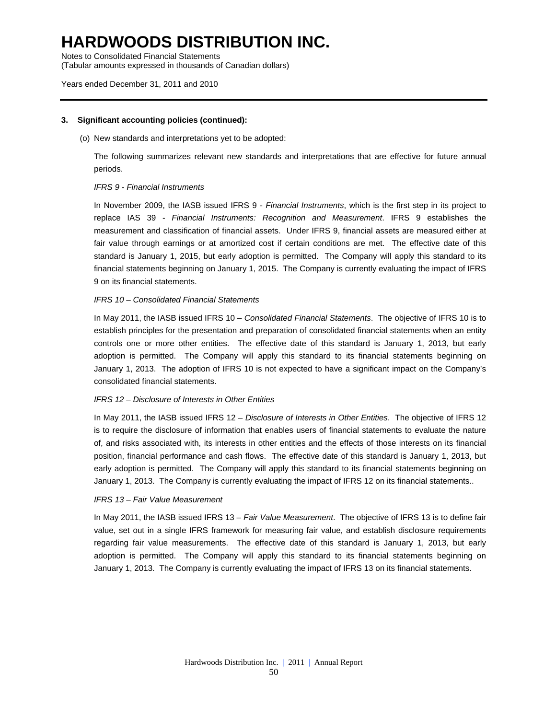Notes to Consolidated Financial Statements

(Tabular amounts expressed in thousands of Canadian dollars)

### Years ended December 31, 2011 and 2010

### **3. Significant accounting policies (continued):**

(o) New standards and interpretations yet to be adopted:

The following summarizes relevant new standards and interpretations that are effective for future annual periods.

### *IFRS 9 - Financial Instruments*

In November 2009, the IASB issued IFRS 9 - *Financial Instruments*, which is the first step in its project to replace IAS 39 - *Financial Instruments: Recognition and Measurement*. IFRS 9 establishes the measurement and classification of financial assets. Under IFRS 9, financial assets are measured either at fair value through earnings or at amortized cost if certain conditions are met. The effective date of this standard is January 1, 2015, but early adoption is permitted. The Company will apply this standard to its financial statements beginning on January 1, 2015. The Company is currently evaluating the impact of IFRS 9 on its financial statements.

#### *IFRS 10 – Consolidated Financial Statements*

In May 2011, the IASB issued IFRS 10 – *Consolidated Financial Statements*. The objective of IFRS 10 is to establish principles for the presentation and preparation of consolidated financial statements when an entity controls one or more other entities. The effective date of this standard is January 1, 2013, but early adoption is permitted. The Company will apply this standard to its financial statements beginning on January 1, 2013. The adoption of IFRS 10 is not expected to have a significant impact on the Company's consolidated financial statements.

#### *IFRS 12 – Disclosure of Interests in Other Entities*

In May 2011, the IASB issued IFRS 12 – *Disclosure of Interests in Other Entities*. The objective of IFRS 12 is to require the disclosure of information that enables users of financial statements to evaluate the nature of, and risks associated with, its interests in other entities and the effects of those interests on its financial position, financial performance and cash flows. The effective date of this standard is January 1, 2013, but early adoption is permitted. The Company will apply this standard to its financial statements beginning on January 1, 2013. The Company is currently evaluating the impact of IFRS 12 on its financial statements..

#### *IFRS 13 – Fair Value Measurement*

In May 2011, the IASB issued IFRS 13 – *Fair Value Measurement*. The objective of IFRS 13 is to define fair value, set out in a single IFRS framework for measuring fair value, and establish disclosure requirements regarding fair value measurements. The effective date of this standard is January 1, 2013, but early adoption is permitted. The Company will apply this standard to its financial statements beginning on January 1, 2013. The Company is currently evaluating the impact of IFRS 13 on its financial statements.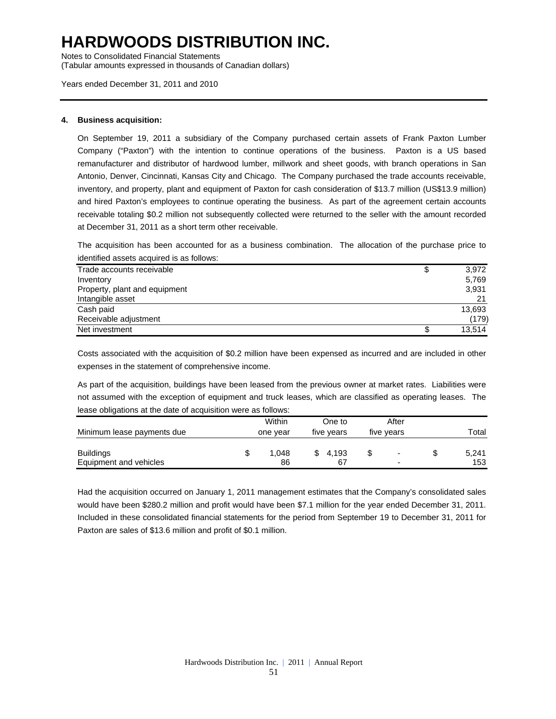Notes to Consolidated Financial Statements

(Tabular amounts expressed in thousands of Canadian dollars)

Years ended December 31, 2011 and 2010

### **4. Business acquisition:**

On September 19, 2011 a subsidiary of the Company purchased certain assets of Frank Paxton Lumber Company ("Paxton") with the intention to continue operations of the business. Paxton is a US based remanufacturer and distributor of hardwood lumber, millwork and sheet goods, with branch operations in San Antonio, Denver, Cincinnati, Kansas City and Chicago. The Company purchased the trade accounts receivable, inventory, and property, plant and equipment of Paxton for cash consideration of \$13.7 million (US\$13.9 million) and hired Paxton's employees to continue operating the business. As part of the agreement certain accounts receivable totaling \$0.2 million not subsequently collected were returned to the seller with the amount recorded at December 31, 2011 as a short term other receivable.

The acquisition has been accounted for as a business combination. The allocation of the purchase price to identified assets acquired is as follows:

| Trade accounts receivable     | 3,972  |
|-------------------------------|--------|
| Inventory                     | 5,769  |
| Property, plant and equipment | 3,931  |
| Intangible asset              | 21     |
| Cash paid                     | 13,693 |
| Receivable adjustment         | (179)  |
| Net investment                | 13.514 |

Costs associated with the acquisition of \$0.2 million have been expensed as incurred and are included in other expenses in the statement of comprehensive income.

As part of the acquisition, buildings have been leased from the previous owner at market rates. Liabilities were not assumed with the exception of equipment and truck leases, which are classified as operating leases. The lease obligations at the date of acquisition were as follows:

| Minimum lease payments due                 | Within<br>one year | One to<br>five years | After<br>five years                                  | Total        |
|--------------------------------------------|--------------------|----------------------|------------------------------------------------------|--------------|
| <b>Buildings</b><br>Equipment and vehicles | 1.048<br>86        | 4.193<br>67          | $\overline{\phantom{a}}$<br>$\overline{\phantom{0}}$ | 5,241<br>153 |

Had the acquisition occurred on January 1, 2011 management estimates that the Company's consolidated sales would have been \$280.2 million and profit would have been \$7.1 million for the year ended December 31, 2011. Included in these consolidated financial statements for the period from September 19 to December 31, 2011 for Paxton are sales of \$13.6 million and profit of \$0.1 million.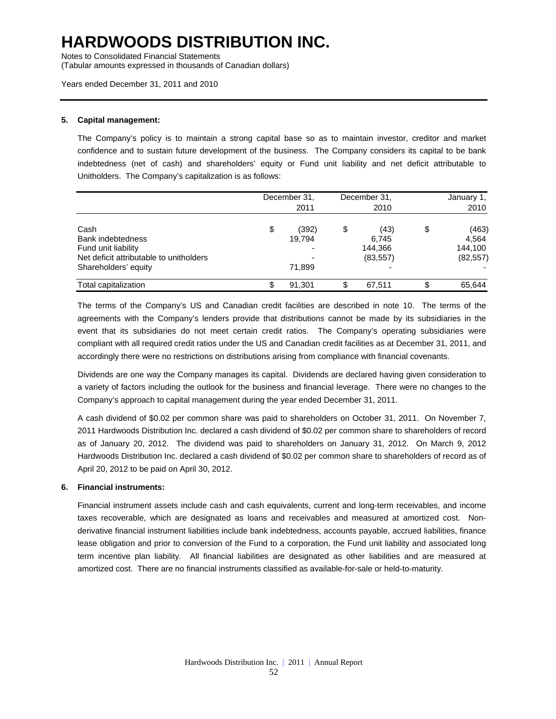Notes to Consolidated Financial Statements

(Tabular amounts expressed in thousands of Canadian dollars)

### Years ended December 31, 2011 and 2010

#### **5. Capital management:**

The Company's policy is to maintain a strong capital base so as to maintain investor, creditor and market confidence and to sustain future development of the business. The Company considers its capital to be bank indebtedness (net of cash) and shareholders' equity or Fund unit liability and net deficit attributable to Unitholders. The Company's capitalization is as follows:

|                                                                                                                            | December 31,<br>2011            | December 31,<br>2010                        | January 1,<br>2010                           |
|----------------------------------------------------------------------------------------------------------------------------|---------------------------------|---------------------------------------------|----------------------------------------------|
| Cash<br><b>Bank indebtedness</b><br>Fund unit liability<br>Net deficit attributable to unitholders<br>Shareholders' equity | \$<br>(392)<br>19,794<br>71,899 | \$<br>(43)<br>6,745<br>144,366<br>(83, 557) | \$<br>(463)<br>4,564<br>144.100<br>(82, 557) |
| Total capitalization                                                                                                       | 91,301                          | \$<br>67.511                                | \$<br>65,644                                 |

The terms of the Company's US and Canadian credit facilities are described in note 10. The terms of the agreements with the Company's lenders provide that distributions cannot be made by its subsidiaries in the event that its subsidiaries do not meet certain credit ratios. The Company's operating subsidiaries were compliant with all required credit ratios under the US and Canadian credit facilities as at December 31, 2011, and accordingly there were no restrictions on distributions arising from compliance with financial covenants.

Dividends are one way the Company manages its capital. Dividends are declared having given consideration to a variety of factors including the outlook for the business and financial leverage. There were no changes to the Company's approach to capital management during the year ended December 31, 2011.

A cash dividend of \$0.02 per common share was paid to shareholders on October 31, 2011. On November 7, 2011 Hardwoods Distribution Inc. declared a cash dividend of \$0.02 per common share to shareholders of record as of January 20, 2012. The dividend was paid to shareholders on January 31, 2012. On March 9, 2012 Hardwoods Distribution Inc. declared a cash dividend of \$0.02 per common share to shareholders of record as of April 20, 2012 to be paid on April 30, 2012.

#### **6. Financial instruments:**

Financial instrument assets include cash and cash equivalents, current and long-term receivables, and income taxes recoverable, which are designated as loans and receivables and measured at amortized cost. Nonderivative financial instrument liabilities include bank indebtedness, accounts payable, accrued liabilities, finance lease obligation and prior to conversion of the Fund to a corporation, the Fund unit liability and associated long term incentive plan liability. All financial liabilities are designated as other liabilities and are measured at amortized cost. There are no financial instruments classified as available-for-sale or held-to-maturity.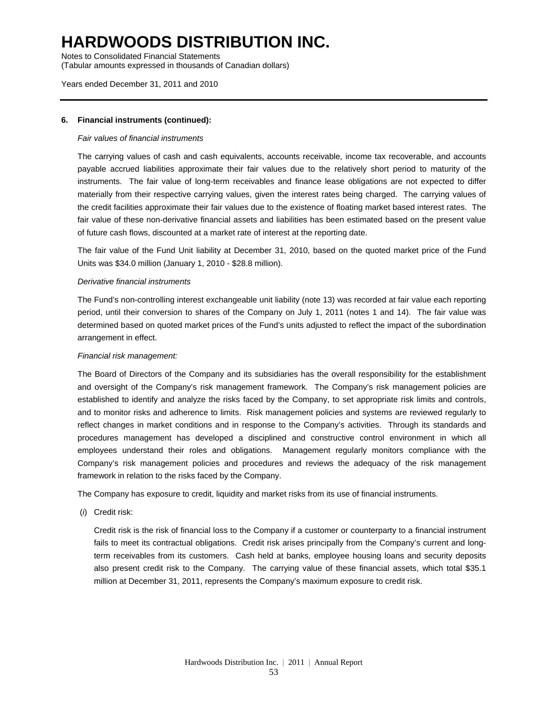Notes to Consolidated Financial Statements (Tabular amounts expressed in thousands of Canadian dollars)

### Years ended December 31, 2011 and 2010

### **6. Financial instruments (continued):**

#### *Fair values of financial instruments*

The carrying values of cash and cash equivalents, accounts receivable, income tax recoverable, and accounts payable accrued liabilities approximate their fair values due to the relatively short period to maturity of the instruments. The fair value of long-term receivables and finance lease obligations are not expected to differ materially from their respective carrying values, given the interest rates being charged. The carrying values of the credit facilities approximate their fair values due to the existence of floating market based interest rates. The fair value of these non-derivative financial assets and liabilities has been estimated based on the present value of future cash flows, discounted at a market rate of interest at the reporting date.

The fair value of the Fund Unit liability at December 31, 2010, based on the quoted market price of the Fund Units was \$34.0 million (January 1, 2010 - \$28.8 million).

### *Derivative financial instruments*

The Fund's non-controlling interest exchangeable unit liability (note 13) was recorded at fair value each reporting period, until their conversion to shares of the Company on July 1, 2011 (notes 1 and 14). The fair value was determined based on quoted market prices of the Fund's units adjusted to reflect the impact of the subordination arrangement in effect.

### *Financial risk management:*

The Board of Directors of the Company and its subsidiaries has the overall responsibility for the establishment and oversight of the Company's risk management framework. The Company's risk management policies are established to identify and analyze the risks faced by the Company, to set appropriate risk limits and controls, and to monitor risks and adherence to limits. Risk management policies and systems are reviewed regularly to reflect changes in market conditions and in response to the Company's activities. Through its standards and procedures management has developed a disciplined and constructive control environment in which all employees understand their roles and obligations. Management regularly monitors compliance with the Company's risk management policies and procedures and reviews the adequacy of the risk management framework in relation to the risks faced by the Company.

The Company has exposure to credit, liquidity and market risks from its use of financial instruments.

(*i*) Credit risk:

Credit risk is the risk of financial loss to the Company if a customer or counterparty to a financial instrument fails to meet its contractual obligations. Credit risk arises principally from the Company's current and longterm receivables from its customers. Cash held at banks, employee housing loans and security deposits also present credit risk to the Company. The carrying value of these financial assets, which total \$35.1 million at December 31, 2011, represents the Company's maximum exposure to credit risk.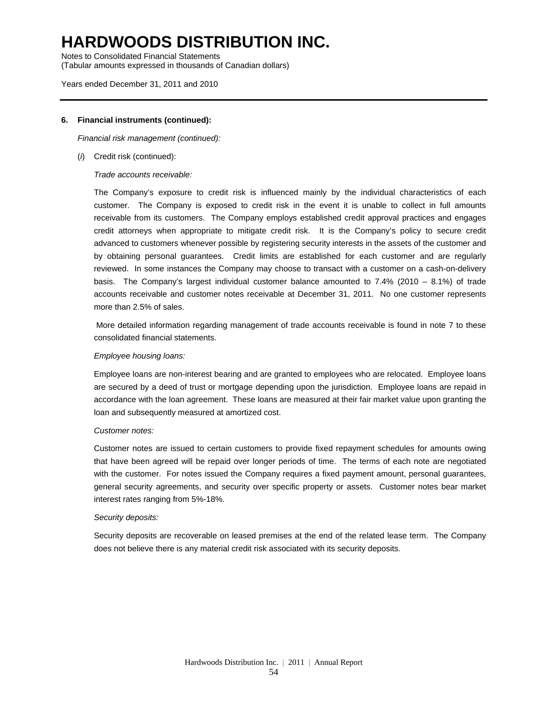Notes to Consolidated Financial Statements (Tabular amounts expressed in thousands of Canadian dollars)

#### Years ended December 31, 2011 and 2010

#### **6. Financial instruments (continued):**

*Financial risk management (continued):* 

(*i*) Credit risk (continued):

*Trade accounts receivable:* 

The Company's exposure to credit risk is influenced mainly by the individual characteristics of each customer. The Company is exposed to credit risk in the event it is unable to collect in full amounts receivable from its customers. The Company employs established credit approval practices and engages credit attorneys when appropriate to mitigate credit risk. It is the Company's policy to secure credit advanced to customers whenever possible by registering security interests in the assets of the customer and by obtaining personal guarantees. Credit limits are established for each customer and are regularly reviewed. In some instances the Company may choose to transact with a customer on a cash-on-delivery basis. The Company's largest individual customer balance amounted to  $7.4\%$  (2010 – 8.1%) of trade accounts receivable and customer notes receivable at December 31, 2011. No one customer represents more than 2.5% of sales.

 More detailed information regarding management of trade accounts receivable is found in note 7 to these consolidated financial statements.

#### *Employee housing loans:*

Employee loans are non-interest bearing and are granted to employees who are relocated. Employee loans are secured by a deed of trust or mortgage depending upon the jurisdiction. Employee loans are repaid in accordance with the loan agreement. These loans are measured at their fair market value upon granting the loan and subsequently measured at amortized cost.

#### *Customer notes:*

Customer notes are issued to certain customers to provide fixed repayment schedules for amounts owing that have been agreed will be repaid over longer periods of time. The terms of each note are negotiated with the customer. For notes issued the Company requires a fixed payment amount, personal guarantees, general security agreements, and security over specific property or assets. Customer notes bear market interest rates ranging from 5%-18%.

#### *Security deposits:*

Security deposits are recoverable on leased premises at the end of the related lease term. The Company does not believe there is any material credit risk associated with its security deposits.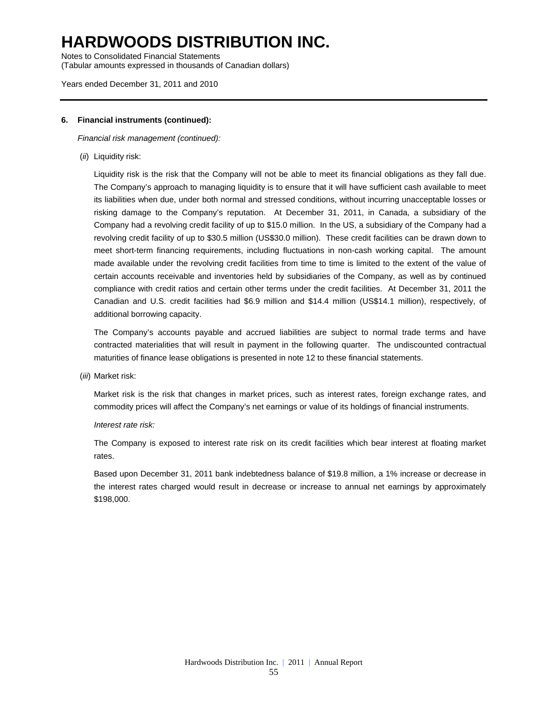Notes to Consolidated Financial Statements (Tabular amounts expressed in thousands of Canadian dollars)

#### Years ended December 31, 2011 and 2010

#### **6. Financial instruments (continued):**

*Financial risk management (continued):* 

(*ii*) Liquidity risk:

Liquidity risk is the risk that the Company will not be able to meet its financial obligations as they fall due. The Company's approach to managing liquidity is to ensure that it will have sufficient cash available to meet its liabilities when due, under both normal and stressed conditions, without incurring unacceptable losses or risking damage to the Company's reputation. At December 31, 2011, in Canada, a subsidiary of the Company had a revolving credit facility of up to \$15.0 million. In the US, a subsidiary of the Company had a revolving credit facility of up to \$30.5 million (US\$30.0 million). These credit facilities can be drawn down to meet short-term financing requirements, including fluctuations in non-cash working capital. The amount made available under the revolving credit facilities from time to time is limited to the extent of the value of certain accounts receivable and inventories held by subsidiaries of the Company, as well as by continued compliance with credit ratios and certain other terms under the credit facilities. At December 31, 2011 the Canadian and U.S. credit facilities had \$6.9 million and \$14.4 million (US\$14.1 million), respectively, of additional borrowing capacity.

The Company's accounts payable and accrued liabilities are subject to normal trade terms and have contracted materialities that will result in payment in the following quarter. The undiscounted contractual maturities of finance lease obligations is presented in note 12 to these financial statements.

(*iii*) Market risk:

Market risk is the risk that changes in market prices, such as interest rates, foreign exchange rates, and commodity prices will affect the Company's net earnings or value of its holdings of financial instruments.

### *Interest rate risk:*

The Company is exposed to interest rate risk on its credit facilities which bear interest at floating market rates.

Based upon December 31, 2011 bank indebtedness balance of \$19.8 million, a 1% increase or decrease in the interest rates charged would result in decrease or increase to annual net earnings by approximately \$198,000.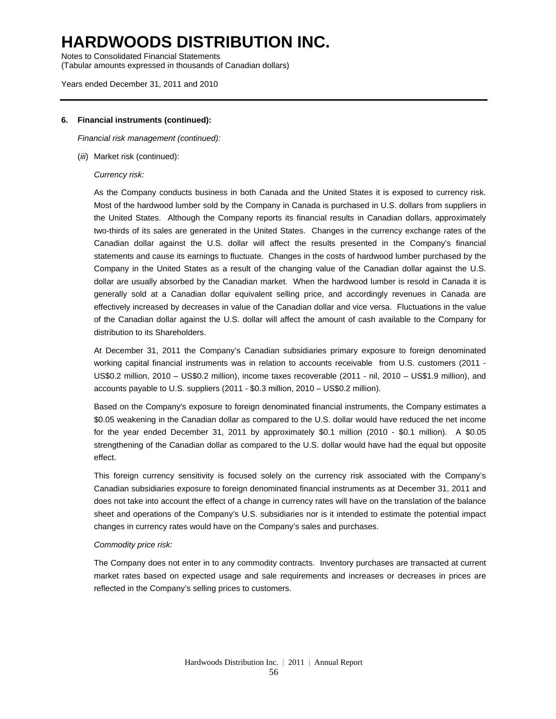Notes to Consolidated Financial Statements (Tabular amounts expressed in thousands of Canadian dollars)

#### Years ended December 31, 2011 and 2010

#### **6. Financial instruments (continued):**

*Financial risk management (continued):* 

(*iii*) Market risk (continued):

#### *Currency risk:*

As the Company conducts business in both Canada and the United States it is exposed to currency risk. Most of the hardwood lumber sold by the Company in Canada is purchased in U.S. dollars from suppliers in the United States. Although the Company reports its financial results in Canadian dollars, approximately two-thirds of its sales are generated in the United States. Changes in the currency exchange rates of the Canadian dollar against the U.S. dollar will affect the results presented in the Company's financial statements and cause its earnings to fluctuate. Changes in the costs of hardwood lumber purchased by the Company in the United States as a result of the changing value of the Canadian dollar against the U.S. dollar are usually absorbed by the Canadian market. When the hardwood lumber is resold in Canada it is generally sold at a Canadian dollar equivalent selling price, and accordingly revenues in Canada are effectively increased by decreases in value of the Canadian dollar and vice versa. Fluctuations in the value of the Canadian dollar against the U.S. dollar will affect the amount of cash available to the Company for distribution to its Shareholders.

At December 31, 2011 the Company's Canadian subsidiaries primary exposure to foreign denominated working capital financial instruments was in relation to accounts receivable from U.S. customers (2011 - US\$0.2 million, 2010 – US\$0.2 million), income taxes recoverable (2011 - nil, 2010 – US\$1.9 million), and accounts payable to U.S. suppliers (2011 - \$0.3 million, 2010 – US\$0.2 million).

Based on the Company's exposure to foreign denominated financial instruments, the Company estimates a \$0.05 weakening in the Canadian dollar as compared to the U.S. dollar would have reduced the net income for the year ended December 31, 2011 by approximately \$0.1 million (2010 - \$0.1 million). A \$0.05 strengthening of the Canadian dollar as compared to the U.S. dollar would have had the equal but opposite effect.

This foreign currency sensitivity is focused solely on the currency risk associated with the Company's Canadian subsidiaries exposure to foreign denominated financial instruments as at December 31, 2011 and does not take into account the effect of a change in currency rates will have on the translation of the balance sheet and operations of the Company's U.S. subsidiaries nor is it intended to estimate the potential impact changes in currency rates would have on the Company's sales and purchases.

### *Commodity price risk:*

The Company does not enter in to any commodity contracts. Inventory purchases are transacted at current market rates based on expected usage and sale requirements and increases or decreases in prices are reflected in the Company's selling prices to customers.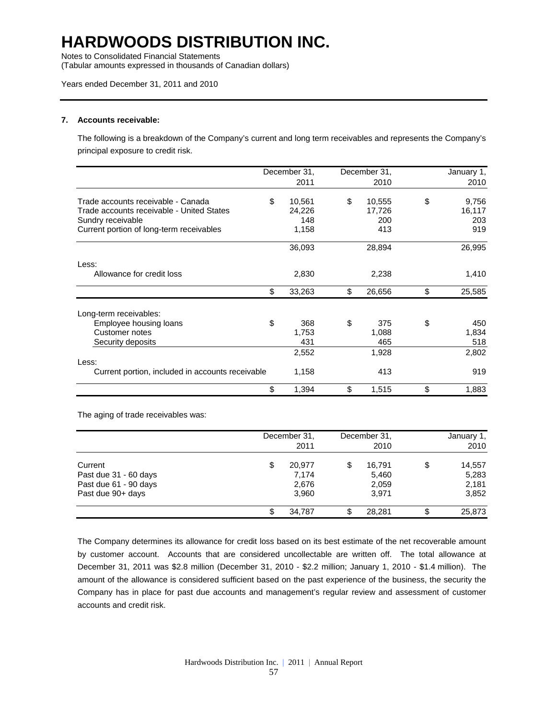Notes to Consolidated Financial Statements

(Tabular amounts expressed in thousands of Canadian dollars)

### Years ended December 31, 2011 and 2010

#### **7. Accounts receivable:**

The following is a breakdown of the Company's current and long term receivables and represents the Company's principal exposure to credit risk.

|                                                  | December 31, | December 31. | January 1,   |
|--------------------------------------------------|--------------|--------------|--------------|
|                                                  | 2011         | 2010         | 2010         |
| Trade accounts receivable - Canada               | \$<br>10,561 | \$<br>10,555 | \$<br>9,756  |
| Trade accounts receivable - United States        | 24,226       | 17,726       | 16,117       |
| Sundry receivable                                | 148          | 200          | 203          |
| Current portion of long-term receivables         | 1,158        | 413          | 919          |
|                                                  | 36,093       | 28,894       | 26,995       |
| Less:                                            |              |              |              |
| Allowance for credit loss                        | 2,830        | 2,238        | 1,410        |
|                                                  | \$<br>33,263 | \$<br>26,656 | \$<br>25,585 |
| Long-term receivables:                           |              |              |              |
| Employee housing loans                           | \$<br>368    | \$<br>375    | \$<br>450    |
| Customer notes                                   | 1,753        | 1,088        | 1,834        |
| Security deposits                                | 431          | 465          | 518          |
|                                                  | 2,552        | 1,928        | 2,802        |
| Less:                                            |              |              |              |
| Current portion, included in accounts receivable | 1,158        | 413          | 919          |
|                                                  | \$<br>1,394  | \$<br>1,515  | \$<br>1,883  |

The aging of trade receivables was:

|                                                                                |   | December 31,<br>2011              |    | December 31,<br>2010              |    | January 1,<br>2010                |
|--------------------------------------------------------------------------------|---|-----------------------------------|----|-----------------------------------|----|-----------------------------------|
| Current<br>Past due 31 - 60 days<br>Past due 61 - 90 days<br>Past due 90+ days | S | 20.977<br>7.174<br>2,676<br>3,960 | \$ | 16.791<br>5,460<br>2,059<br>3,971 | \$ | 14,557<br>5,283<br>2,181<br>3,852 |
|                                                                                |   | 34.787                            |    | 28,281                            | æ  | 25,873                            |

The Company determines its allowance for credit loss based on its best estimate of the net recoverable amount by customer account. Accounts that are considered uncollectable are written off. The total allowance at December 31, 2011 was \$2.8 million (December 31, 2010 - \$2.2 million; January 1, 2010 - \$1.4 million). The amount of the allowance is considered sufficient based on the past experience of the business, the security the Company has in place for past due accounts and management's regular review and assessment of customer accounts and credit risk.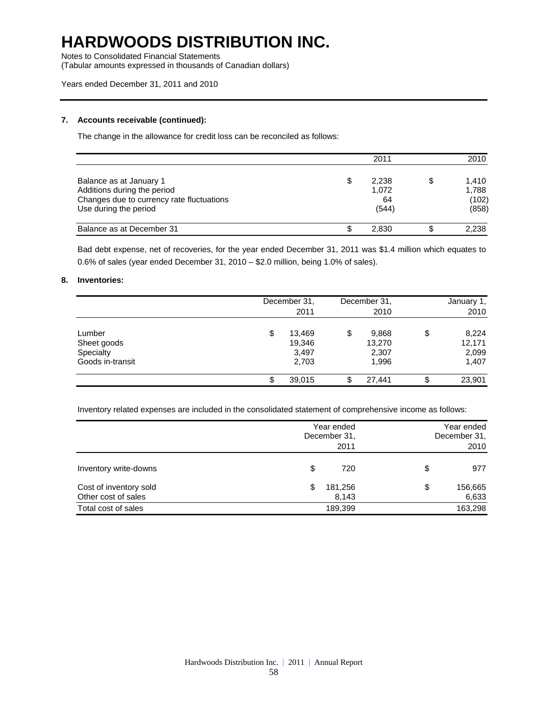Notes to Consolidated Financial Statements

(Tabular amounts expressed in thousands of Canadian dollars)

#### Years ended December 31, 2011 and 2010

### **7. Accounts receivable (continued):**

The change in the allowance for credit loss can be reconciled as follows:

|                                                                                                                              |   | 2011                          | 2010                                   |
|------------------------------------------------------------------------------------------------------------------------------|---|-------------------------------|----------------------------------------|
| Balance as at January 1<br>Additions during the period<br>Changes due to currency rate fluctuations<br>Use during the period | S | 2.238<br>1,072<br>64<br>(544) | \$<br>1,410<br>1,788<br>(102)<br>(858) |
| Balance as at December 31                                                                                                    |   | 2.830                         | 2.238                                  |

Bad debt expense, net of recoveries, for the year ended December 31, 2011 was \$1.4 million which equates to 0.6% of sales (year ended December 31, 2010 – \$2.0 million, being 1.0% of sales).

#### **8. Inventories:**

|                                                        | December 31,<br>2011                     | December 31,<br>2010                    |    | January 1,<br>2010                |
|--------------------------------------------------------|------------------------------------------|-----------------------------------------|----|-----------------------------------|
| Lumber<br>Sheet goods<br>Specialty<br>Goods in-transit | \$<br>13.469<br>19,346<br>3,497<br>2,703 | \$<br>9,868<br>13,270<br>2,307<br>1,996 | \$ | 8,224<br>12,171<br>2,099<br>1,407 |
|                                                        | 39,015                                   | 27.441                                  | æ  | 23,901                            |

Inventory related expenses are included in the consolidated statement of comprehensive income as follows:

|                                               |    | Year ended<br>December 31,<br>2011 | Year ended<br>December 31.<br>2010 |                  |  |
|-----------------------------------------------|----|------------------------------------|------------------------------------|------------------|--|
| Inventory write-downs                         | \$ | 720                                | \$                                 | 977              |  |
| Cost of inventory sold<br>Other cost of sales | S  | 181,256<br>8,143                   | \$                                 | 156,665<br>6,633 |  |
| Total cost of sales                           |    | 189,399                            |                                    | 163,298          |  |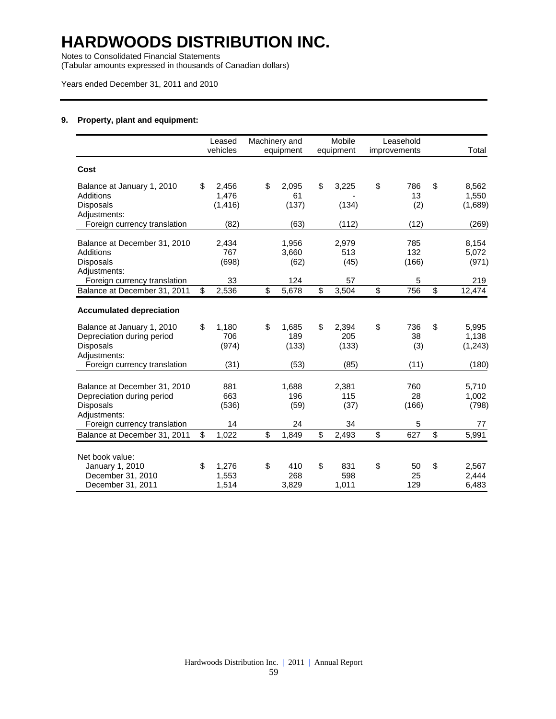Notes to Consolidated Financial Statements

(Tabular amounts expressed in thousands of Canadian dollars)

### Years ended December 31, 2011 and 2010

### **9. Property, plant and equipment:**

|                                                                                              | Leased<br>vehicles               |                         | Machinery and<br>equipment | Mobile<br>equipment         | Leasehold<br>improvements |                          | Total                      |
|----------------------------------------------------------------------------------------------|----------------------------------|-------------------------|----------------------------|-----------------------------|---------------------------|--------------------------|----------------------------|
| Cost                                                                                         |                                  |                         |                            |                             |                           |                          |                            |
| Balance at January 1, 2010<br>Additions<br><b>Disposals</b><br>Adjustments:                  | \$<br>2.456<br>1,476<br>(1, 416) | \$                      | 2.095<br>61<br>(137)       | \$<br>3,225<br>(134)        | \$<br>786<br>13<br>(2)    | \$                       | 8,562<br>1,550<br>(1,689)  |
| Foreign currency translation                                                                 | (82)                             |                         | (63)                       | (112)                       | (12)                      |                          | (269)                      |
| Balance at December 31, 2010<br><b>Additions</b><br><b>Disposals</b><br>Adjustments:         | 2,434<br>767<br>(698)            |                         | 1,956<br>3,660<br>(62)     | 2,979<br>513<br>(45)        | 785<br>132<br>(166)       |                          | 8,154<br>5,072<br>(971)    |
| Foreign currency translation                                                                 | 33                               |                         | 124                        | 57                          | 5                         |                          | 219                        |
| Balance at December 31, 2011                                                                 | \$<br>2,536                      | $\overline{\mathbf{s}}$ | 5,678                      | \$<br>3,504                 | \$<br>756                 | $\overline{\mathcal{S}}$ | 12,474                     |
| <b>Accumulated depreciation</b>                                                              |                                  |                         |                            |                             |                           |                          |                            |
| Balance at January 1, 2010<br>Depreciation during period<br><b>Disposals</b><br>Adjustments: | \$<br>1,180<br>706<br>(974)      | \$                      | 1,685<br>189<br>(133)      | \$<br>2,394<br>205<br>(133) | \$<br>736<br>38<br>(3)    | \$                       | 5,995<br>1,138<br>(1, 243) |
| Foreign currency translation                                                                 | (31)                             |                         | (53)                       | (85)                        | (11)                      |                          | (180)                      |
| Balance at December 31, 2010<br>Depreciation during period<br>Disposals<br>Adjustments:      | 881<br>663<br>(536)              |                         | 1,688<br>196<br>(59)       | 2,381<br>115<br>(37)        | 760<br>28<br>(166)        |                          | 5,710<br>1,002<br>(798)    |
| Foreign currency translation                                                                 | 14                               |                         | 24                         | 34                          | 5                         |                          | 77                         |
| Balance at December 31, 2011                                                                 | \$<br>1,022                      | \$                      | 1,849                      | \$<br>2,493                 | \$<br>627                 | \$                       | 5,991                      |
| Net book value:<br>January 1, 2010<br>December 31, 2010<br>December 31, 2011                 | \$<br>1,276<br>1,553<br>1,514    | \$                      | 410<br>268<br>3,829        | \$<br>831<br>598<br>1,011   | \$<br>50<br>25<br>129     | \$                       | 2,567<br>2,444<br>6,483    |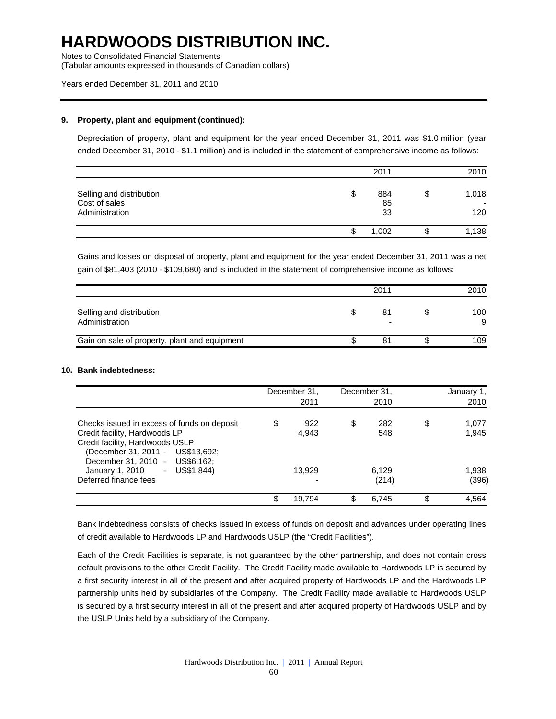Notes to Consolidated Financial Statements

(Tabular amounts expressed in thousands of Canadian dollars)

### Years ended December 31, 2011 and 2010

#### **9. Property, plant and equipment (continued):**

Depreciation of property, plant and equipment for the year ended December 31, 2011 was \$1.0 million (year ended December 31, 2010 - \$1.1 million) and is included in the statement of comprehensive income as follows:

|                                                             |    | 2011            |   | 2010         |
|-------------------------------------------------------------|----|-----------------|---|--------------|
| Selling and distribution<br>Cost of sales<br>Administration | \$ | 884<br>85<br>33 | J | 1,018<br>120 |
|                                                             | Ф  | 1,002           |   | 1,138        |

Gains and losses on disposal of property, plant and equipment for the year ended December 31, 2011 was a net gain of \$81,403 (2010 - \$109,680) and is included in the statement of comprehensive income as follows:

|                                               | 2011    | 2010     |
|-----------------------------------------------|---------|----------|
| Selling and distribution<br>Administration    | 81<br>- | 100<br>9 |
| Gain on sale of property, plant and equipment | 81      | 109      |

### **10. Bank indebtedness:**

|                                                                                                                                                                                        | December 31,<br>2011 | December 31,<br>2010 |    | January 1,<br>2010 |
|----------------------------------------------------------------------------------------------------------------------------------------------------------------------------------------|----------------------|----------------------|----|--------------------|
| Checks issued in excess of funds on deposit<br>Credit facility, Hardwoods LP<br>Credit facility, Hardwoods USLP<br>(December 31, 2011 - US\$13,692;<br>December 31, 2010 - US\$6, 162; | \$<br>922<br>4,943   | \$<br>282<br>548     | \$ | 1,077<br>1,945     |
| $-$ US\$1.844)<br>January 1, 2010<br>Deferred finance fees                                                                                                                             | 13.929               | 6,129<br>(214)       |    | 1,938<br>(396)     |
|                                                                                                                                                                                        | \$<br>19,794         | \$<br>6,745          | ß. | 4,564              |

Bank indebtedness consists of checks issued in excess of funds on deposit and advances under operating lines of credit available to Hardwoods LP and Hardwoods USLP (the "Credit Facilities").

Each of the Credit Facilities is separate, is not guaranteed by the other partnership, and does not contain cross default provisions to the other Credit Facility. The Credit Facility made available to Hardwoods LP is secured by a first security interest in all of the present and after acquired property of Hardwoods LP and the Hardwoods LP partnership units held by subsidiaries of the Company. The Credit Facility made available to Hardwoods USLP is secured by a first security interest in all of the present and after acquired property of Hardwoods USLP and by the USLP Units held by a subsidiary of the Company.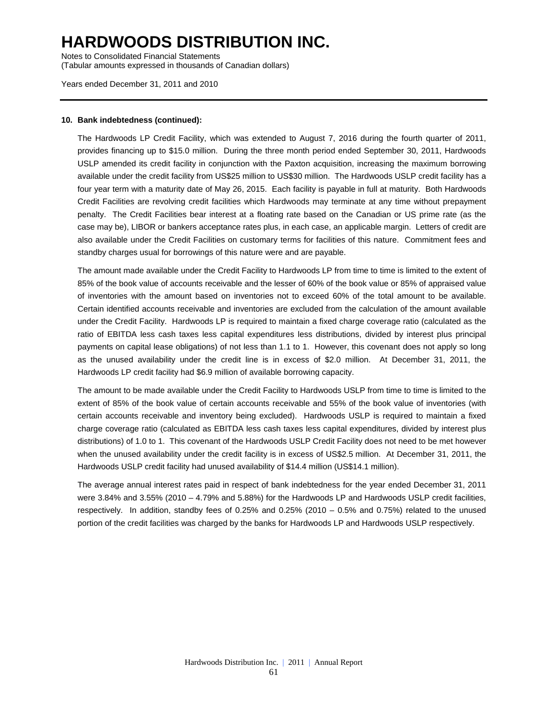Notes to Consolidated Financial Statements (Tabular amounts expressed in thousands of Canadian dollars)

Years ended December 31, 2011 and 2010

### **10. Bank indebtedness (continued):**

The Hardwoods LP Credit Facility, which was extended to August 7, 2016 during the fourth quarter of 2011, provides financing up to \$15.0 million. During the three month period ended September 30, 2011, Hardwoods USLP amended its credit facility in conjunction with the Paxton acquisition, increasing the maximum borrowing available under the credit facility from US\$25 million to US\$30 million. The Hardwoods USLP credit facility has a four year term with a maturity date of May 26, 2015. Each facility is payable in full at maturity. Both Hardwoods Credit Facilities are revolving credit facilities which Hardwoods may terminate at any time without prepayment penalty. The Credit Facilities bear interest at a floating rate based on the Canadian or US prime rate (as the case may be), LIBOR or bankers acceptance rates plus, in each case, an applicable margin. Letters of credit are also available under the Credit Facilities on customary terms for facilities of this nature. Commitment fees and standby charges usual for borrowings of this nature were and are payable.

The amount made available under the Credit Facility to Hardwoods LP from time to time is limited to the extent of 85% of the book value of accounts receivable and the lesser of 60% of the book value or 85% of appraised value of inventories with the amount based on inventories not to exceed 60% of the total amount to be available. Certain identified accounts receivable and inventories are excluded from the calculation of the amount available under the Credit Facility. Hardwoods LP is required to maintain a fixed charge coverage ratio (calculated as the ratio of EBITDA less cash taxes less capital expenditures less distributions, divided by interest plus principal payments on capital lease obligations) of not less than 1.1 to 1. However, this covenant does not apply so long as the unused availability under the credit line is in excess of \$2.0 million. At December 31, 2011, the Hardwoods LP credit facility had \$6.9 million of available borrowing capacity.

The amount to be made available under the Credit Facility to Hardwoods USLP from time to time is limited to the extent of 85% of the book value of certain accounts receivable and 55% of the book value of inventories (with certain accounts receivable and inventory being excluded). Hardwoods USLP is required to maintain a fixed charge coverage ratio (calculated as EBITDA less cash taxes less capital expenditures, divided by interest plus distributions) of 1.0 to 1. This covenant of the Hardwoods USLP Credit Facility does not need to be met however when the unused availability under the credit facility is in excess of US\$2.5 million. At December 31, 2011, the Hardwoods USLP credit facility had unused availability of \$14.4 million (US\$14.1 million).

The average annual interest rates paid in respect of bank indebtedness for the year ended December 31, 2011 were 3.84% and 3.55% (2010 – 4.79% and 5.88%) for the Hardwoods LP and Hardwoods USLP credit facilities, respectively. In addition, standby fees of 0.25% and 0.25% (2010 – 0.5% and 0.75%) related to the unused portion of the credit facilities was charged by the banks for Hardwoods LP and Hardwoods USLP respectively.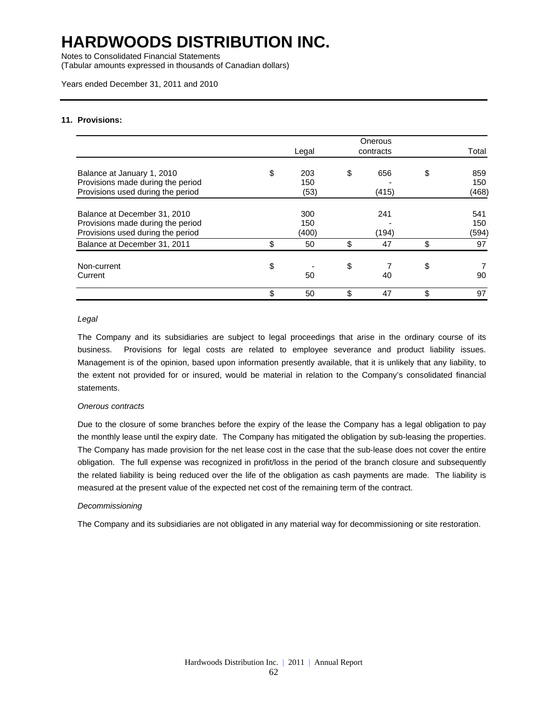Notes to Consolidated Financial Statements

(Tabular amounts expressed in thousands of Canadian dollars)

### Years ended December 31, 2011 and 2010

#### **11. Provisions:**

|                                                                        |              | Onerous   |              |
|------------------------------------------------------------------------|--------------|-----------|--------------|
|                                                                        | Legal        | contracts | Total        |
| Balance at January 1, 2010                                             | \$<br>203    | \$<br>656 | \$<br>859    |
| Provisions made during the period<br>Provisions used during the period | 150<br>(53)  | (415)     | 150<br>(468) |
| Balance at December 31, 2010                                           | 300          | 241       | 541          |
| Provisions made during the period<br>Provisions used during the period | 150<br>(400) | (194)     | 150<br>(594) |
| Balance at December 31, 2011                                           | \$<br>50     | \$<br>47  | \$<br>97     |
| Non-current                                                            | \$           | \$        | \$           |
| Current                                                                | 50           | 40        | 90           |
|                                                                        | \$<br>50     | \$<br>47  | \$<br>97     |

#### *Legal*

The Company and its subsidiaries are subject to legal proceedings that arise in the ordinary course of its business. Provisions for legal costs are related to employee severance and product liability issues. Management is of the opinion, based upon information presently available, that it is unlikely that any liability, to the extent not provided for or insured, would be material in relation to the Company's consolidated financial statements.

#### *Onerous contracts*

Due to the closure of some branches before the expiry of the lease the Company has a legal obligation to pay the monthly lease until the expiry date. The Company has mitigated the obligation by sub-leasing the properties. The Company has made provision for the net lease cost in the case that the sub-lease does not cover the entire obligation. The full expense was recognized in profit/loss in the period of the branch closure and subsequently the related liability is being reduced over the life of the obligation as cash payments are made. The liability is measured at the present value of the expected net cost of the remaining term of the contract.

#### *Decommissioning*

The Company and its subsidiaries are not obligated in any material way for decommissioning or site restoration.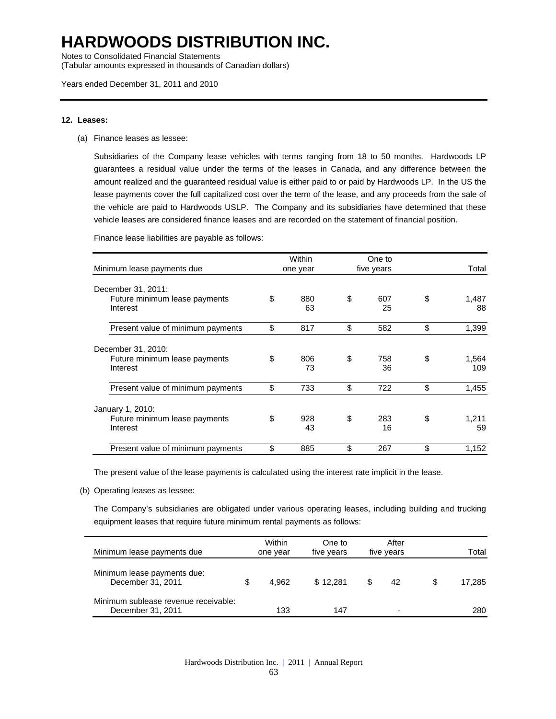Notes to Consolidated Financial Statements

(Tabular amounts expressed in thousands of Canadian dollars)

#### **12. Leases:**

(a) Finance leases as lessee:

Subsidiaries of the Company lease vehicles with terms ranging from 18 to 50 months. Hardwoods LP guarantees a residual value under the terms of the leases in Canada, and any difference between the amount realized and the guaranteed residual value is either paid to or paid by Hardwoods LP. In the US the lease payments cover the full capitalized cost over the term of the lease, and any proceeds from the sale of the vehicle are paid to Hardwoods USLP. The Company and its subsidiaries have determined that these vehicle leases are considered finance leases and are recorded on the statement of financial position.

Finance lease liabilities are payable as follows:

| Minimum lease payments due                | Within<br>one year | One to<br>five years | Total              |
|-------------------------------------------|--------------------|----------------------|--------------------|
| December 31, 2011:                        |                    |                      |                    |
| Future minimum lease payments<br>Interest | \$<br>880<br>63    | \$<br>607<br>25      | \$<br>1,487<br>88  |
| Present value of minimum payments         | \$<br>817          | \$<br>582            | \$<br>1,399        |
| December 31, 2010:                        |                    |                      |                    |
| Future minimum lease payments<br>Interest | \$<br>806<br>73    | \$<br>758<br>36      | \$<br>1,564<br>109 |
| Present value of minimum payments         | \$<br>733          | \$<br>722            | \$<br>1,455        |
| January 1, 2010:                          |                    |                      |                    |
| Future minimum lease payments<br>Interest | \$<br>928<br>43    | \$<br>283<br>16      | \$<br>1.211<br>59  |
| Present value of minimum payments         | \$<br>885          | \$<br>267            | \$<br>1,152        |

The present value of the lease payments is calculated using the interest rate implicit in the lease.

(b) Operating leases as lessee:

The Company's subsidiaries are obligated under various operating leases, including building and trucking equipment leases that require future minimum rental payments as follows:

| Minimum lease payments due                                | Within<br>one year | One to<br>five years | After<br>five years | Total  |
|-----------------------------------------------------------|--------------------|----------------------|---------------------|--------|
| Minimum lease payments due:<br>December 31, 2011          | 4.962              | \$12.281             | \$<br>42            | 17.285 |
| Minimum sublease revenue receivable:<br>December 31, 2011 | 133                | 147                  |                     | 280    |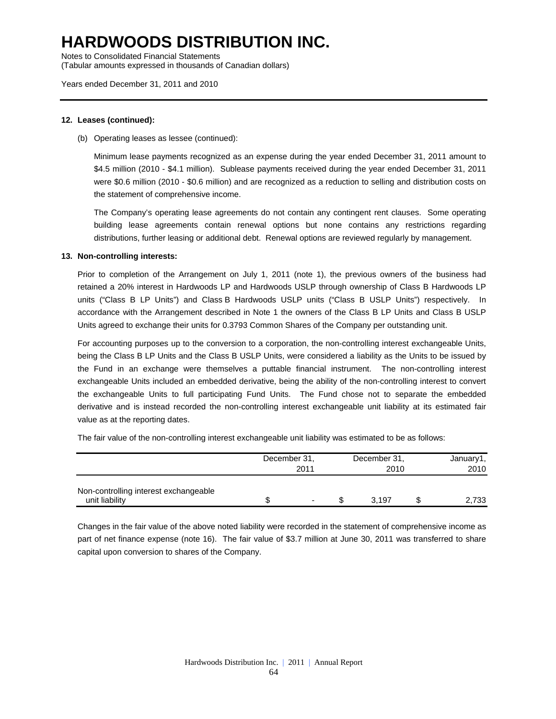Notes to Consolidated Financial Statements (Tabular amounts expressed in thousands of Canadian dollars)

Years ended December 31, 2011 and 2010

### **12. Leases (continued):**

(b) Operating leases as lessee (continued):

Minimum lease payments recognized as an expense during the year ended December 31, 2011 amount to \$4.5 million (2010 - \$4.1 million). Sublease payments received during the year ended December 31, 2011 were \$0.6 million (2010 - \$0.6 million) and are recognized as a reduction to selling and distribution costs on the statement of comprehensive income.

The Company's operating lease agreements do not contain any contingent rent clauses. Some operating building lease agreements contain renewal options but none contains any restrictions regarding distributions, further leasing or additional debt. Renewal options are reviewed regularly by management.

### **13. Non-controlling interests:**

Prior to completion of the Arrangement on July 1, 2011 (note 1), the previous owners of the business had retained a 20% interest in Hardwoods LP and Hardwoods USLP through ownership of Class B Hardwoods LP units ("Class B LP Units") and Class B Hardwoods USLP units ("Class B USLP Units") respectively. In accordance with the Arrangement described in Note 1 the owners of the Class B LP Units and Class B USLP Units agreed to exchange their units for 0.3793 Common Shares of the Company per outstanding unit.

For accounting purposes up to the conversion to a corporation, the non-controlling interest exchangeable Units, being the Class B LP Units and the Class B USLP Units, were considered a liability as the Units to be issued by the Fund in an exchange were themselves a puttable financial instrument. The non-controlling interest exchangeable Units included an embedded derivative, being the ability of the non-controlling interest to convert the exchangeable Units to full participating Fund Units. The Fund chose not to separate the embedded derivative and is instead recorded the non-controlling interest exchangeable unit liability at its estimated fair value as at the reporting dates.

The fair value of the non-controlling interest exchangeable unit liability was estimated to be as follows:

|                                                         | December 31, | 2011 | December 31,<br>2010 | January1,<br>2010 |
|---------------------------------------------------------|--------------|------|----------------------|-------------------|
| Non-controlling interest exchangeable<br>unit liability |              |      | 3.197                | 2,733             |

Changes in the fair value of the above noted liability were recorded in the statement of comprehensive income as part of net finance expense (note 16). The fair value of \$3.7 million at June 30, 2011 was transferred to share capital upon conversion to shares of the Company.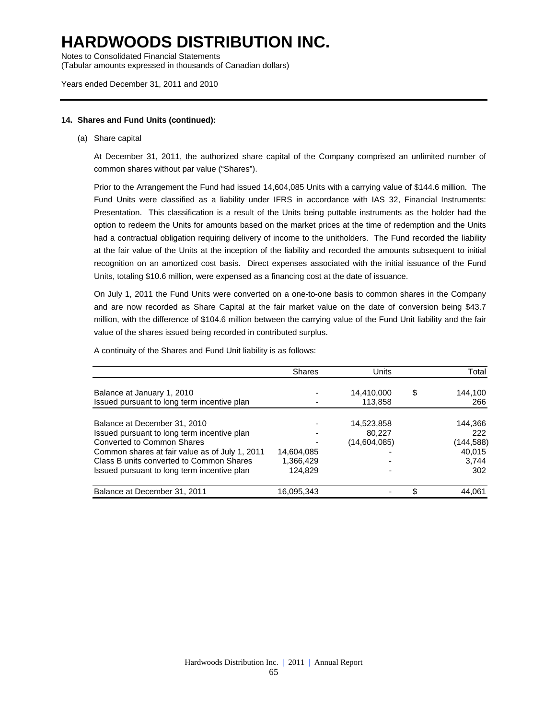Notes to Consolidated Financial Statements

(Tabular amounts expressed in thousands of Canadian dollars)

### Years ended December 31, 2011 and 2010

#### **14. Shares and Fund Units (continued):**

(a) Share capital

At December 31, 2011, the authorized share capital of the Company comprised an unlimited number of common shares without par value ("Shares").

Prior to the Arrangement the Fund had issued 14,604,085 Units with a carrying value of \$144.6 million. The Fund Units were classified as a liability under IFRS in accordance with IAS 32, Financial Instruments: Presentation. This classification is a result of the Units being puttable instruments as the holder had the option to redeem the Units for amounts based on the market prices at the time of redemption and the Units had a contractual obligation requiring delivery of income to the unitholders. The Fund recorded the liability at the fair value of the Units at the inception of the liability and recorded the amounts subsequent to initial recognition on an amortized cost basis. Direct expenses associated with the initial issuance of the Fund Units, totaling \$10.6 million, were expensed as a financing cost at the date of issuance.

On July 1, 2011 the Fund Units were converted on a one-to-one basis to common shares in the Company and are now recorded as Share Capital at the fair market value on the date of conversion being \$43.7 million, with the difference of \$104.6 million between the carrying value of the Fund Unit liability and the fair value of the shares issued being recorded in contributed surplus.

A continuity of the Shares and Fund Unit liability is as follows:

|                                                | <b>Shares</b> | Units        | Total         |
|------------------------------------------------|---------------|--------------|---------------|
| Balance at January 1, 2010                     |               | 14,410,000   | \$<br>144,100 |
| Issued pursuant to long term incentive plan    |               | 113,858      | 266           |
| Balance at December 31, 2010                   |               | 14,523,858   | 144.366       |
| Issued pursuant to long term incentive plan    |               | 80.227       | 222           |
| Converted to Common Shares                     |               | (14,604,085) | (144,588)     |
| Common shares at fair value as of July 1, 2011 | 14,604,085    |              | 40,015        |
| Class B units converted to Common Shares       | 1,366,429     |              | 3,744         |
| Issued pursuant to long term incentive plan    | 124.829       |              | 302           |
| Balance at December 31, 2011                   | 16,095,343    |              | \$<br>44.061  |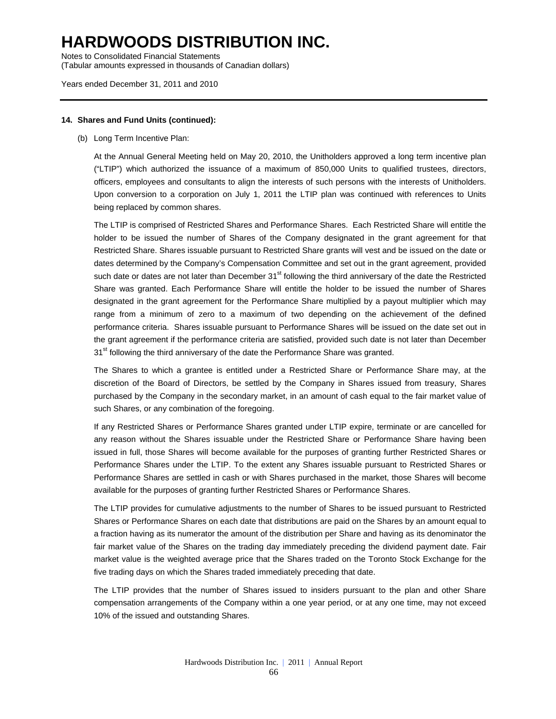Notes to Consolidated Financial Statements (Tabular amounts expressed in thousands of Canadian dollars)

### Years ended December 31, 2011 and 2010

### **14. Shares and Fund Units (continued):**

(b) Long Term Incentive Plan:

At the Annual General Meeting held on May 20, 2010, the Unitholders approved a long term incentive plan ("LTIP") which authorized the issuance of a maximum of 850,000 Units to qualified trustees, directors, officers, employees and consultants to align the interests of such persons with the interests of Unitholders. Upon conversion to a corporation on July 1, 2011 the LTIP plan was continued with references to Units being replaced by common shares.

The LTIP is comprised of Restricted Shares and Performance Shares. Each Restricted Share will entitle the holder to be issued the number of Shares of the Company designated in the grant agreement for that Restricted Share. Shares issuable pursuant to Restricted Share grants will vest and be issued on the date or dates determined by the Company's Compensation Committee and set out in the grant agreement, provided such date or dates are not later than December 31<sup>st</sup> following the third anniversary of the date the Restricted Share was granted. Each Performance Share will entitle the holder to be issued the number of Shares designated in the grant agreement for the Performance Share multiplied by a payout multiplier which may range from a minimum of zero to a maximum of two depending on the achievement of the defined performance criteria. Shares issuable pursuant to Performance Shares will be issued on the date set out in the grant agreement if the performance criteria are satisfied, provided such date is not later than December 31<sup>st</sup> following the third anniversary of the date the Performance Share was granted.

The Shares to which a grantee is entitled under a Restricted Share or Performance Share may, at the discretion of the Board of Directors, be settled by the Company in Shares issued from treasury, Shares purchased by the Company in the secondary market, in an amount of cash equal to the fair market value of such Shares, or any combination of the foregoing.

If any Restricted Shares or Performance Shares granted under LTIP expire, terminate or are cancelled for any reason without the Shares issuable under the Restricted Share or Performance Share having been issued in full, those Shares will become available for the purposes of granting further Restricted Shares or Performance Shares under the LTIP. To the extent any Shares issuable pursuant to Restricted Shares or Performance Shares are settled in cash or with Shares purchased in the market, those Shares will become available for the purposes of granting further Restricted Shares or Performance Shares.

The LTIP provides for cumulative adjustments to the number of Shares to be issued pursuant to Restricted Shares or Performance Shares on each date that distributions are paid on the Shares by an amount equal to a fraction having as its numerator the amount of the distribution per Share and having as its denominator the fair market value of the Shares on the trading day immediately preceding the dividend payment date. Fair market value is the weighted average price that the Shares traded on the Toronto Stock Exchange for the five trading days on which the Shares traded immediately preceding that date.

The LTIP provides that the number of Shares issued to insiders pursuant to the plan and other Share compensation arrangements of the Company within a one year period, or at any one time, may not exceed 10% of the issued and outstanding Shares.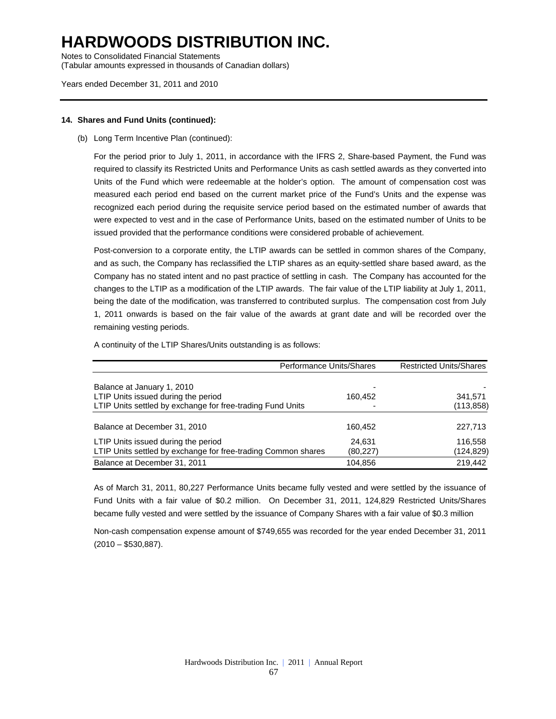Notes to Consolidated Financial Statements (Tabular amounts expressed in thousands of Canadian dollars)

Years ended December 31, 2011 and 2010

### **14. Shares and Fund Units (continued):**

### (b) Long Term Incentive Plan (continued):

For the period prior to July 1, 2011, in accordance with the IFRS 2, Share-based Payment, the Fund was required to classify its Restricted Units and Performance Units as cash settled awards as they converted into Units of the Fund which were redeemable at the holder's option. The amount of compensation cost was measured each period end based on the current market price of the Fund's Units and the expense was recognized each period during the requisite service period based on the estimated number of awards that were expected to vest and in the case of Performance Units, based on the estimated number of Units to be issued provided that the performance conditions were considered probable of achievement.

Post-conversion to a corporate entity, the LTIP awards can be settled in common shares of the Company, and as such, the Company has reclassified the LTIP shares as an equity-settled share based award, as the Company has no stated intent and no past practice of settling in cash. The Company has accounted for the changes to the LTIP as a modification of the LTIP awards. The fair value of the LTIP liability at July 1, 2011, being the date of the modification, was transferred to contributed surplus. The compensation cost from July 1, 2011 onwards is based on the fair value of the awards at grant date and will be recorded over the remaining vesting periods.

A continuity of the LTIP Shares/Units outstanding is as follows:

| Performance Units/Shares                                      |           | <b>Restricted Units/Shares</b> |
|---------------------------------------------------------------|-----------|--------------------------------|
|                                                               |           |                                |
| Balance at January 1, 2010                                    |           |                                |
| LTIP Units issued during the period                           | 160,452   | 341,571                        |
| LTIP Units settled by exchange for free-trading Fund Units    |           | (113, 858)                     |
|                                                               |           |                                |
| Balance at December 31, 2010                                  | 160,452   | 227,713                        |
| LTIP Units issued during the period                           | 24.631    | 116,558                        |
| LTIP Units settled by exchange for free-trading Common shares | (80, 227) | (124, 829)                     |
| Balance at December 31, 2011                                  | 104.856   | 219,442                        |

As of March 31, 2011, 80,227 Performance Units became fully vested and were settled by the issuance of Fund Units with a fair value of \$0.2 million. On December 31, 2011, 124,829 Restricted Units/Shares became fully vested and were settled by the issuance of Company Shares with a fair value of \$0.3 million

Non-cash compensation expense amount of \$749,655 was recorded for the year ended December 31, 2011  $(2010 - $530,887)$ .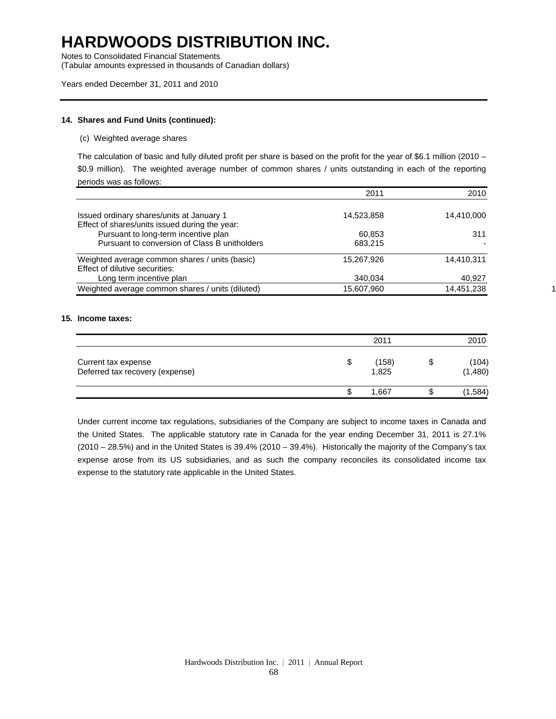Notes to Consolidated Financial Statements

(Tabular amounts expressed in thousands of Canadian dollars)

#### Years ended December 31, 2011 and 2010

### **14. Shares and Fund Units (continued):**

#### (c) Weighted average shares

The calculation of basic and fully diluted profit per share is based on the profit for the year of \$6.1 million (2010 – \$0.9 million). The weighted average number of common shares / units outstanding in each of the reporting periods was as follows:

|                                                                                        | 2011       | 2010       |
|----------------------------------------------------------------------------------------|------------|------------|
| Issued ordinary shares/units at January 1                                              | 14,523,858 | 14,410,000 |
| Effect of shares/units issued during the year:<br>Pursuant to long-term incentive plan | 60,853     | 311        |
| Pursuant to conversion of Class B unitholders                                          | 683.215    |            |
| Weighted average common shares / units (basic)<br>Effect of dilutive securities:       | 15,267,926 | 14.410.311 |
| Long term incentive plan                                                               | 340.034    | 40,927     |
| Weighted average common shares / units (diluted)                                       | 15,607,960 | 14,451,238 |

#### **15. Income taxes:**

|                                                        | 2011 |                |   | 2010             |  |
|--------------------------------------------------------|------|----------------|---|------------------|--|
| Current tax expense<br>Deferred tax recovery (expense) | S    | (158)<br>1,825 | ง | (104)<br>(1,480) |  |
|                                                        |      | 1,667          |   | (1,584)          |  |

Under current income tax regulations, subsidiaries of the Company are subject to income taxes in Canada and the United States. The applicable statutory rate in Canada for the year ending December 31, 2011 is 27.1% (2010 – 28.5%) and in the United States is 39.4% (2010 – 39.4%). Historically the majority of the Company's tax expense arose from its US subsidiaries, and as such the company reconciles its consolidated income tax expense to the statutory rate applicable in the United States.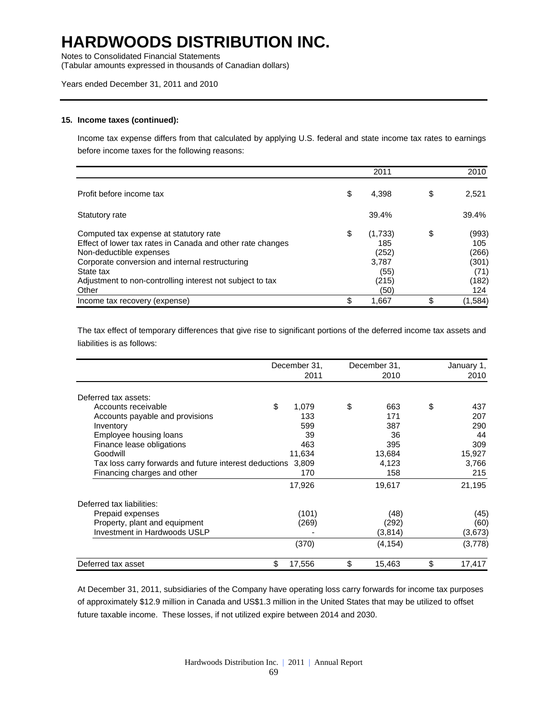Notes to Consolidated Financial Statements

(Tabular amounts expressed in thousands of Canadian dollars)

### Years ended December 31, 2011 and 2010

#### **15. Income taxes (continued):**

Income tax expense differs from that calculated by applying U.S. federal and state income tax rates to earnings before income taxes for the following reasons:

|                                                                                                                                                                                                                                                                       | 2011                                                            | 2010                                                         |
|-----------------------------------------------------------------------------------------------------------------------------------------------------------------------------------------------------------------------------------------------------------------------|-----------------------------------------------------------------|--------------------------------------------------------------|
| Profit before income tax                                                                                                                                                                                                                                              | \$<br>4.398                                                     | \$<br>2,521                                                  |
| Statutory rate                                                                                                                                                                                                                                                        | 39.4%                                                           | 39.4%                                                        |
| Computed tax expense at statutory rate<br>Effect of lower tax rates in Canada and other rate changes<br>Non-deductible expenses<br>Corporate conversion and internal restructuring<br>State tax<br>Adjustment to non-controlling interest not subject to tax<br>Other | \$<br>(1,733)<br>185<br>(252)<br>3,787<br>(55)<br>(215)<br>(50) | \$<br>(993)<br>105<br>(266)<br>(301)<br>(71)<br>(182)<br>124 |
| Income tax recovery (expense)                                                                                                                                                                                                                                         | 1,667                                                           | \$<br>(1,584)                                                |

The tax effect of temporary differences that give rise to significant portions of the deferred income tax assets and liabilities is as follows:

|                                                              | December 31, | December 31, | January 1,   |
|--------------------------------------------------------------|--------------|--------------|--------------|
|                                                              | 2011         | 2010         | 2010         |
| Deferred tax assets:                                         |              |              |              |
| Accounts receivable                                          | \$<br>1,079  | \$<br>663    | \$<br>437    |
| Accounts payable and provisions                              | 133          | 171          | 207          |
| Inventory                                                    | 599          | 387          | 290          |
| Employee housing loans                                       | 39           | 36           | 44           |
| Finance lease obligations                                    | 463          | 395          | 309          |
| Goodwill                                                     | 11,634       | 13,684       | 15,927       |
| Tax loss carry forwards and future interest deductions 3,809 |              | 4,123        | 3,766        |
| Financing charges and other                                  | 170          | 158          | 215          |
|                                                              | 17,926       | 19,617       | 21,195       |
| Deferred tax liabilities:                                    |              |              |              |
| Prepaid expenses                                             | (101)        | (48)         | (45)         |
| Property, plant and equipment                                | (269)        | (292)        | (60)         |
| Investment in Hardwoods USLP                                 |              | (3,814)      | (3,673)      |
|                                                              | (370)        | (4, 154)     | (3,778)      |
| Deferred tax asset                                           | \$<br>17,556 | \$<br>15,463 | \$<br>17,417 |

At December 31, 2011, subsidiaries of the Company have operating loss carry forwards for income tax purposes of approximately \$12.9 million in Canada and US\$1.3 million in the United States that may be utilized to offset future taxable income. These losses, if not utilized expire between 2014 and 2030.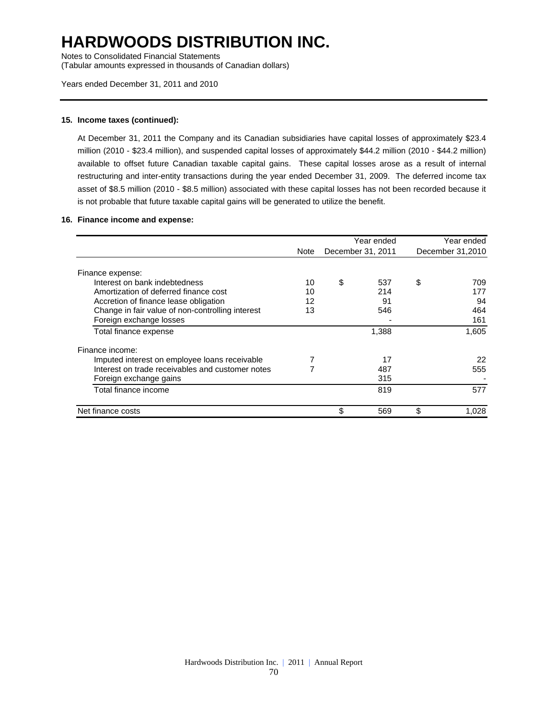Notes to Consolidated Financial Statements

(Tabular amounts expressed in thousands of Canadian dollars)

#### **15. Income taxes (continued):**

At December 31, 2011 the Company and its Canadian subsidiaries have capital losses of approximately \$23.4 million (2010 - \$23.4 million), and suspended capital losses of approximately \$44.2 million (2010 - \$44.2 million) available to offset future Canadian taxable capital gains. These capital losses arose as a result of internal restructuring and inter-entity transactions during the year ended December 31, 2009. The deferred income tax asset of \$8.5 million (2010 - \$8.5 million) associated with these capital losses has not been recorded because it is not probable that future taxable capital gains will be generated to utilize the benefit.

#### **16. Finance income and expense:**

|                                                  | Year ended |                   |       |                  | Year ended |
|--------------------------------------------------|------------|-------------------|-------|------------------|------------|
|                                                  | Note       | December 31, 2011 |       | December 31,2010 |            |
| Finance expense:                                 |            |                   |       |                  |            |
| Interest on bank indebtedness                    | 10         | \$                | 537   | \$               | 709        |
| Amortization of deferred finance cost            | 10         |                   | 214   |                  | 177        |
| Accretion of finance lease obligation            | 12         |                   | 91    |                  | 94         |
| Change in fair value of non-controlling interest | 13         |                   | 546   |                  | 464        |
| Foreign exchange losses                          |            |                   |       |                  | 161        |
| Total finance expense                            |            |                   | 1,388 |                  | 1.605      |
| Finance income:                                  |            |                   |       |                  |            |
| Imputed interest on employee loans receivable    |            |                   | 17    |                  | 22         |
| Interest on trade receivables and customer notes |            |                   | 487   |                  | 555        |
| Foreign exchange gains                           |            |                   | 315   |                  |            |
| Total finance income                             |            |                   | 819   |                  | 577        |
| Net finance costs                                |            | \$                | 569   | \$               | 1.028      |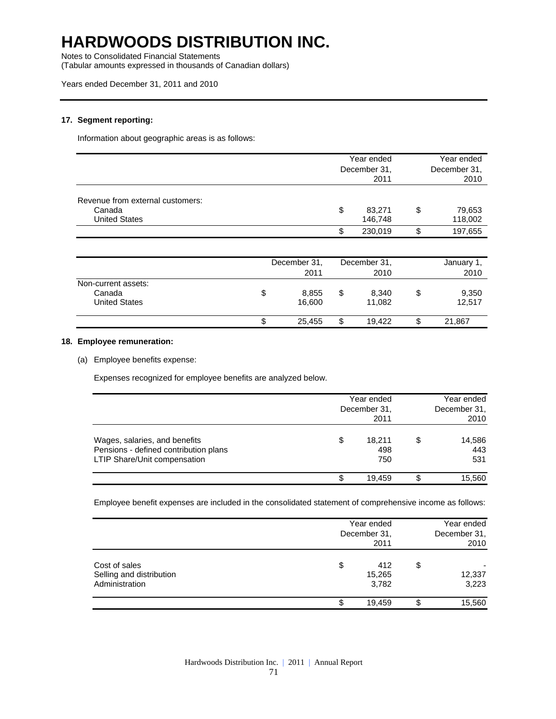Notes to Consolidated Financial Statements

(Tabular amounts expressed in thousands of Canadian dollars)

### **17. Segment reporting:**

Information about geographic areas is as follows:

|                                                                    | Year ended<br>December 31,<br>2011 |    | Year ended<br>December 31,<br>2010 |  |
|--------------------------------------------------------------------|------------------------------------|----|------------------------------------|--|
| Revenue from external customers:<br>Canada<br><b>United States</b> | \$<br>83,271<br>146,748            | \$ | 79,653<br>118,002                  |  |
|                                                                    | \$<br>230.019                      | \$ | 197,655                            |  |

|                                                       | December 31,<br>2011  | December 31,<br>2010  | January 1,<br>2010    |
|-------------------------------------------------------|-----------------------|-----------------------|-----------------------|
| Non-current assets:<br>Canada<br><b>United States</b> | \$<br>8,855<br>16.600 | \$<br>8,340<br>11.082 | \$<br>9,350<br>12,517 |
|                                                       | \$<br>25,455          | \$<br>19.422          | \$<br>21,867          |

### **18. Employee remuneration:**

(a) Employee benefits expense:

Expenses recognized for employee benefits are analyzed below.

|                                                                                                        | Year ended<br>December 31,<br>2011 |                      | Year ended<br>December 31,<br>2010 |  |
|--------------------------------------------------------------------------------------------------------|------------------------------------|----------------------|------------------------------------|--|
| Wages, salaries, and benefits<br>Pensions - defined contribution plans<br>LTIP Share/Unit compensation | \$                                 | 18,211<br>498<br>750 | \$<br>14,586<br>443<br>531         |  |
|                                                                                                        | S                                  | 19.459               | 15.560                             |  |

Employee benefit expenses are included in the consolidated statement of comprehensive income as follows:

|                                                             | Year ended<br>December 31,<br>2011 |    |                 |
|-------------------------------------------------------------|------------------------------------|----|-----------------|
| Cost of sales<br>Selling and distribution<br>Administration | \$<br>412<br>15,265<br>3,782       | \$ | 12,337<br>3,223 |
|                                                             | \$<br>19,459                       |    | 15,560          |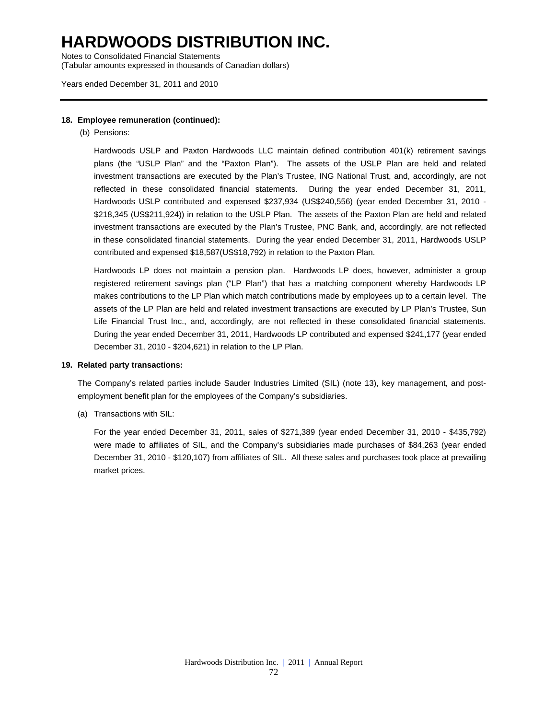Notes to Consolidated Financial Statements (Tabular amounts expressed in thousands of Canadian dollars)

Years ended December 31, 2011 and 2010

### **18. Employee remuneration (continued):**

(b) Pensions:

Hardwoods USLP and Paxton Hardwoods LLC maintain defined contribution 401(k) retirement savings plans (the "USLP Plan" and the "Paxton Plan"). The assets of the USLP Plan are held and related investment transactions are executed by the Plan's Trustee, ING National Trust, and, accordingly, are not reflected in these consolidated financial statements. During the year ended December 31, 2011, Hardwoods USLP contributed and expensed \$237,934 (US\$240,556) (year ended December 31, 2010 - \$218,345 (US\$211,924)) in relation to the USLP Plan. The assets of the Paxton Plan are held and related investment transactions are executed by the Plan's Trustee, PNC Bank, and, accordingly, are not reflected in these consolidated financial statements. During the year ended December 31, 2011, Hardwoods USLP contributed and expensed \$18,587(US\$18,792) in relation to the Paxton Plan.

Hardwoods LP does not maintain a pension plan. Hardwoods LP does, however, administer a group registered retirement savings plan ("LP Plan") that has a matching component whereby Hardwoods LP makes contributions to the LP Plan which match contributions made by employees up to a certain level. The assets of the LP Plan are held and related investment transactions are executed by LP Plan's Trustee, Sun Life Financial Trust Inc., and, accordingly, are not reflected in these consolidated financial statements. During the year ended December 31, 2011, Hardwoods LP contributed and expensed \$241,177 (year ended December 31, 2010 - \$204,621) in relation to the LP Plan.

### **19. Related party transactions:**

The Company's related parties include Sauder Industries Limited (SIL) (note 13), key management, and postemployment benefit plan for the employees of the Company's subsidiaries.

(a) Transactions with SIL:

For the year ended December 31, 2011, sales of \$271,389 (year ended December 31, 2010 - \$435,792) were made to affiliates of SIL, and the Company's subsidiaries made purchases of \$84,263 (year ended December 31, 2010 - \$120,107) from affiliates of SIL. All these sales and purchases took place at prevailing market prices.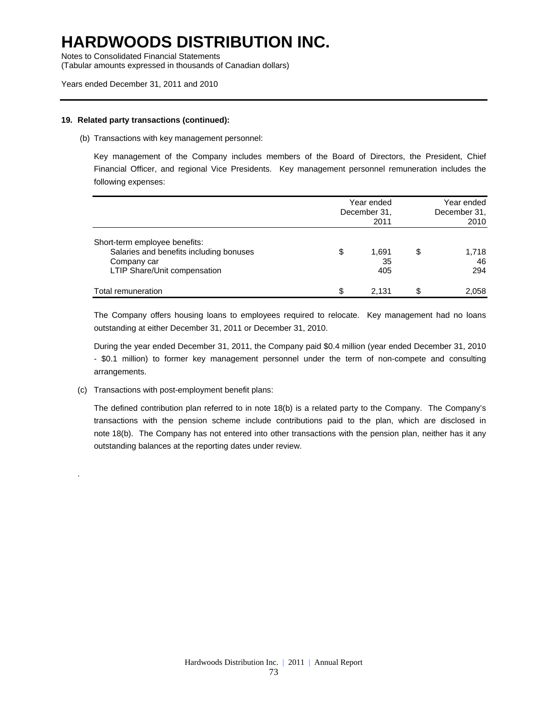Notes to Consolidated Financial Statements

(Tabular amounts expressed in thousands of Canadian dollars)

### Years ended December 31, 2011 and 2010

### **19. Related party transactions (continued):**

(b) Transactions with key management personnel:

Key management of the Company includes members of the Board of Directors, the President, Chief Financial Officer, and regional Vice Presidents. Key management personnel remuneration includes the following expenses:

|                                                                                                                         | Year ended<br>December 31,<br>2011 |                    |    | Year ended<br>December 31.<br>2010 |  |
|-------------------------------------------------------------------------------------------------------------------------|------------------------------------|--------------------|----|------------------------------------|--|
| Short-term employee benefits:<br>Salaries and benefits including bonuses<br>Company car<br>LTIP Share/Unit compensation | \$                                 | 1.691<br>35<br>405 | \$ | 1,718<br>46<br>294                 |  |
| Total remuneration                                                                                                      | \$                                 | 2.131              | S. | 2,058                              |  |

The Company offers housing loans to employees required to relocate. Key management had no loans outstanding at either December 31, 2011 or December 31, 2010.

During the year ended December 31, 2011, the Company paid \$0.4 million (year ended December 31, 2010 - \$0.1 million) to former key management personnel under the term of non-compete and consulting arrangements.

(c) Transactions with post-employment benefit plans:

.

The defined contribution plan referred to in note 18(b) is a related party to the Company. The Company's transactions with the pension scheme include contributions paid to the plan, which are disclosed in note 18(b). The Company has not entered into other transactions with the pension plan, neither has it any outstanding balances at the reporting dates under review.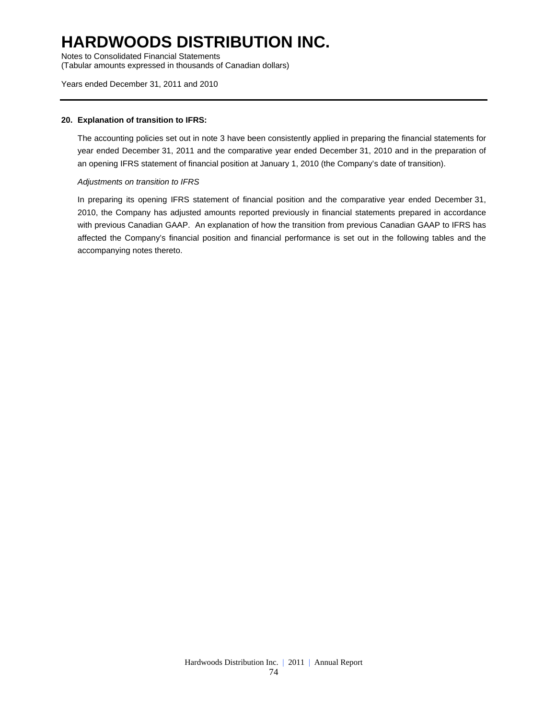Notes to Consolidated Financial Statements (Tabular amounts expressed in thousands of Canadian dollars)

### Years ended December 31, 2011 and 2010

### **20. Explanation of transition to IFRS:**

The accounting policies set out in note 3 have been consistently applied in preparing the financial statements for year ended December 31, 2011 and the comparative year ended December 31, 2010 and in the preparation of an opening IFRS statement of financial position at January 1, 2010 (the Company's date of transition).

#### *Adjustments on transition to IFRS*

In preparing its opening IFRS statement of financial position and the comparative year ended December 31, 2010, the Company has adjusted amounts reported previously in financial statements prepared in accordance with previous Canadian GAAP. An explanation of how the transition from previous Canadian GAAP to IFRS has affected the Company's financial position and financial performance is set out in the following tables and the accompanying notes thereto.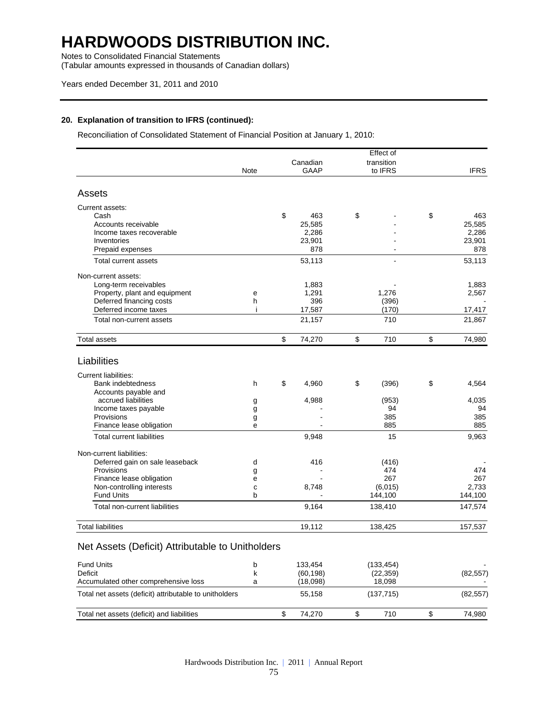Notes to Consolidated Financial Statements

(Tabular amounts expressed in thousands of Canadian dollars)

### Years ended December 31, 2011 and 2010

### **20. Explanation of transition to IFRS (continued):**

Reconciliation of Consolidated Statement of Financial Position at January 1, 2010:

|                                                        |             |              | Effect of   |              |
|--------------------------------------------------------|-------------|--------------|-------------|--------------|
|                                                        |             | Canadian     | transition  |              |
|                                                        | <b>Note</b> | <b>GAAP</b>  | to IFRS     | <b>IFRS</b>  |
| Assets                                                 |             |              |             |              |
| Current assets:                                        |             |              |             |              |
| Cash                                                   |             | \$<br>463    | \$          | \$<br>463    |
| Accounts receivable                                    |             | 25,585       |             | 25,585       |
| Income taxes recoverable                               |             | 2,286        |             | 2,286        |
| Inventories                                            |             | 23,901       |             | 23,901       |
| Prepaid expenses                                       |             | 878          |             | 878          |
| Total current assets                                   |             | 53,113       |             | 53,113       |
| Non-current assets:                                    |             |              |             |              |
| Long-term receivables                                  |             | 1,883        |             | 1,883        |
| Property, plant and equipment                          | e           | 1,291        | 1,276       | 2,567        |
| Deferred financing costs                               | h           | 396          | (396)       |              |
| Deferred income taxes                                  | ÷           | 17,587       | (170)       | 17,417       |
| Total non-current assets                               |             | 21,157       | 710         | 21,867       |
| <b>Total assets</b>                                    |             | \$<br>74,270 | \$<br>710   | \$<br>74,980 |
| Liabilities                                            |             |              |             |              |
| <b>Current liabilities:</b>                            |             |              |             |              |
| Bank indebtedness                                      | h           | \$<br>4,960  | \$<br>(396) | \$<br>4,564  |
| Accounts payable and                                   |             |              |             |              |
| accrued liabilities                                    | g           | 4,988        | (953)       | 4,035        |
| Income taxes payable                                   | g           |              | 94          | 94           |
| Provisions                                             | g           |              | 385         | 385          |
| Finance lease obligation                               | e           |              | 885         | 885          |
| <b>Total current liabilities</b>                       |             | 9,948        | 15          | 9,963        |
| Non-current liabilities:                               |             |              |             |              |
| Deferred gain on sale leaseback                        | d           | 416          | (416)       |              |
| Provisions                                             | g           |              | 474         | 474          |
| Finance lease obligation                               | е           |              | 267         | 267          |
| Non-controlling interests                              | C           | 8,748        | (6,015)     | 2,733        |
| <b>Fund Units</b>                                      | b           |              | 144,100     | 144,100      |
| Total non-current liabilities                          |             | 9,164        | 138,410     | 147,574      |
| <b>Total liabilities</b>                               |             | 19,112       | 138,425     | 157,537      |
| Net Assets (Deficit) Attributable to Unitholders       |             |              |             |              |
| <b>Fund Units</b>                                      | b           | 133,454      | (133, 454)  |              |
| <b>Deficit</b>                                         | k           | (60, 198)    | (22, 359)   | (82, 557)    |
| Accumulated other comprehensive loss                   | a           | (18,098)     | 18,098      |              |
| Total net assets (deficit) attributable to unitholders |             | 55,158       | (137, 715)  | (82, 557)    |

Total net assets (deficit) and liabilities  $$74,270$   $$710$   $$74,980$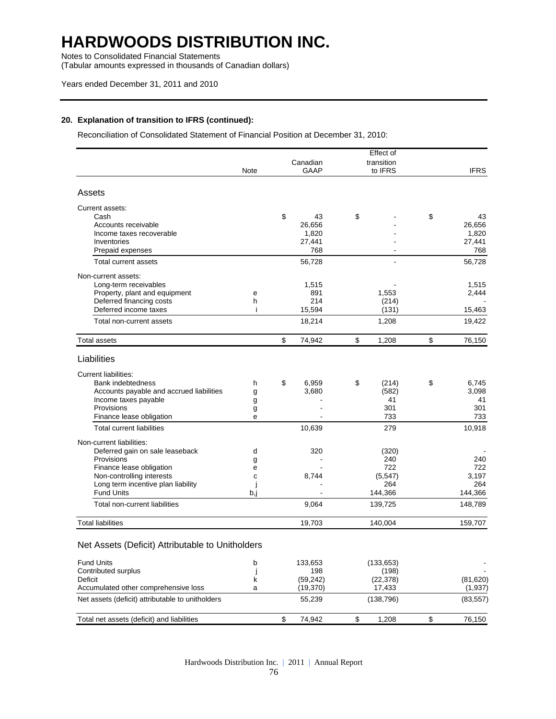Notes to Consolidated Financial Statements

(Tabular amounts expressed in thousands of Canadian dollars)

### Years ended December 31, 2011 and 2010

### **20. Explanation of transition to IFRS (continued):**

Reconciliation of Consolidated Statement of Financial Position at December 31, 2010:

|                                                  |      |                     | Effect of            |                       |
|--------------------------------------------------|------|---------------------|----------------------|-----------------------|
|                                                  |      | Canadian            | transition           |                       |
|                                                  | Note | GAAP                | to IFRS              | <b>IFRS</b>           |
| Assets                                           |      |                     |                      |                       |
| Current assets:                                  |      |                     |                      |                       |
| Cash                                             |      | \$<br>43            | \$                   | \$<br>43              |
| Accounts receivable                              |      | 26,656              |                      | 26,656                |
| Income taxes recoverable                         |      | 1,820               |                      | 1,820                 |
| Inventories<br>Prepaid expenses                  |      | 27,441<br>768       |                      | 27,441<br>768         |
| <b>Total current assets</b>                      |      | 56,728              |                      | 56,728                |
|                                                  |      |                     |                      |                       |
| Non-current assets:                              |      |                     |                      |                       |
| Long-term receivables                            |      | 1,515               |                      | 1,515                 |
| Property, plant and equipment                    | е    | 891                 | 1,553                | 2,444                 |
| Deferred financing costs                         | h    | 214                 | (214)                |                       |
| Deferred income taxes                            | Ť    | 15,594              | (131)                | 15,463                |
| Total non-current assets                         |      | 18,214              | 1,208                | 19,422                |
| <b>Total assets</b>                              |      | \$<br>74,942        | \$<br>1,208          | \$<br>76,150          |
| Liabilities                                      |      |                     |                      |                       |
| <b>Current liabilities:</b>                      |      |                     |                      |                       |
| Bank indebtedness                                | h    | \$<br>6,959         | \$<br>(214)          | \$<br>6,745           |
| Accounts payable and accrued liabilities         | g    | 3,680               | (582)                | 3,098                 |
| Income taxes payable                             | g    |                     | 41                   | 41                    |
| Provisions                                       | g    |                     | 301                  | 301                   |
| Finance lease obligation                         | e    |                     | 733                  | 733                   |
| <b>Total current liabilities</b>                 |      | 10,639              | 279                  | 10,918                |
| Non-current liabilities:                         |      |                     |                      |                       |
| Deferred gain on sale leaseback                  | d    | 320                 | (320)                |                       |
| Provisions                                       | g    |                     | 240                  | 240                   |
| Finance lease obligation                         | е    |                     | 722                  | 722                   |
| Non-controlling interests                        | C    | 8,744               | (5, 547)             | 3,197                 |
| Long term incentive plan liability               |      |                     | 264                  | 264                   |
| <b>Fund Units</b>                                | b,j  |                     | 144,366              | 144,366               |
| Total non-current liabilities                    |      | 9,064               | 139,725              | 148,789               |
| <b>Total liabilities</b>                         |      | 19,703              | 140,004              | 159,707               |
| Net Assets (Deficit) Attributable to Unitholders |      |                     |                      |                       |
|                                                  |      |                     |                      |                       |
| <b>Fund Units</b><br>Contributed surplus         | b    | 133,653             | (133, 653)           |                       |
|                                                  | J    | 198                 | (198)                |                       |
| Deficit<br>Accumulated other comprehensive loss  | k    | (59, 242)           | (22, 378)            | (81, 620)             |
| Net assets (deficit) attributable to unitholders | a    | (19, 370)<br>55,239 | 17,433<br>(138, 796) | (1, 937)<br>(83, 557) |
|                                                  |      |                     |                      |                       |
| Total net assets (deficit) and liabilities       |      | \$<br>74,942        | \$<br>1,208          | \$<br>76,150          |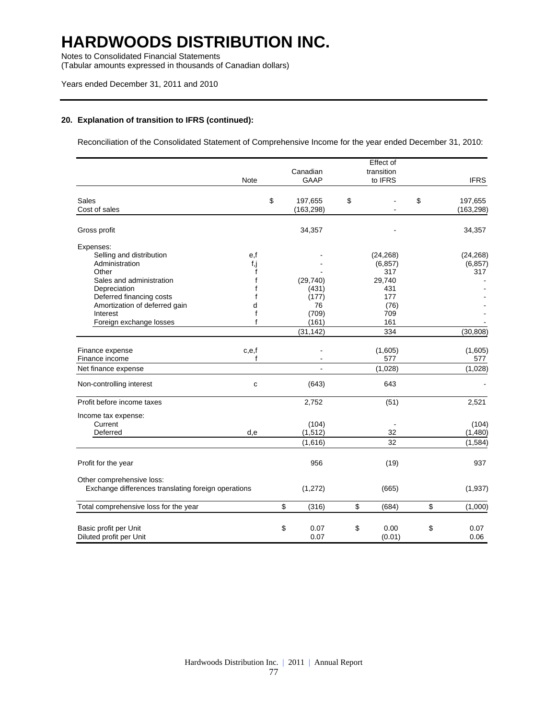Notes to Consolidated Financial Statements

(Tabular amounts expressed in thousands of Canadian dollars)

### Years ended December 31, 2011 and 2010

### **20. Explanation of transition to IFRS (continued):**

Reconciliation of the Consolidated Statement of Comprehensive Income for the year ended December 31, 2010:

|                                                     |              |               | Effect of   |               |
|-----------------------------------------------------|--------------|---------------|-------------|---------------|
|                                                     |              | Canadian      | transition  |               |
|                                                     | Note         | <b>GAAP</b>   | to IFRS     | <b>IFRS</b>   |
|                                                     |              |               |             |               |
| <b>Sales</b>                                        |              | \$<br>197,655 | \$          | \$<br>197,655 |
| Cost of sales                                       |              | (163, 298)    |             | (163, 298)    |
| Gross profit                                        |              | 34,357        |             | 34,357        |
| Expenses:                                           |              |               |             |               |
| Selling and distribution                            | e,f          |               | (24, 268)   | (24, 268)     |
| Administration                                      | f,j          |               | (6, 857)    | (6, 857)      |
| Other                                               | f            |               | 317         | 317           |
| Sales and administration                            | f            | (29, 740)     | 29,740      |               |
| Depreciation                                        | f            | (431)         | 431         |               |
| Deferred financing costs                            |              | (177)         | 177         |               |
| Amortization of deferred gain                       | d            | 76            | (76)        |               |
| Interest                                            | f            | (709)         | 709         |               |
| Foreign exchange losses                             | f            | (161)         | 161         |               |
|                                                     |              | (31, 142)     | 334         | (30, 808)     |
|                                                     |              |               |             |               |
| Finance expense                                     | c,e,f        |               | (1,605)     | (1,605)       |
| Finance income                                      | f            |               | 577         | 577           |
| Net finance expense                                 |              |               | (1,028)     | (1,028)       |
| Non-controlling interest                            | $\mathbf{C}$ | (643)         | 643         |               |
| Profit before income taxes                          |              | 2,752         | (51)        | 2,521         |
| Income tax expense:                                 |              |               |             |               |
| Current                                             |              | (104)         |             | (104)         |
| Deferred                                            | d,e          | (1, 512)      | 32          | (1,480)       |
|                                                     |              | (1,616)       | 32          | (1, 584)      |
|                                                     |              | 956           |             | 937           |
| Profit for the year                                 |              |               | (19)        |               |
| Other comprehensive loss:                           |              |               |             |               |
| Exchange differences translating foreign operations |              | (1, 272)      | (665)       | (1,937)       |
| Total comprehensive loss for the year               |              | \$<br>(316)   | \$<br>(684) | \$<br>(1,000) |
| Basic profit per Unit                               |              | \$<br>0.07    | \$<br>0.00  | \$<br>0.07    |
| Diluted profit per Unit                             |              | 0.07          | (0.01)      | 0.06          |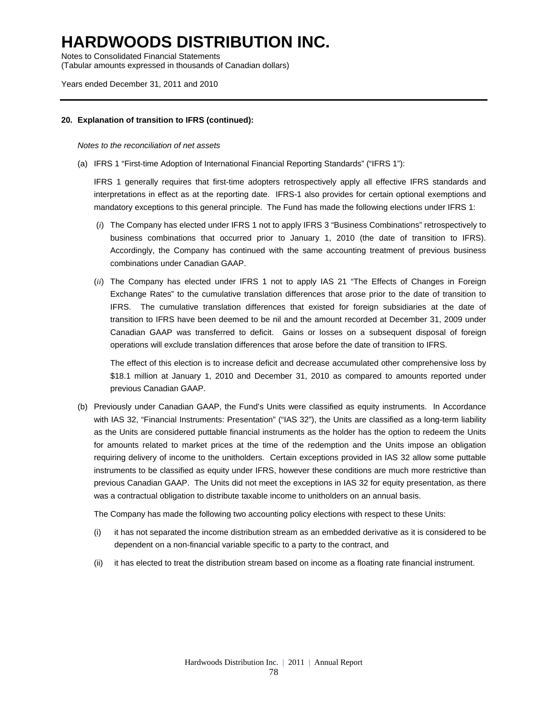Notes to Consolidated Financial Statements (Tabular amounts expressed in thousands of Canadian dollars)

Years ended December 31, 2011 and 2010

### **20. Explanation of transition to IFRS (continued):**

#### *Notes to the reconciliation of net assets*

(a) IFRS 1 "First-time Adoption of International Financial Reporting Standards" ("IFRS 1"):

IFRS 1 generally requires that first-time adopters retrospectively apply all effective IFRS standards and interpretations in effect as at the reporting date. IFRS-1 also provides for certain optional exemptions and mandatory exceptions to this general principle. The Fund has made the following elections under IFRS 1:

- (*i*) The Company has elected under IFRS 1 not to apply IFRS 3 "Business Combinations" retrospectively to business combinations that occurred prior to January 1, 2010 (the date of transition to IFRS). Accordingly, the Company has continued with the same accounting treatment of previous business combinations under Canadian GAAP.
- (*ii*) The Company has elected under IFRS 1 not to apply IAS 21 "The Effects of Changes in Foreign Exchange Rates" to the cumulative translation differences that arose prior to the date of transition to IFRS. The cumulative translation differences that existed for foreign subsidiaries at the date of transition to IFRS have been deemed to be nil and the amount recorded at December 31, 2009 under Canadian GAAP was transferred to deficit. Gains or losses on a subsequent disposal of foreign operations will exclude translation differences that arose before the date of transition to IFRS.

The effect of this election is to increase deficit and decrease accumulated other comprehensive loss by \$18.1 million at January 1, 2010 and December 31, 2010 as compared to amounts reported under previous Canadian GAAP.

(b) Previously under Canadian GAAP, the Fund's Units were classified as equity instruments. In Accordance with IAS 32, "Financial Instruments: Presentation" ("IAS 32"), the Units are classified as a long-term liability as the Units are considered puttable financial instruments as the holder has the option to redeem the Units for amounts related to market prices at the time of the redemption and the Units impose an obligation requiring delivery of income to the unitholders. Certain exceptions provided in IAS 32 allow some puttable instruments to be classified as equity under IFRS, however these conditions are much more restrictive than previous Canadian GAAP. The Units did not meet the exceptions in IAS 32 for equity presentation, as there was a contractual obligation to distribute taxable income to unitholders on an annual basis.

The Company has made the following two accounting policy elections with respect to these Units:

- (i) it has not separated the income distribution stream as an embedded derivative as it is considered to be dependent on a non-financial variable specific to a party to the contract, and
- (ii) it has elected to treat the distribution stream based on income as a floating rate financial instrument.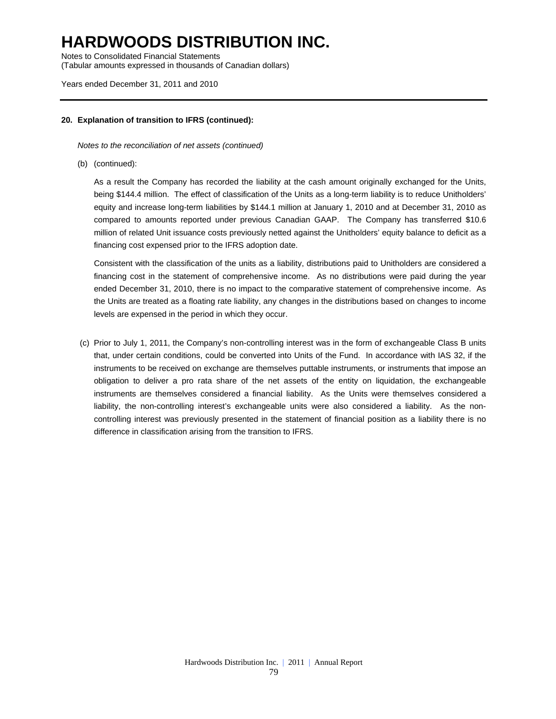Notes to Consolidated Financial Statements (Tabular amounts expressed in thousands of Canadian dollars)

### Years ended December 31, 2011 and 2010

### **20. Explanation of transition to IFRS (continued):**

*Notes to the reconciliation of net assets (continued)* 

(b) (continued):

 As a result the Company has recorded the liability at the cash amount originally exchanged for the Units, being \$144.4 million. The effect of classification of the Units as a long-term liability is to reduce Unitholders' equity and increase long-term liabilities by \$144.1 million at January 1, 2010 and at December 31, 2010 as compared to amounts reported under previous Canadian GAAP. The Company has transferred \$10.6 million of related Unit issuance costs previously netted against the Unitholders' equity balance to deficit as a financing cost expensed prior to the IFRS adoption date.

Consistent with the classification of the units as a liability, distributions paid to Unitholders are considered a financing cost in the statement of comprehensive income. As no distributions were paid during the year ended December 31, 2010, there is no impact to the comparative statement of comprehensive income. As the Units are treated as a floating rate liability, any changes in the distributions based on changes to income levels are expensed in the period in which they occur.

 (c) Prior to July 1, 2011, the Company's non-controlling interest was in the form of exchangeable Class B units that, under certain conditions, could be converted into Units of the Fund. In accordance with IAS 32, if the instruments to be received on exchange are themselves puttable instruments, or instruments that impose an obligation to deliver a pro rata share of the net assets of the entity on liquidation, the exchangeable instruments are themselves considered a financial liability. As the Units were themselves considered a liability, the non-controlling interest's exchangeable units were also considered a liability. As the noncontrolling interest was previously presented in the statement of financial position as a liability there is no difference in classification arising from the transition to IFRS.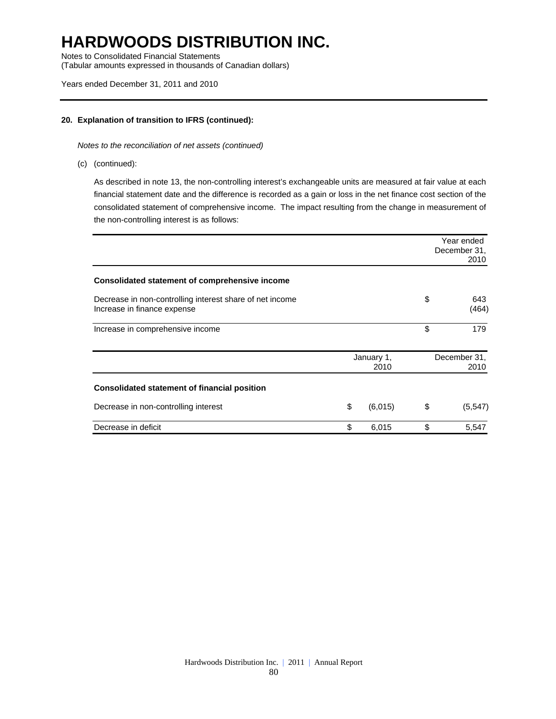Notes to Consolidated Financial Statements (Tabular amounts expressed in thousands of Canadian dollars)

### Years ended December 31, 2011 and 2010

### **20. Explanation of transition to IFRS (continued):**

*Notes to the reconciliation of net assets (continued)* 

(c) (continued):

As described in note 13, the non-controlling interest's exchangeable units are measured at fair value at each financial statement date and the difference is recorded as a gain or loss in the net finance cost section of the consolidated statement of comprehensive income. The impact resulting from the change in measurement of the non-controlling interest is as follows:

|                                                                                         |                    | Year ended<br>December 31,<br>2010 |
|-----------------------------------------------------------------------------------------|--------------------|------------------------------------|
| Consolidated statement of comprehensive income                                          |                    |                                    |
| Decrease in non-controlling interest share of net income<br>Increase in finance expense |                    | \$<br>643<br>(464)                 |
| Increase in comprehensive income                                                        |                    | \$<br>179                          |
|                                                                                         | January 1,<br>2010 | December 31,<br>2010               |
| Consolidated statement of financial position                                            |                    |                                    |
| Decrease in non-controlling interest                                                    | \$<br>(6,015)      | \$<br>(5, 547)                     |
| Decrease in deficit                                                                     | \$<br>6,015        | \$<br>5,547                        |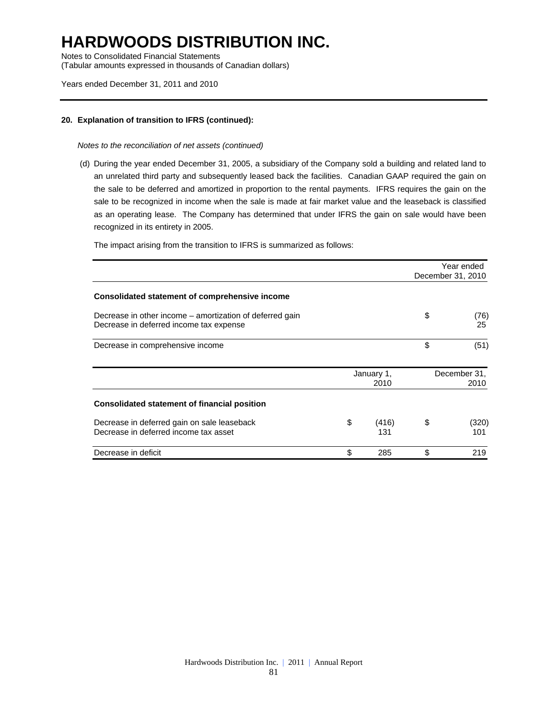Notes to Consolidated Financial Statements (Tabular amounts expressed in thousands of Canadian dollars)

#### Years ended December 31, 2011 and 2010

### **20. Explanation of transition to IFRS (continued):**

#### *Notes to the reconciliation of net assets (continued)*

 (d) During the year ended December 31, 2005, a subsidiary of the Company sold a building and related land to an unrelated third party and subsequently leased back the facilities. Canadian GAAP required the gain on the sale to be deferred and amortized in proportion to the rental payments. IFRS requires the gain on the sale to be recognized in income when the sale is made at fair market value and the leaseback is classified as an operating lease. The Company has determined that under IFRS the gain on sale would have been recognized in its entirety in 2005.

The impact arising from the transition to IFRS is summarized as follows:

|                                                                                                     |                    | Year ended<br>December 31, 2010 |
|-----------------------------------------------------------------------------------------------------|--------------------|---------------------------------|
| Consolidated statement of comprehensive income                                                      |                    |                                 |
| Decrease in other income – amortization of deferred gain<br>Decrease in deferred income tax expense |                    | \$<br>(76)<br>25                |
| Decrease in comprehensive income                                                                    |                    | \$<br>(51)                      |
|                                                                                                     | January 1,<br>2010 | December 31,<br>2010            |
| <b>Consolidated statement of financial position</b>                                                 |                    |                                 |
| Decrease in deferred gain on sale leaseback<br>Decrease in deferred income tax asset                | \$<br>(416)<br>131 | \$<br>(320)<br>101              |
| Decrease in deficit                                                                                 | \$<br>285          | \$<br>219                       |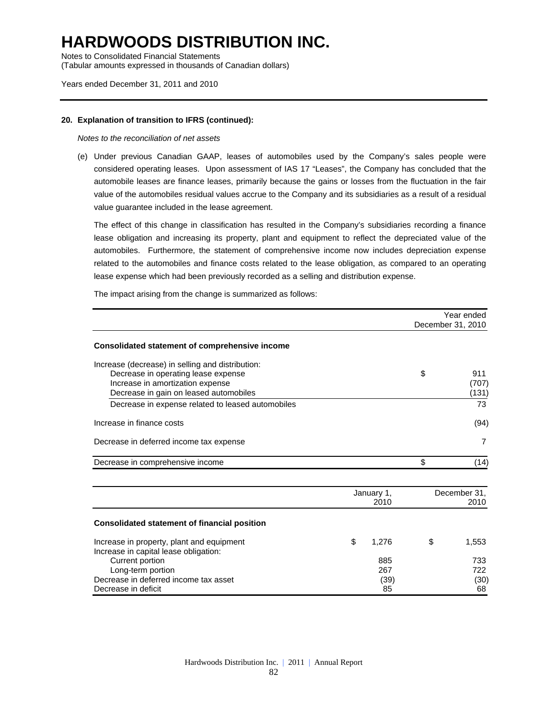Notes to Consolidated Financial Statements (Tabular amounts expressed in thousands of Canadian dollars)

#### Years ended December 31, 2011 and 2010

#### **20. Explanation of transition to IFRS (continued):**

#### *Notes to the reconciliation of net assets*

(e) Under previous Canadian GAAP, leases of automobiles used by the Company's sales people were considered operating leases. Upon assessment of IAS 17 "Leases", the Company has concluded that the automobile leases are finance leases, primarily because the gains or losses from the fluctuation in the fair value of the automobiles residual values accrue to the Company and its subsidiaries as a result of a residual value guarantee included in the lease agreement.

The effect of this change in classification has resulted in the Company's subsidiaries recording a finance lease obligation and increasing its property, plant and equipment to reflect the depreciated value of the automobiles. Furthermore, the statement of comprehensive income now includes depreciation expense related to the automobiles and finance costs related to the lease obligation, as compared to an operating lease expense which had been previously recorded as a selling and distribution expense.

 Year ended December 31, 2010 **Consolidated statement of comprehensive income**  Increase (decrease) in selling and distribution: Decrease in operating lease expense the state of the state of the state of the state of the 911 Increase in amortization expense (707) Decrease in gain on leased automobiles (131) Decrease in expense related to leased automobiles **Fig. 2008** 73 Increase in finance costs (94) Decrease in deferred income tax expense 7 Decrease in comprehensive income  $\sim$  (14) January 1, December 31, 2010 2010 **Consolidated statement of financial position**  Increase in property, plant and equipment  $$ 1,276$   $$ 1,553$ Increase in capital lease obligation: Current portion 885 733 Long-term portion 267 722 Decrease in deferred income tax asset (39) (30) Decrease in deficit 68 and 200 km in the contract of the contract of the contract of the contract of the contract of the contract of the contract of the contract of the contract of the contract of the contract of the contr

The impact arising from the change is summarized as follows: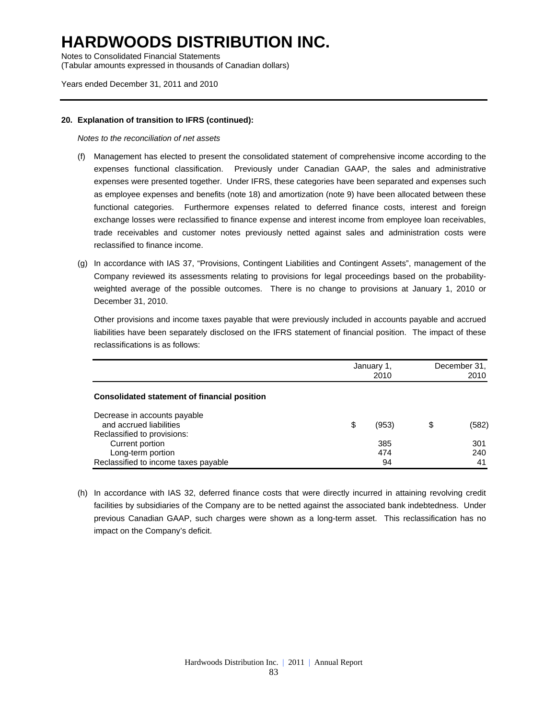Notes to Consolidated Financial Statements (Tabular amounts expressed in thousands of Canadian dollars)

### Years ended December 31, 2011 and 2010

### **20. Explanation of transition to IFRS (continued):**

*Notes to the reconciliation of net assets* 

- (f) Management has elected to present the consolidated statement of comprehensive income according to the expenses functional classification. Previously under Canadian GAAP, the sales and administrative expenses were presented together. Under IFRS, these categories have been separated and expenses such as employee expenses and benefits (note 18) and amortization (note 9) have been allocated between these functional categories. Furthermore expenses related to deferred finance costs, interest and foreign exchange losses were reclassified to finance expense and interest income from employee loan receivables, trade receivables and customer notes previously netted against sales and administration costs were reclassified to finance income.
- (g) In accordance with IAS 37, "Provisions, Contingent Liabilities and Contingent Assets", management of the Company reviewed its assessments relating to provisions for legal proceedings based on the probabilityweighted average of the possible outcomes. There is no change to provisions at January 1, 2010 or December 31, 2010.

Other provisions and income taxes payable that were previously included in accounts payable and accrued liabilities have been separately disclosed on the IFRS statement of financial position. The impact of these reclassifications is as follows:

|                                              | January 1,<br>2010 | December 31,<br>2010 |       |  |
|----------------------------------------------|--------------------|----------------------|-------|--|
| Consolidated statement of financial position |                    |                      |       |  |
| Decrease in accounts payable                 |                    |                      |       |  |
| and accrued liabilities                      | \$<br>(953)        | S                    | (582) |  |
| Reclassified to provisions:                  |                    |                      |       |  |
| Current portion                              | 385                |                      | 301   |  |
| Long-term portion                            | 474                |                      | 240   |  |
| Reclassified to income taxes payable         | 94                 |                      | -41   |  |

(h) In accordance with IAS 32, deferred finance costs that were directly incurred in attaining revolving credit facilities by subsidiaries of the Company are to be netted against the associated bank indebtedness. Under previous Canadian GAAP, such charges were shown as a long-term asset. This reclassification has no impact on the Company's deficit.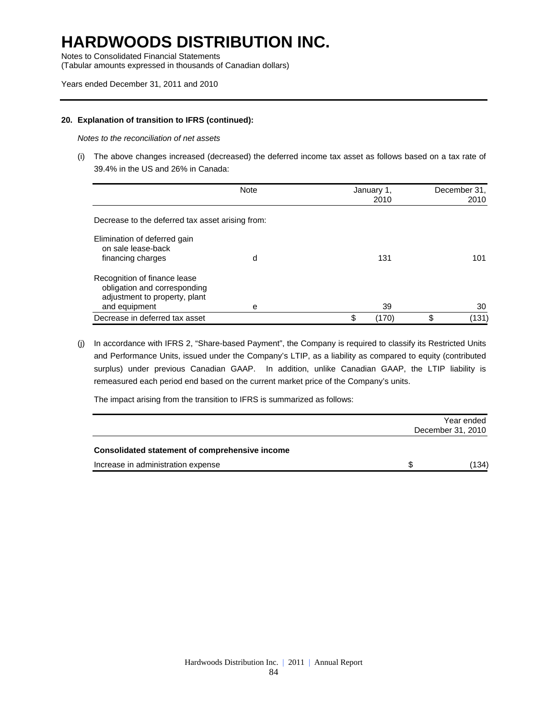Notes to Consolidated Financial Statements

(Tabular amounts expressed in thousands of Canadian dollars)

### Years ended December 31, 2011 and 2010

### **20. Explanation of transition to IFRS (continued):**

*Notes to the reconciliation of net assets* 

(i) The above changes increased (decreased) the deferred income tax asset as follows based on a tax rate of 39.4% in the US and 26% in Canada:

|                                                                                                                | <b>Note</b> | January 1,<br>2010 | December 31,<br>2010 |
|----------------------------------------------------------------------------------------------------------------|-------------|--------------------|----------------------|
| Decrease to the deferred tax asset arising from:                                                               |             |                    |                      |
| Elimination of deferred gain<br>on sale lease-back<br>financing charges                                        | d           | 131                | 101                  |
| Recognition of finance lease<br>obligation and corresponding<br>adjustment to property, plant<br>and equipment | е           | 39                 | 30                   |
| Decrease in deferred tax asset                                                                                 |             | \$<br>(170)        | \$<br>(131)          |

(j) In accordance with IFRS 2, "Share-based Payment", the Company is required to classify its Restricted Units and Performance Units, issued under the Company's LTIP, as a liability as compared to equity (contributed surplus) under previous Canadian GAAP. In addition, unlike Canadian GAAP, the LTIP liability is remeasured each period end based on the current market price of the Company's units.

The impact arising from the transition to IFRS is summarized as follows:

|                                                | Year ended<br>December 31, 2010 |
|------------------------------------------------|---------------------------------|
| Consolidated statement of comprehensive income |                                 |
| Increase in administration expense             | \$<br>(134)                     |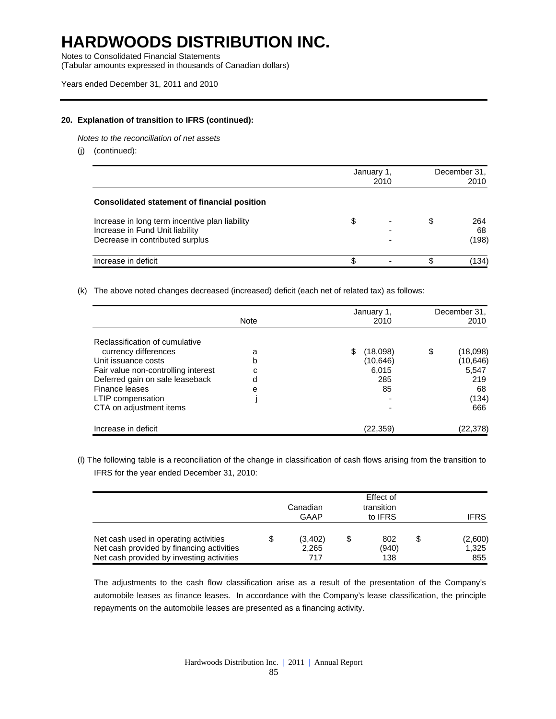Notes to Consolidated Financial Statements

(Tabular amounts expressed in thousands of Canadian dollars)

### **20. Explanation of transition to IFRS (continued):**

*Notes to the reconciliation of net assets* 

(j) (continued):

|                                                                                   | January 1, | December 31,<br>2010 |   |           |
|-----------------------------------------------------------------------------------|------------|----------------------|---|-----------|
| Consolidated statement of financial position                                      |            |                      |   |           |
| Increase in long term incentive plan liability<br>Increase in Fund Unit liability | \$         |                      | S | 264<br>68 |
| Decrease in contributed surplus                                                   |            |                      |   | (198)     |
| Increase in deficit                                                               |            |                      |   | (134      |

#### (k) The above noted changes decreased (increased) deficit (each net of related tax) as follows:

|                                     | <b>Note</b> | January 1,<br>2010 | December 31,<br>2010 |
|-------------------------------------|-------------|--------------------|----------------------|
| Reclassification of cumulative      |             |                    |                      |
| currency differences                | a           | (18,098)           | \$<br>(18,098)       |
| Unit issuance costs                 | b           | (10, 646)          | (10, 646)            |
| Fair value non-controlling interest | C           | 6,015              | 5,547                |
| Deferred gain on sale leaseback     | d           | 285                | 219                  |
| Finance leases                      | e           | 85                 | 68                   |
| LTIP compensation                   |             |                    | (134)                |
| CTA on adjustment items             |             |                    | 666                  |
| Increase in deficit                 |             | (22, 359)          | (22,378)             |

(l) The following table is a reconciliation of the change in classification of cash flows arising from the transition to IFRS for the year ended December 31, 2010:

|                                                                                                                                 |   | Canadian<br>GAAP        | Effect of<br>transition<br>to IFRS | <b>IFRS</b>             |
|---------------------------------------------------------------------------------------------------------------------------------|---|-------------------------|------------------------------------|-------------------------|
| Net cash used in operating activities<br>Net cash provided by financing activities<br>Net cash provided by investing activities | S | (3,402)<br>2,265<br>717 | 802<br>(940)<br>138                | (2,600)<br>1,325<br>855 |

The adjustments to the cash flow classification arise as a result of the presentation of the Company's automobile leases as finance leases. In accordance with the Company's lease classification, the principle repayments on the automobile leases are presented as a financing activity.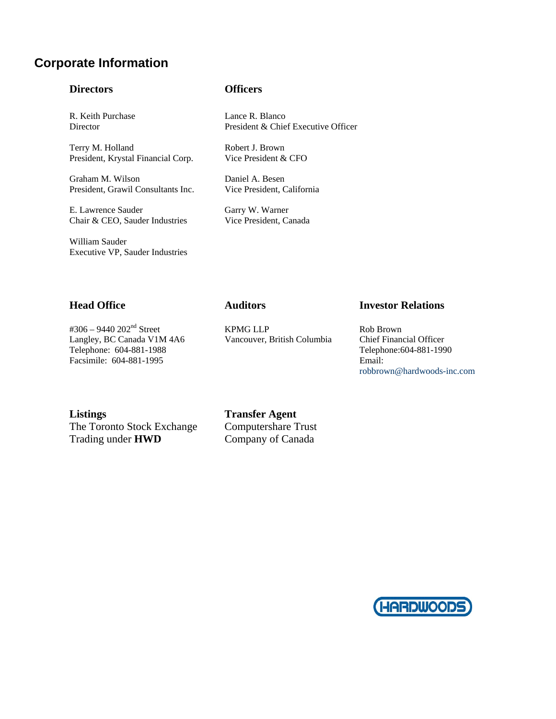### **Corporate Information**

### **Directors Officers**

Terry M. Holland Robert J. Brown President, Krystal Financial Corp. Vice President & CFO

Graham M. Wilson Daniel A. Besen President, Grawil Consultants Inc. Vice President, California

E. Lawrence Sauder Garry W. Warner Chair & CEO, Sauder Industries Vice President, Canada

William Sauder Executive VP, Sauder Industries

R. Keith Purchase Lance R. Blanco Director President & Chief Executive Officer

Langley, BC Canada V1M 4A6 Vancouver, British Columbia Telephone: 604-881-1988 Telephone:604-881-1990 Facsimile: 604-881-1995 Email:

#306 – 9440 202<sup>nd</sup> Street KPMG LLP Rob Brown<br>
Langley, BC Canada V1M 4A6 Vancouver, British Columbia Chief Financial Officer

### **Head Office Auditors Investor Relations**

robbrown@hardwoods-inc.com

The Toronto Stock Exchange Computershare Trust Trading under **HWD** Company of Canada

**Listings Transfer Agent**